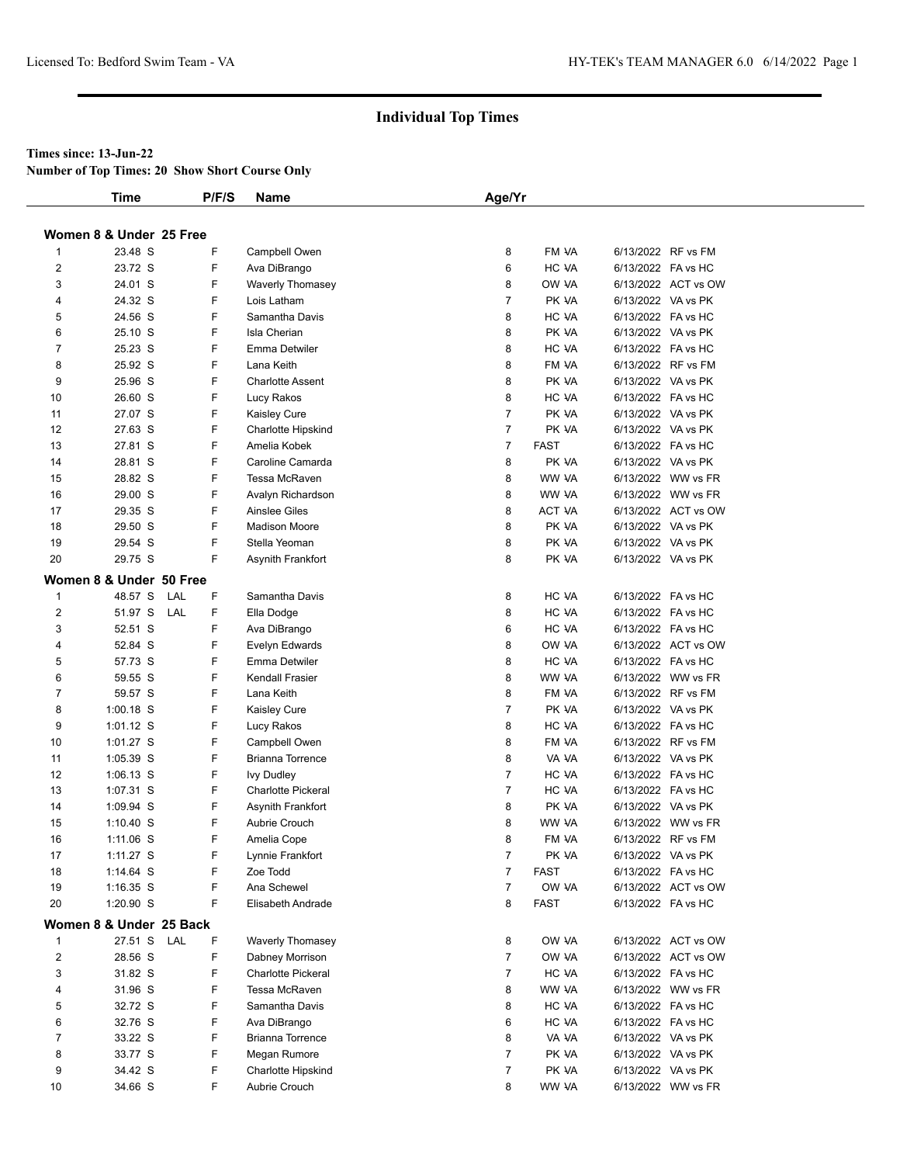## **Times since: 13-Jun-22**

**Number of Top Times: 20 Show Short Course Only**

|                         | <b>Time</b>             |     | P/F/S | Name                      | Age/Yr         |             |                    |                     |
|-------------------------|-------------------------|-----|-------|---------------------------|----------------|-------------|--------------------|---------------------|
|                         | Women 8 & Under 25 Free |     |       |                           |                |             |                    |                     |
| 1                       | 23.48 S                 |     | F     | Campbell Owen             | 8              | FM VA       |                    | 6/13/2022 RF vs FM  |
| 2                       | 23.72 S                 |     | F     | Ava DiBrango              | 6              | HC VA       | 6/13/2022 FA vs HC |                     |
| 3                       | 24.01 S                 |     | F     | Waverly Thomasey          | 8              | OW VA       |                    | 6/13/2022 ACT vs OW |
| 4                       | 24.32 S                 |     | F     | Lois Latham               | $\overline{7}$ | PK VA       | 6/13/2022 VA vs PK |                     |
| 5                       | 24.56 S                 |     | F     | Samantha Davis            | 8              | HC VA       | 6/13/2022 FA vs HC |                     |
| 6                       | 25.10 S                 |     | F     | Isla Cherian              | 8              | PK VA       | 6/13/2022 VA vs PK |                     |
| 7                       | 25.23 S                 |     | F     | Emma Detwiler             | 8              | HC VA       | 6/13/2022 FA vs HC |                     |
| 8                       | 25.92 S                 |     | F     | Lana Keith                | 8              | FM VA       |                    | 6/13/2022 RF vs FM  |
| 9                       | 25.96 S                 |     | F     | <b>Charlotte Assent</b>   | 8              | PK VA       | 6/13/2022 VA vs PK |                     |
| 10                      | 26.60 S                 |     | F     | Lucy Rakos                | 8              | HC VA       | 6/13/2022 FA vs HC |                     |
| 11                      | 27.07 S                 |     | F     | Kaisley Cure              | 7              | PK VA       | 6/13/2022 VA vs PK |                     |
| 12                      | 27.63 S                 |     | F     | <b>Charlotte Hipskind</b> | $\overline{7}$ | PK VA       | 6/13/2022 VA vs PK |                     |
| 13                      | 27.81 S                 |     | F     | Amelia Kobek              | $\overline{7}$ | <b>FAST</b> | 6/13/2022 FA vs HC |                     |
| 14                      | 28.81 S                 |     | F     | Caroline Camarda          | 8              | PK VA       | 6/13/2022 VA vs PK |                     |
| 15                      | 28.82 S                 |     | F     | Tessa McRaven             | 8              | WW VA       |                    | 6/13/2022 WW vs FR  |
| 16                      |                         |     | F     |                           | 8              | WW VA       |                    | 6/13/2022 WW vs FR  |
|                         | 29.00 S                 |     |       | Avalyn Richardson         |                |             |                    |                     |
| 17                      | 29.35 S                 |     | F     | <b>Ainslee Giles</b>      | 8              | ACT VA      |                    | 6/13/2022 ACT vs OW |
| 18                      | 29.50 S                 |     | F     | <b>Madison Moore</b>      | 8              | PK VA       | 6/13/2022 VA vs PK |                     |
| 19                      | 29.54 S                 |     | F     | Stella Yeoman             | 8              | PK VA       | 6/13/2022 VA vs PK |                     |
| 20                      | 29.75 S                 |     | F     | Asynith Frankfort         | 8              | PK VA       | 6/13/2022 VA vs PK |                     |
|                         | Women 8 & Under 50 Free |     |       |                           |                |             |                    |                     |
| $\mathbf{1}$            | 48.57 S                 | LAL | F     | Samantha Davis            | 8              | HC VA       | 6/13/2022 FA vs HC |                     |
| $\overline{2}$          | 51.97 S LAL             |     | F     | Ella Dodge                | 8              | HC VA       | 6/13/2022 FA vs HC |                     |
| 3                       | 52.51 S                 |     | F     | Ava DiBrango              | 6              | HC VA       | 6/13/2022 FA vs HC |                     |
| 4                       | 52.84 S                 |     | F     | Evelyn Edwards            | 8              | OW VA       |                    | 6/13/2022 ACT vs OW |
| 5                       | 57.73 S                 |     | F     | Emma Detwiler             | 8              | HC VA       | 6/13/2022 FA vs HC |                     |
| 6                       | 59.55 S                 |     | F     | Kendall Frasier           | 8              | WW VA       |                    | 6/13/2022 WW vs FR  |
| $\overline{7}$          | 59.57 S                 |     | F     | Lana Keith                | 8              | FM VA       |                    | 6/13/2022 RF vs FM  |
| 8                       | $1:00.18$ S             |     | F     | Kaisley Cure              | 7              | PK VA       | 6/13/2022 VA vs PK |                     |
| 9                       | $1:01.12$ S             |     | F     | Lucy Rakos                | 8              | HC VA       | 6/13/2022 FA vs HC |                     |
| 10                      | 1:01.27 S               |     | F     | Campbell Owen             | 8              | FM VA       |                    | 6/13/2022 RF vs FM  |
| 11                      | 1:05.39 S               |     | F     | Brianna Torrence          | 8              | VA VA       | 6/13/2022 VA vs PK |                     |
| 12                      | $1:06.13$ S             |     | F     | <b>Ivy Dudley</b>         | $\overline{7}$ | HC VA       | 6/13/2022 FA vs HC |                     |
| 13                      | 1:07.31 S               |     | F     | <b>Charlotte Pickeral</b> | $\overline{7}$ | HC VA       | 6/13/2022 FA vs HC |                     |
| 14                      | 1:09.94 S               |     | F     | Asynith Frankfort         | 8              | PK VA       | 6/13/2022 VA vs PK |                     |
| 15                      | $1:10.40$ S             |     | F     | Aubrie Crouch             | 8              | WW VA       |                    | 6/13/2022 WW vs FR  |
| 16                      | 1:11.06 S               |     | F     | Amelia Cope               | 8              | FM VA       |                    | 6/13/2022 RF vs FM  |
| 17                      | $1:11.27$ S             |     | F     | Lynnie Frankfort          | $\overline{7}$ | PK VA       | 6/13/2022 VA vs PK |                     |
| 18                      | 1:14.64 S               |     | F     | Zoe Todd                  | 7              | <b>FAST</b> | 6/13/2022 FA vs HC |                     |
| 19                      | $1:16.35$ S             |     | F     | Ana Schewel               | $\overline{7}$ | OW VA       |                    | 6/13/2022 ACT vs OW |
| 20                      | 1:20.90 S               |     | F     | Elisabeth Andrade         | 8              | <b>FAST</b> | 6/13/2022 FA vs HC |                     |
|                         | Women 8 & Under 25 Back |     |       |                           |                |             |                    |                     |
| $\mathbf{1}$            | 27.51 S LAL             |     | F     | <b>Waverly Thomasey</b>   | 8              | OW VA       |                    | 6/13/2022 ACT vs OW |
| $\overline{\mathbf{c}}$ | 28.56 S                 |     | F     | Dabney Morrison           | 7              | OW VA       |                    | 6/13/2022 ACT vs OW |
| 3                       | 31.82 S                 |     | F     | <b>Charlotte Pickeral</b> | $\overline{7}$ | HC VA       | 6/13/2022 FA vs HC |                     |
| 4                       | 31.96 S                 |     | F     | Tessa McRaven             | 8              | WW VA       |                    | 6/13/2022 WW vs FR  |
| 5                       | 32.72 S                 |     | F     | Samantha Davis            | 8              | HC VA       | 6/13/2022 FA vs HC |                     |
| 6                       | 32.76 S                 |     | F     | Ava DiBrango              | 6              | HC VA       | 6/13/2022 FA vs HC |                     |
| 7                       | 33.22 S                 |     | F     | Brianna Torrence          | 8              | VA VA       | 6/13/2022 VA vs PK |                     |
| 8                       | 33.77 S                 |     | F     | Megan Rumore              | 7              | PK VA       |                    | 6/13/2022 VA vs PK  |
| 9                       | 34.42 S                 |     | F     | Charlotte Hipskind        | 7              | PK VA       |                    | 6/13/2022 VA vs PK  |
| 10                      | 34.66 S                 |     | F     | Aubrie Crouch             | 8              | WW VA       |                    | 6/13/2022 WW vs FR  |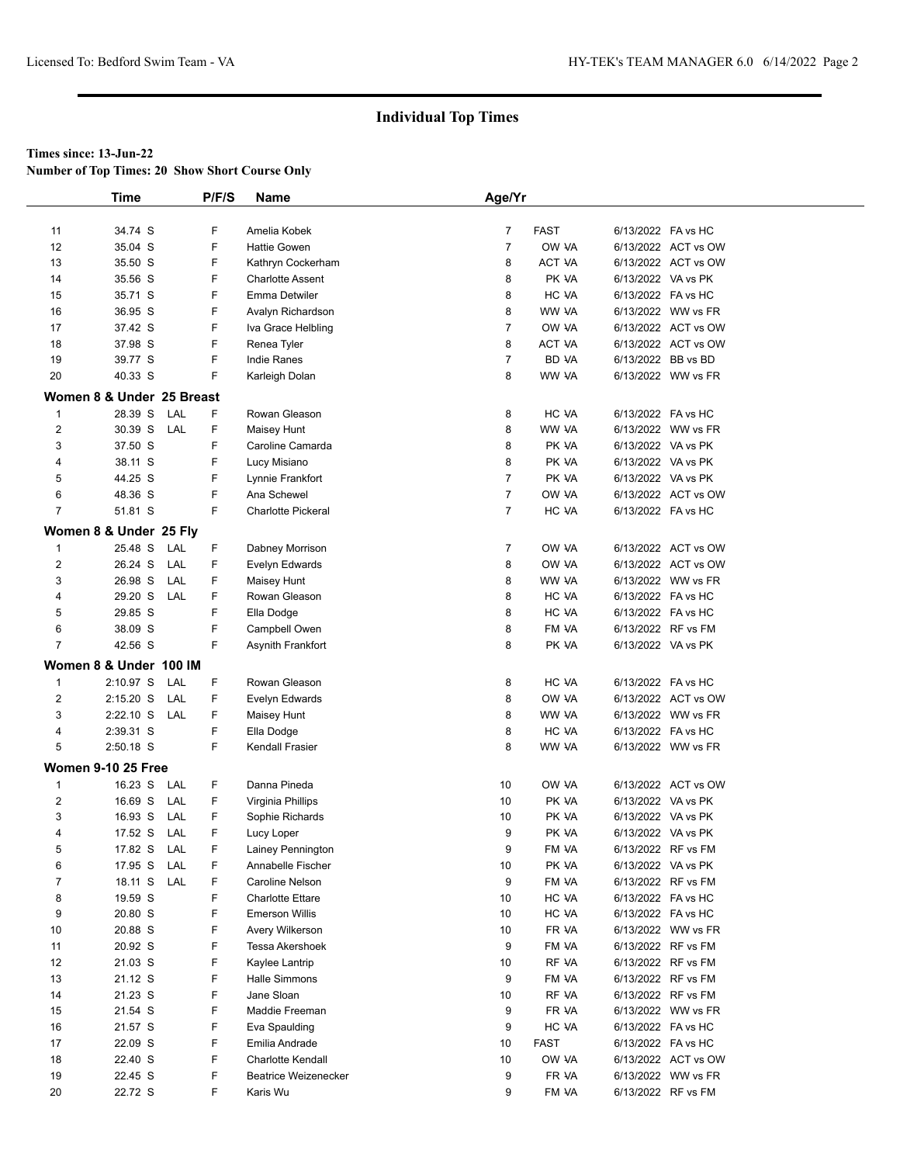**Number of Top Times: 20 Show Short Course Only**

|                         | Time                      |     | P/F/S       | Name                        | Age/Yr         |              |                    |                     |  |
|-------------------------|---------------------------|-----|-------------|-----------------------------|----------------|--------------|--------------------|---------------------|--|
|                         |                           |     |             |                             |                |              |                    |                     |  |
| 11                      | 34.74 S                   |     | F           | Amelia Kobek                | $\overline{7}$ | <b>FAST</b>  | 6/13/2022 FA vs HC |                     |  |
| 12                      | 35.04 S                   |     | F           | <b>Hattie Gowen</b>         | $\overline{7}$ | OW VA        |                    | 6/13/2022 ACT vs OW |  |
| 13                      | 35.50 S                   |     | F           | Kathryn Cockerham           | 8              | ACT VA       |                    | 6/13/2022 ACT vs OW |  |
| 14                      | 35.56 S                   |     | F           | <b>Charlotte Assent</b>     | 8              | PK VA        | 6/13/2022 VA vs PK |                     |  |
| 15                      | 35.71 S                   |     | F           | Emma Detwiler               | 8              | HC VA        | 6/13/2022 FA vs HC |                     |  |
| 16                      | 36.95 S                   |     | F           | Avalyn Richardson           | 8              | WW VA        |                    | 6/13/2022 WW vs FR  |  |
| 17                      | 37.42 S                   |     | F           | Iva Grace Helbling          | $\overline{7}$ | OW VA        |                    | 6/13/2022 ACT vs OW |  |
| 18                      | 37.98 S                   |     | F           | Renea Tyler                 | 8              | ACT VA       |                    | 6/13/2022 ACT vs OW |  |
| 19                      | 39.77 S                   |     | F           | <b>Indie Ranes</b>          | $\overline{7}$ | <b>BD VA</b> | 6/13/2022 BB vs BD |                     |  |
| 20                      | 40.33 S                   |     | F           | Karleigh Dolan              | 8              | WW VA        |                    | 6/13/2022 WW vs FR  |  |
|                         | Women 8 & Under 25 Breast |     |             |                             |                |              |                    |                     |  |
| $\mathbf{1}$            | 28.39 S                   | LAL | F           | Rowan Gleason               | 8              | HC VA        | 6/13/2022 FA vs HC |                     |  |
| $\overline{\mathbf{c}}$ | 30.39 S LAL               |     | F           | Maisey Hunt                 | 8              | WW VA        |                    | 6/13/2022 WW vs FR  |  |
| 3                       | 37.50 S                   |     | F           | Caroline Camarda            | 8              | PK VA        | 6/13/2022 VA vs PK |                     |  |
| 4                       | 38.11 S                   |     | F           | Lucy Misiano                | 8              | PK VA        | 6/13/2022 VA vs PK |                     |  |
| 5                       | 44.25 S                   |     | F           | Lynnie Frankfort            | $\overline{7}$ | PK VA        | 6/13/2022 VA vs PK |                     |  |
| 6                       | 48.36 S                   |     | F           | Ana Schewel                 | $\overline{7}$ | OW VA        |                    | 6/13/2022 ACT vs OW |  |
| $\overline{7}$          | 51.81 S                   |     | F           | <b>Charlotte Pickeral</b>   | $\overline{7}$ | HC VA        | 6/13/2022 FA vs HC |                     |  |
|                         |                           |     |             |                             |                |              |                    |                     |  |
|                         | Women 8 & Under 25 Fly    |     |             |                             |                |              |                    |                     |  |
| $\mathbf{1}$            | 25.48 S                   | LAL | F           | Dabney Morrison             | $\overline{7}$ | OW VA        |                    | 6/13/2022 ACT vs OW |  |
| 2                       | 26.24 S                   | LAL | F           | Evelyn Edwards              | 8              | OW VA        |                    | 6/13/2022 ACT vs OW |  |
| 3                       | 26.98 S                   | LAL | F           | Maisey Hunt                 | 8              | WW VA        |                    | 6/13/2022 WW vs FR  |  |
| 4                       | 29.20 S                   | LAL | F           | Rowan Gleason               | 8              | HC VA        | 6/13/2022 FA vs HC |                     |  |
| 5                       | 29.85 S                   |     | F           | Ella Dodge                  | 8              | HC VA        | 6/13/2022 FA vs HC |                     |  |
| 6                       | 38.09 S                   |     | F           | Campbell Owen               | 8              | FM VA        | 6/13/2022 RF vs FM |                     |  |
| $\overline{7}$          | 42.56 S                   |     | F           | Asynith Frankfort           | 8              | PK VA        | 6/13/2022 VA vs PK |                     |  |
|                         | Women 8 & Under 100 IM    |     |             |                             |                |              |                    |                     |  |
| $\mathbf{1}$            | 2:10.97 S                 | LAL | F           | Rowan Gleason               | 8              | HC VA        | 6/13/2022 FA vs HC |                     |  |
| $\overline{2}$          | $2:15.20$ S               | LAL | F           | Evelyn Edwards              | 8              | OW VA        |                    | 6/13/2022 ACT vs OW |  |
| 3                       | 2:22.10 S LAL             |     | F           | Maisey Hunt                 | 8              | WW VA        |                    | 6/13/2022 WW vs FR  |  |
| 4                       | 2:39.31 S                 |     | F           | Ella Dodge                  | 8              | HC VA        | 6/13/2022 FA vs HC |                     |  |
| 5                       | 2:50.18 S                 |     | F           | Kendall Frasier             | 8              | WW VA        |                    | 6/13/2022 WW vs FR  |  |
|                         | <b>Women 9-10 25 Free</b> |     |             |                             |                |              |                    |                     |  |
| $\mathbf{1}$            | 16.23 S                   | LAL | F           | Danna Pineda                | 10             | OW VA        |                    | 6/13/2022 ACT vs OW |  |
| 2                       | 16.69 S                   | LAL | F           | Virginia Phillips           | 10             | PK VA        | 6/13/2022 VA vs PK |                     |  |
| 3                       | 16.93 S                   | LAL | F           | Sophie Richards             | 10             | PK VA        | 6/13/2022 VA vs PK |                     |  |
| 4                       | 17.52 S LAL               |     | F           | Lucy Loper                  | 9              | PK VA        | 6/13/2022 VA vs PK |                     |  |
| 5                       | 17.82 S LAL               |     | $\mathsf F$ | Lainey Pennington           | 9              | FM VA        | 6/13/2022 RF vs FM |                     |  |
| 6                       | 17.95 S                   | LAL | F           | Annabelle Fischer           | 10             | PK VA        | 6/13/2022 VA vs PK |                     |  |
| 7                       | 18.11 S                   | LAL | F           | Caroline Nelson             | 9              | FM VA        | 6/13/2022 RF vs FM |                     |  |
| 8                       | 19.59 S                   |     | F           | <b>Charlotte Ettare</b>     | 10             | HC VA        | 6/13/2022 FA vs HC |                     |  |
| 9                       | 20.80 S                   |     | F           | <b>Emerson Willis</b>       | 10             | HC VA        | 6/13/2022 FA vs HC |                     |  |
| 10                      | 20.88 S                   |     | F           | Avery Wilkerson             | 10             | FR VA        |                    | 6/13/2022 WW vs FR  |  |
| 11                      | 20.92 S                   |     | F           | Tessa Akershoek             | 9              | FM VA        | 6/13/2022 RF vs FM |                     |  |
| 12                      | 21.03 S                   |     | F           | Kaylee Lantrip              | 10             | RF VA        | 6/13/2022 RF vs FM |                     |  |
| 13                      | 21.12 S                   |     | F           | Halle Simmons               | 9              | FM VA        |                    | 6/13/2022 RF vs FM  |  |
| 14                      | 21.23 S                   |     | F           | Jane Sloan                  | 10             | RF VA        |                    | 6/13/2022 RF vs FM  |  |
| 15                      | 21.54 S                   |     | F           | Maddie Freeman              | 9              | FR VA        |                    | 6/13/2022 WW vs FR  |  |
| 16                      | 21.57 S                   |     | F           | Eva Spaulding               | 9              | HC VA        | 6/13/2022 FA vs HC |                     |  |
| 17                      | 22.09 S                   |     | F           | Emilia Andrade              | 10             | <b>FAST</b>  | 6/13/2022 FA vs HC |                     |  |
| 18                      | 22.40 S                   |     | F           | <b>Charlotte Kendall</b>    | 10             | OW VA        |                    | 6/13/2022 ACT vs OW |  |
| 19                      | 22.45 S                   |     | F           | <b>Beatrice Weizenecker</b> | 9              | FR VA        |                    | 6/13/2022 WW vs FR  |  |
| 20                      | 22.72 S                   |     | F           | Karis Wu                    | 9              | FM VA        |                    | 6/13/2022 RF vs FM  |  |
|                         |                           |     |             |                             |                |              |                    |                     |  |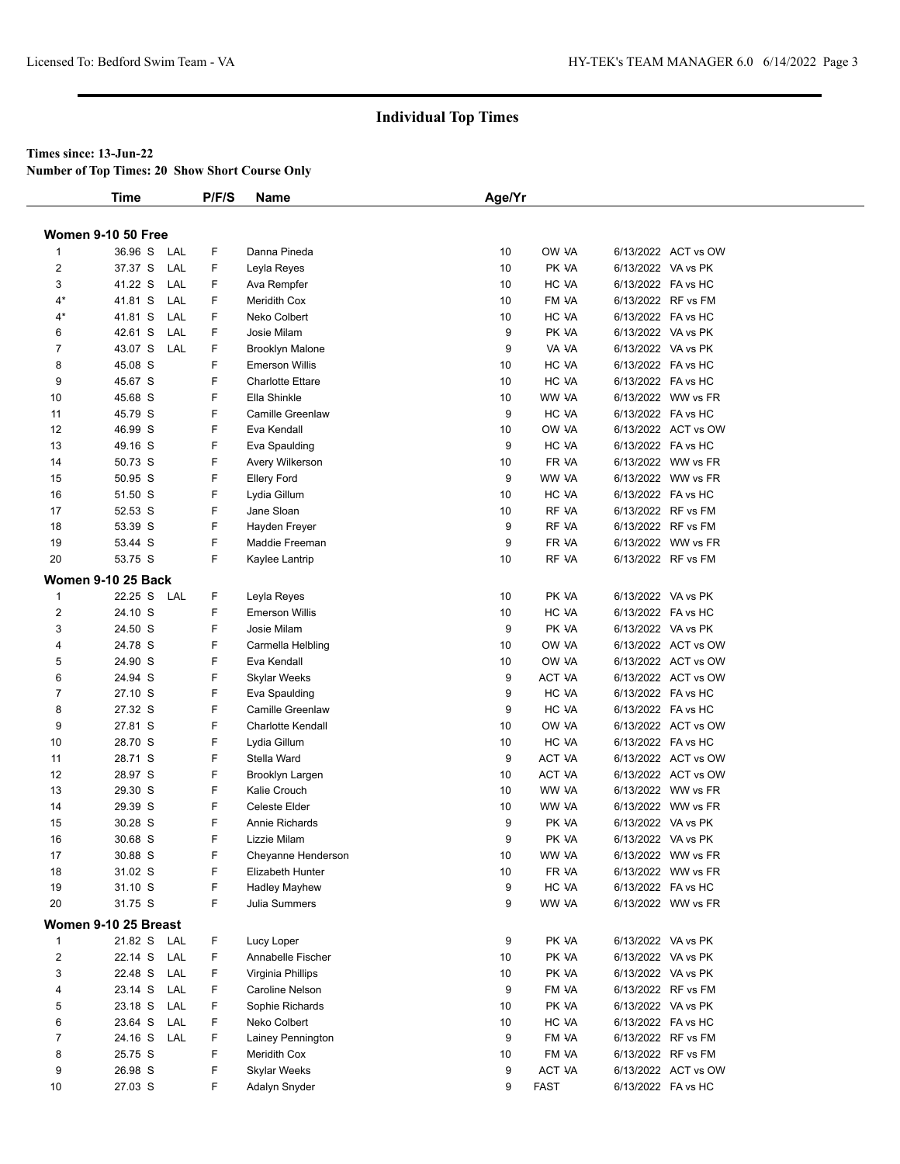**Number of Top Times: 20 Show Short Course Only**

|                         | Time                      | P/F/S     | Name                          | Age/Yr   |                |                    |                                          |
|-------------------------|---------------------------|-----------|-------------------------------|----------|----------------|--------------------|------------------------------------------|
|                         |                           |           |                               |          |                |                    |                                          |
|                         | <b>Women 9-10 50 Free</b> |           |                               |          |                |                    |                                          |
| $\mathbf{1}$            | 36.96 S                   | LAL<br>F  | Danna Pineda                  | 10       | OW VA          |                    | 6/13/2022 ACT vs OW                      |
| $\overline{2}$          | 37.37 S                   | LAL<br>F. | Leyla Reyes                   | 10       | PK VA          | 6/13/2022 VA vs PK |                                          |
| 3                       | 41.22 S                   | LAL<br>F  | Ava Rempfer                   | 10       | HC VA          | 6/13/2022 FA vs HC |                                          |
| $4*$                    | 41.81 S                   | LAL<br>F  | <b>Meridith Cox</b>           | 10       | FM VA          |                    | 6/13/2022 RF vs FM                       |
| $4*$                    | 41.81 S                   | LAL<br>F  | Neko Colbert                  | 10       | HC VA          | 6/13/2022 FA vs HC |                                          |
| 6                       | 42.61 S                   | F<br>LAL  | Josie Milam                   | 9        | PK VA          | 6/13/2022 VA vs PK |                                          |
| $\overline{7}$          | 43.07 S                   | F<br>LAL  | <b>Brooklyn Malone</b>        | 9        | VA VA          | 6/13/2022 VA vs PK |                                          |
| 8                       | 45.08 S                   | F         | <b>Emerson Willis</b>         | 10       | HC VA          | 6/13/2022 FA vs HC |                                          |
| 9                       | 45.67 S                   | F         | <b>Charlotte Ettare</b>       | 10       | HC VA          | 6/13/2022 FA vs HC |                                          |
| 10                      | 45.68 S                   | F         | Ella Shinkle                  | 10       | WW VA          |                    | 6/13/2022 WW vs FR                       |
| 11                      | 45.79 S                   | F         | <b>Camille Greenlaw</b>       | 9        | HC VA          | 6/13/2022 FA vs HC |                                          |
| 12                      | 46.99 S                   | F         | Eva Kendall                   | 10       | OW VA          |                    | 6/13/2022 ACT vs OW                      |
| 13                      | 49.16 S                   | F         | Eva Spaulding                 | 9        | HC VA          | 6/13/2022 FA vs HC |                                          |
| 14                      | 50.73 S                   | F         | Avery Wilkerson               | 10       | FR VA          |                    | 6/13/2022 WW vs FR                       |
| 15                      | 50.95 S                   | F         | <b>Ellery Ford</b>            | 9        | WW VA          |                    | 6/13/2022 WW vs FR                       |
| 16                      | 51.50 S                   | F         | Lydia Gillum                  | 10       | HC VA          | 6/13/2022 FA vs HC |                                          |
| 17                      | 52.53 S                   | F         | Jane Sloan                    | 10       | RF VA          |                    | 6/13/2022 RF vs FM                       |
| 18                      | 53.39 S                   | F         | Hayden Freyer                 | 9        | RF VA          |                    | 6/13/2022 RF vs FM                       |
| 19                      | 53.44 S                   | F         | Maddie Freeman                | 9        | FR VA          |                    | 6/13/2022 WW vs FR                       |
| 20                      | 53.75 S                   | F         | Kaylee Lantrip                | 10       | RF VA          |                    | 6/13/2022 RF vs FM                       |
|                         | <b>Women 9-10 25 Back</b> |           |                               |          |                |                    |                                          |
|                         |                           |           |                               |          |                |                    |                                          |
| $\mathbf{1}$            | 22.25 S LAL               | F         | Leyla Reyes                   | 10       | PK VA          | 6/13/2022 VA vs PK |                                          |
| 2                       | 24.10 S                   | F         | <b>Emerson Willis</b>         | 10       | HC VA          | 6/13/2022 FA vs HC |                                          |
| 3                       | 24.50 S                   | F         | Josie Milam                   | 9        | PK VA          | 6/13/2022 VA vs PK |                                          |
| 4                       | 24.78 S                   | F         | Carmella Helbling             | 10       | OW VA          |                    | 6/13/2022 ACT vs OW                      |
| 5                       | 24.90 S                   | F<br>F    | Eva Kendall                   | 10       | OW VA          |                    | 6/13/2022 ACT vs OW                      |
| 6                       | 24.94 S                   |           | Skylar Weeks                  | 9        | ACT VA         |                    | 6/13/2022 ACT vs OW                      |
| $\overline{7}$          | 27.10 S                   | F         | Eva Spaulding                 | 9        | HC VA          | 6/13/2022 FA vs HC |                                          |
| 8                       | 27.32 S                   | F<br>F    | <b>Camille Greenlaw</b>       | 9        | HC VA          | 6/13/2022 FA vs HC |                                          |
| 9                       | 27.81 S                   |           | Charlotte Kendall             | 10       | OW VA          |                    | 6/13/2022 ACT vs OW                      |
| 10                      | 28.70 S                   | F<br>F    | Lydia Gillum                  | 10       | HC VA          | 6/13/2022 FA vs HC |                                          |
| 11<br>12                | 28.71 S<br>28.97 S        | F         | Stella Ward                   | 9<br>10  | ACT VA         |                    | 6/13/2022 ACT vs OW                      |
|                         |                           | F         | Brooklyn Largen               |          | ACT VA         |                    | 6/13/2022 ACT vs OW                      |
| 13                      | 29.30 S                   | F         | Kalie Crouch<br>Celeste Elder | 10       | WW VA          |                    | 6/13/2022 WW vs FR<br>6/13/2022 WW vs FR |
| 14                      | 29.39 S<br>30.28 S        | F         | Annie Richards                | 10<br>9  | WW VA<br>PK VA | 6/13/2022 VA vs PK |                                          |
| 15                      |                           | F         |                               | 9        |                |                    |                                          |
| 16                      | 30.68 S                   |           | Lizzie Milam                  |          | PK VA          | 6/13/2022 VA vs PK |                                          |
| 17<br>18                | 30.88 S<br>31.02 S        | F<br>F    | Cheyanne Henderson            | 10<br>10 | WW VA<br>FR VA |                    | 6/13/2022 WW vs FR<br>6/13/2022 WW vs FR |
| 19                      | 31.10 S                   |           | Elizabeth Hunter              |          | HC VA          | 6/13/2022 FA vs HC |                                          |
|                         |                           | F<br>F    | <b>Hadley Mayhew</b>          | 9<br>9   |                |                    |                                          |
| 20                      | 31.75 S                   |           | <b>Julia Summers</b>          |          | WW VA          |                    | 6/13/2022 WW vs FR                       |
|                         | Women 9-10 25 Breast      |           |                               |          |                |                    |                                          |
| $\mathbf{1}$            | 21.82 S LAL               | F         | Lucy Loper                    | 9        | PK VA          | 6/13/2022 VA vs PK |                                          |
| $\overline{\mathbf{c}}$ | 22.14 S                   | F<br>LAL  | Annabelle Fischer             | 10       | PK VA          | 6/13/2022 VA vs PK |                                          |
| 3                       | 22.48 S                   | F<br>LAL  | Virginia Phillips             | 10       | PK VA          | 6/13/2022 VA vs PK |                                          |
| 4                       | 23.14 S                   | F<br>LAL  | Caroline Nelson               | 9        | FM VA          |                    | 6/13/2022 RF vs FM                       |
| 5                       | 23.18 S                   | LAL<br>F  | Sophie Richards               | 10       | PK VA          | 6/13/2022 VA vs PK |                                          |
| 6                       | 23.64 S                   | LAL<br>F  | Neko Colbert                  | 10       | HC VA          | 6/13/2022 FA vs HC |                                          |
| 7                       | 24.16 S LAL               | F         | Lainey Pennington             | 9        | FM VA          |                    | 6/13/2022 RF vs FM                       |
| 8                       | 25.75 S                   | F         | Meridith Cox                  | 10       | FM VA          |                    | 6/13/2022 RF vs FM                       |
| 9                       | 26.98 S                   | F         | <b>Skylar Weeks</b>           | 9        | ACT VA         |                    | 6/13/2022 ACT vs OW                      |
| 10                      | 27.03 S                   | F         | Adalyn Snyder                 | 9        | <b>FAST</b>    | 6/13/2022 FA vs HC |                                          |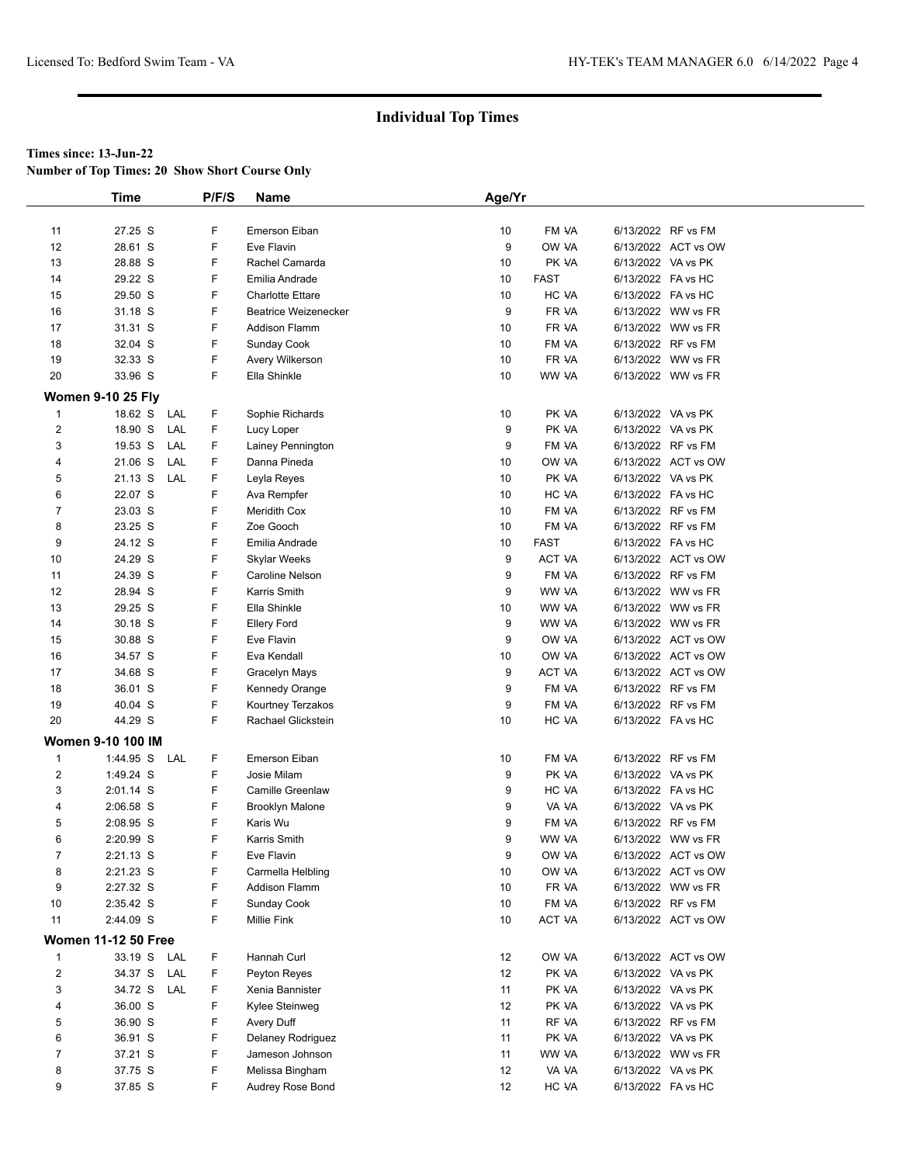**Number of Top Times: 20 Show Short Course Only**

|                | <b>Time</b>                |     | P/F/S | Name                        | Age/Yr          |             |                    |                     |  |
|----------------|----------------------------|-----|-------|-----------------------------|-----------------|-------------|--------------------|---------------------|--|
|                |                            |     |       |                             |                 |             |                    |                     |  |
| 11             | 27.25 S                    |     | F     | Emerson Eiban               | 10              | FM VA       | 6/13/2022 RF vs FM |                     |  |
| 12             | 28.61 S                    |     | F     | Eve Flavin                  | 9               | OW VA       |                    | 6/13/2022 ACT vs OW |  |
| 13             | 28.88 S                    |     | F     | Rachel Camarda              | 10              | PK VA       | 6/13/2022 VA vs PK |                     |  |
| 14             | 29.22 S                    |     | F     | Emilia Andrade              | 10              | <b>FAST</b> | 6/13/2022 FA vs HC |                     |  |
| 15             | 29.50 S                    |     | F     | <b>Charlotte Ettare</b>     | 10              | HC VA       | 6/13/2022 FA vs HC |                     |  |
| 16             | 31.18 S                    |     | F     | <b>Beatrice Weizenecker</b> | 9               | FR VA       |                    | 6/13/2022 WW vs FR  |  |
| 17             | 31.31 S                    |     | F     | <b>Addison Flamm</b>        | 10              | FR VA       |                    | 6/13/2022 WW vs FR  |  |
| 18             | 32.04 S                    |     | F     | Sunday Cook                 | 10              | FM VA       | 6/13/2022 RF vs FM |                     |  |
| 19             | 32.33 S                    |     | F     | Avery Wilkerson             | 10              | FR VA       |                    | 6/13/2022 WW vs FR  |  |
| 20             | 33.96 S                    |     | F     | Ella Shinkle                | 10              | WW VA       |                    | 6/13/2022 WW vs FR  |  |
|                | <b>Women 9-10 25 Fly</b>   |     |       |                             |                 |             |                    |                     |  |
| $\mathbf{1}$   | 18.62 S                    | LAL | F     | Sophie Richards             | 10              | PK VA       | 6/13/2022 VA vs PK |                     |  |
| 2              | 18.90 S                    | LAL | F     | Lucy Loper                  | 9               | PK VA       | 6/13/2022 VA vs PK |                     |  |
| 3              | 19.53 S                    | LAL | F.    | Lainey Pennington           | 9               | FM VA       | 6/13/2022 RF vs FM |                     |  |
| 4              | 21.06 S                    | LAL | F     | Danna Pineda                | 10              | OW VA       |                    | 6/13/2022 ACT vs OW |  |
| 5              | 21.13 S                    | LAL | F     | Leyla Reyes                 | 10              | PK VA       | 6/13/2022 VA vs PK |                     |  |
| 6              | 22.07 S                    |     | F     | Ava Rempfer                 | 10 <sup>1</sup> | HC VA       | 6/13/2022 FA vs HC |                     |  |
| 7              | 23.03 S                    |     | F     | Meridith Cox                | 10              | FM VA       | 6/13/2022 RF vs FM |                     |  |
| 8              | 23.25 S                    |     | F     | Zoe Gooch                   | 10              | FM VA       | 6/13/2022 RF vs FM |                     |  |
| 9              | 24.12 S                    |     | F     | Emilia Andrade              | 10              | <b>FAST</b> | 6/13/2022 FA vs HC |                     |  |
| 10             | 24.29 S                    |     | F     | <b>Skylar Weeks</b>         | 9               | ACT VA      |                    | 6/13/2022 ACT vs OW |  |
| 11             | 24.39 S                    |     | F     | Caroline Nelson             | 9               | FM VA       | 6/13/2022 RF vs FM |                     |  |
| 12             | 28.94 S                    |     | F     | Karris Smith                | 9               | WW VA       |                    | 6/13/2022 WW vs FR  |  |
| 13             | 29.25 S                    |     | F     | Ella Shinkle                | 10              | WW VA       |                    | 6/13/2022 WW vs FR  |  |
| 14             | 30.18 S                    |     | F     | <b>Ellery Ford</b>          | 9               | WW VA       |                    | 6/13/2022 WW vs FR  |  |
| 15             | 30.88 S                    |     | F     | Eve Flavin                  | 9               | OW VA       |                    | 6/13/2022 ACT vs OW |  |
| 16             | 34.57 S                    |     | F     | Eva Kendall                 | 10              | OW VA       |                    | 6/13/2022 ACT vs OW |  |
| 17             | 34.68 S                    |     | F     | Gracelyn Mays               | 9               | ACT VA      |                    | 6/13/2022 ACT vs OW |  |
| 18             | 36.01 S                    |     | F     | Kennedy Orange              | 9               | FM VA       | 6/13/2022 RF vs FM |                     |  |
| 19             | 40.04 S                    |     | F     | Kourtney Terzakos           | 9               | FM VA       | 6/13/2022 RF vs FM |                     |  |
| 20             | 44.29 S                    |     | F     | Rachael Glickstein          | 10              | HC VA       | 6/13/2022 FA vs HC |                     |  |
|                | <b>Women 9-10 100 IM</b>   |     |       |                             |                 |             |                    |                     |  |
| $\mathbf{1}$   | 1:44.95 S LAL              |     | F     | Emerson Eiban               | 10              | FM VA       | 6/13/2022 RF vs FM |                     |  |
| 2              | 1:49.24 S                  |     | F     | Josie Milam                 | 9               | PK VA       | 6/13/2022 VA vs PK |                     |  |
| 3              | 2:01.14 S                  |     | F     | <b>Camille Greenlaw</b>     | 9               | HC VA       | 6/13/2022 FA vs HC |                     |  |
| 4              | 2:06.58 S                  |     | F     | <b>Brooklyn Malone</b>      | 9               | VA VA       | 6/13/2022 VA vs PK |                     |  |
| 5              | 2:08.95 S                  |     | F     | Karis Wu                    | 9               | FM VA       | 6/13/2022 RF vs FM |                     |  |
| 6              | 2:20.99 S                  |     | F     | Karris Smith                | 9               | WW VA       |                    | 6/13/2022 WW vs FR  |  |
| $\overline{7}$ | 2:21.13 S                  |     | F     | Eve Flavin                  | 9               | OW VA       |                    | 6/13/2022 ACT vs OW |  |
| 8              | 2:21.23 S                  |     | F     | Carmella Helbling           | 10              | OW VA       |                    | 6/13/2022 ACT vs OW |  |
| 9              | 2:27.32 S                  |     | F     | Addison Flamm               | 10              | FR VA       |                    | 6/13/2022 WW vs FR  |  |
| 10             | 2:35.42 S                  |     | F     | Sunday Cook                 | 10              | FM VA       |                    | 6/13/2022 RF vs FM  |  |
| 11             | 2:44.09 S                  |     | F     | Millie Fink                 | 10              | ACT VA      |                    | 6/13/2022 ACT vs OW |  |
|                | <b>Women 11-12 50 Free</b> |     |       |                             |                 |             |                    |                     |  |
| 1              | 33.19 S LAL                |     | F.    | Hannah Curl                 | 12              | OW VA       |                    | 6/13/2022 ACT vs OW |  |
| $\overline{2}$ | 34.37 S                    | LAL | F     | Peyton Reyes                | 12              | PK VA       | 6/13/2022 VA vs PK |                     |  |
| 3              | 34.72 S LAL                |     | F     | Xenia Bannister             | 11              | PK VA       | 6/13/2022 VA vs PK |                     |  |
| 4              | 36.00 S                    |     | F     | Kylee Steinweg              | 12              | PK VA       | 6/13/2022 VA vs PK |                     |  |
| 5              | 36.90 S                    |     | F     | Avery Duff                  | 11              | RF VA       | 6/13/2022 RF vs FM |                     |  |
| 6              | 36.91 S                    |     | F     | Delaney Rodriguez           | 11              | PK VA       | 6/13/2022 VA vs PK |                     |  |
| $\overline{7}$ | 37.21 S                    |     | F     | Jameson Johnson             | 11              | WW VA       |                    | 6/13/2022 WW vs FR  |  |
| 8              | 37.75 S                    |     | F     | Melissa Bingham             | 12              | VA VA       | 6/13/2022 VA vs PK |                     |  |
| 9              | 37.85 S                    |     | F.    | Audrey Rose Bond            | 12              | HC VA       | 6/13/2022 FA vs HC |                     |  |
|                |                            |     |       |                             |                 |             |                    |                     |  |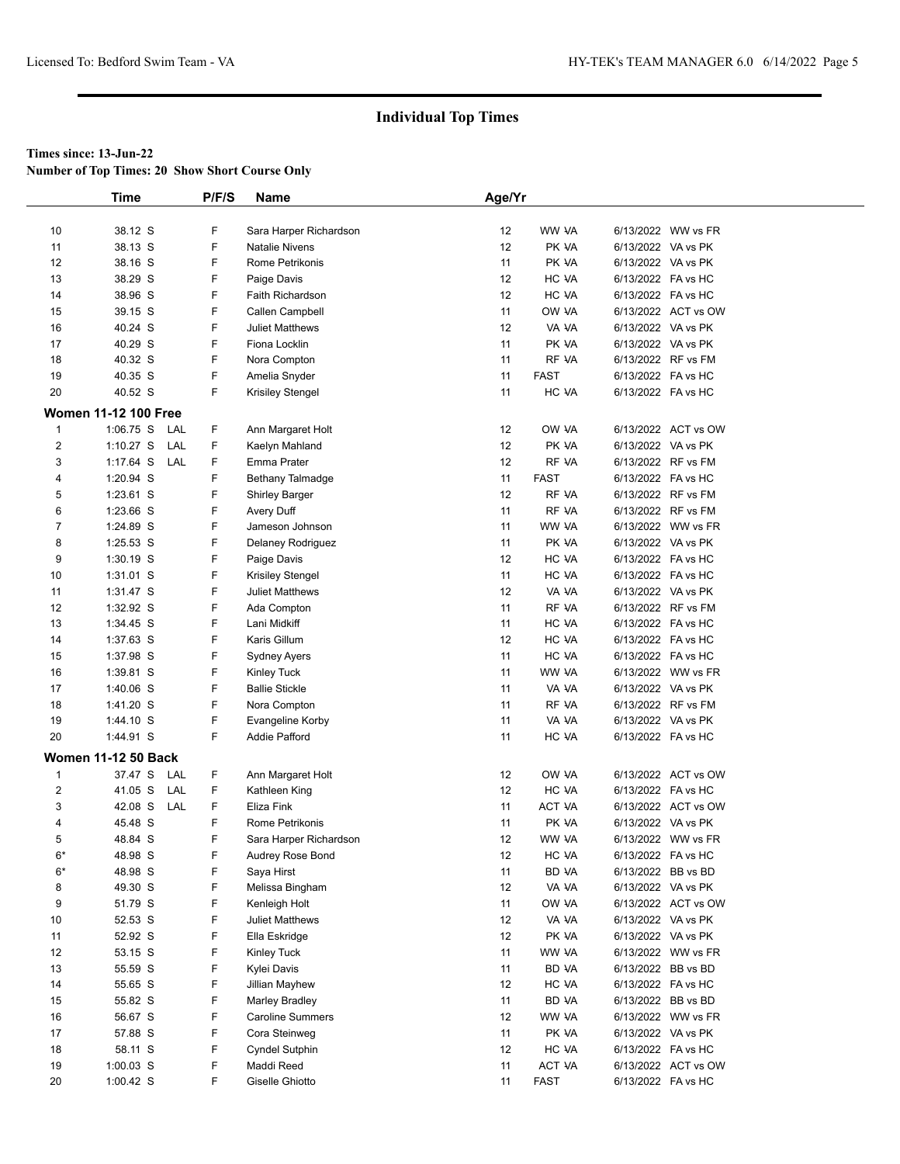**Number of Top Times: 20 Show Short Course Only**

|                         | <b>Time</b>                 | P/F/S | <b>Name</b>             | Age/Yr            |             |                    |                     |
|-------------------------|-----------------------------|-------|-------------------------|-------------------|-------------|--------------------|---------------------|
|                         |                             |       |                         |                   |             |                    |                     |
| 10                      | 38.12 S                     | F     | Sara Harper Richardson  | 12                | WW VA       |                    | 6/13/2022 WW vs FR  |
| 11                      | 38.13 S                     | F     | <b>Natalie Nivens</b>   | 12                | PK VA       | 6/13/2022 VA vs PK |                     |
| 12                      | 38.16 S                     | F     | Rome Petrikonis         | 11                | PK VA       | 6/13/2022 VA vs PK |                     |
| 13                      | 38.29 S                     | F     | Paige Davis             | 12                | HC VA       | 6/13/2022 FA vs HC |                     |
| 14                      | 38.96 S                     | F     | Faith Richardson        | 12                | HC VA       | 6/13/2022 FA vs HC |                     |
| 15                      | 39.15 S                     | F     | Callen Campbell         | 11                | OW VA       |                    | 6/13/2022 ACT vs OW |
| 16                      | 40.24 S                     | F     | <b>Juliet Matthews</b>  | 12                | VA VA       | 6/13/2022 VA vs PK |                     |
| 17                      | 40.29 S                     | F     | Fiona Locklin           | 11                | PK VA       | 6/13/2022 VA vs PK |                     |
| 18                      | 40.32 S                     | F     | Nora Compton            | 11                | RF VA       | 6/13/2022 RF vs FM |                     |
| 19                      | 40.35 S                     | F     | Amelia Snyder           | 11                | <b>FAST</b> | 6/13/2022 FA vs HC |                     |
| 20                      | 40.52 S                     | F     | Krisiley Stengel        | 11                | HC VA       | 6/13/2022 FA vs HC |                     |
|                         | <b>Women 11-12 100 Free</b> |       |                         |                   |             |                    |                     |
| $\mathbf{1}$            | $1:06.75$ S<br>LAL          | F.    | Ann Margaret Holt       | 12                | OW VA       |                    | 6/13/2022 ACT vs OW |
| 2                       | $1:10.27$ S<br>LAL          | F     | Kaelyn Mahland          | $12 \overline{ }$ | PK VA       | 6/13/2022 VA vs PK |                     |
| 3                       | $1:17.64$ S<br>LAL          | F     | Emma Prater             | 12                | RF VA       | 6/13/2022 RF vs FM |                     |
| 4                       | 1:20.94 S                   | F     | Bethany Talmadge        | 11                | <b>FAST</b> | 6/13/2022 FA vs HC |                     |
| 5                       | 1:23.61 S                   | F     | <b>Shirley Barger</b>   | 12                | RF VA       | 6/13/2022 RF vs FM |                     |
| 6                       | 1:23.66 S                   | F     | Avery Duff              | 11                | RF VA       | 6/13/2022 RF vs FM |                     |
| 7                       | 1:24.89 S                   | F     | Jameson Johnson         | 11                | WW VA       |                    | 6/13/2022 WW vs FR  |
| 8                       | 1:25.53 S                   | F     | Delaney Rodriguez       | 11                | PK VA       | 6/13/2022 VA vs PK |                     |
| 9                       | 1:30.19 S                   | F     | Paige Davis             | 12                | HC VA       | 6/13/2022 FA vs HC |                     |
| 10                      | 1:31.01 S                   | F     | Krisiley Stengel        | 11                | HC VA       | 6/13/2022 FA vs HC |                     |
| 11                      | 1:31.47 S                   | F     | <b>Juliet Matthews</b>  | 12                | VA VA       | 6/13/2022 VA vs PK |                     |
| 12                      | 1:32.92 S                   | F     | Ada Compton             | 11                | RF VA       | 6/13/2022 RF vs FM |                     |
| 13                      | 1:34.45 S                   | F     | Lani Midkiff            | 11                | HC VA       | 6/13/2022 FA vs HC |                     |
| 14                      | 1:37.63 S                   | F     | Karis Gillum            | 12                | HC VA       | 6/13/2022 FA vs HC |                     |
| 15                      | 1:37.98 S                   | F     | Sydney Ayers            | 11                | HC VA       | 6/13/2022 FA vs HC |                     |
| 16                      | 1:39.81 S                   | F     | <b>Kinley Tuck</b>      | 11                | WW VA       |                    | 6/13/2022 WW vs FR  |
| 17                      | 1:40.06 S                   | F     | <b>Ballie Stickle</b>   | 11                | VA VA       | 6/13/2022 VA vs PK |                     |
| 18                      | 1:41.20 S                   | F     | Nora Compton            | 11                | RF VA       | 6/13/2022 RF vs FM |                     |
| 19                      | 1:44.10 S                   | F     | Evangeline Korby        | 11                | VA VA       | 6/13/2022 VA vs PK |                     |
| 20                      | 1:44.91 S                   | F     | <b>Addie Pafford</b>    | 11                | HC VA       | 6/13/2022 FA vs HC |                     |
|                         | <b>Women 11-12 50 Back</b>  |       |                         |                   |             |                    |                     |
| $\mathbf 1$             | 37.47 S<br>LAL              | F     | Ann Margaret Holt       | 12                | OW VA       |                    | 6/13/2022 ACT vs OW |
| $\overline{\mathbf{c}}$ | 41.05 S<br>LAL              | F     | Kathleen King           | 12                | HC VA       | 6/13/2022 FA vs HC |                     |
| 3                       | 42.08 S<br>LAL              | F     | Eliza Fink              | 11                | ACT VA      |                    | 6/13/2022 ACT vs OW |
| 4                       | 45.48 S                     | F     | Rome Petrikonis         | 11                | PK VA       | 6/13/2022 VA vs PK |                     |
| 5                       | 48.84 S                     | F     | Sara Harper Richardson  | 12                | WW VA       |                    | 6/13/2022 WW vs FR  |
| $6*$                    | 48.98 S                     | F     | Audrey Rose Bond        | 12                | HC VA       | 6/13/2022 FA vs HC |                     |
| $6*$                    | 48.98 S                     | F     | Saya Hirst              | 11                | BD VA       | 6/13/2022 BB vs BD |                     |
| 8                       | 49.30 S                     | F     | Melissa Bingham         | 12                | VA VA       | 6/13/2022 VA vs PK |                     |
| 9                       | 51.79 S                     | F     | Kenleigh Holt           | 11                | OW VA       |                    | 6/13/2022 ACT vs OW |
| 10                      | 52.53 S                     | F     | Juliet Matthews         | 12                | VA VA       | 6/13/2022 VA vs PK |                     |
| 11                      | 52.92 S                     | F     | Ella Eskridge           | 12                | PK VA       | 6/13/2022 VA vs PK |                     |
| 12                      | 53.15 S                     | F     | Kinley Tuck             | 11                | WW VA       |                    | 6/13/2022 WW vs FR  |
| 13                      | 55.59 S                     | F     | Kylei Davis             | 11                | BD VA       | 6/13/2022 BB vs BD |                     |
| 14                      | 55.65 S                     | F     | Jillian Mayhew          | 12                | HC VA       | 6/13/2022 FA vs HC |                     |
| 15                      | 55.82 S                     | F     | <b>Marley Bradley</b>   | 11                | BD VA       | 6/13/2022 BB vs BD |                     |
| 16                      | 56.67 S                     | F     | <b>Caroline Summers</b> | 12                | WW VA       |                    | 6/13/2022 WW vs FR  |
| 17                      | 57.88 S                     | F     | Cora Steinweg           | 11                | PK VA       | 6/13/2022 VA vs PK |                     |
| 18                      | 58.11 S                     | F     | <b>Cyndel Sutphin</b>   | 12                | HC VA       | 6/13/2022 FA vs HC |                     |
| 19                      | $1:00.03$ S                 | F     | Maddi Reed              | 11                | ACT VA      |                    | 6/13/2022 ACT vs OW |
| 20                      | $1:00.42$ S                 | F     | Giselle Ghiotto         | 11                | <b>FAST</b> | 6/13/2022 FA vs HC |                     |
|                         |                             |       |                         |                   |             |                    |                     |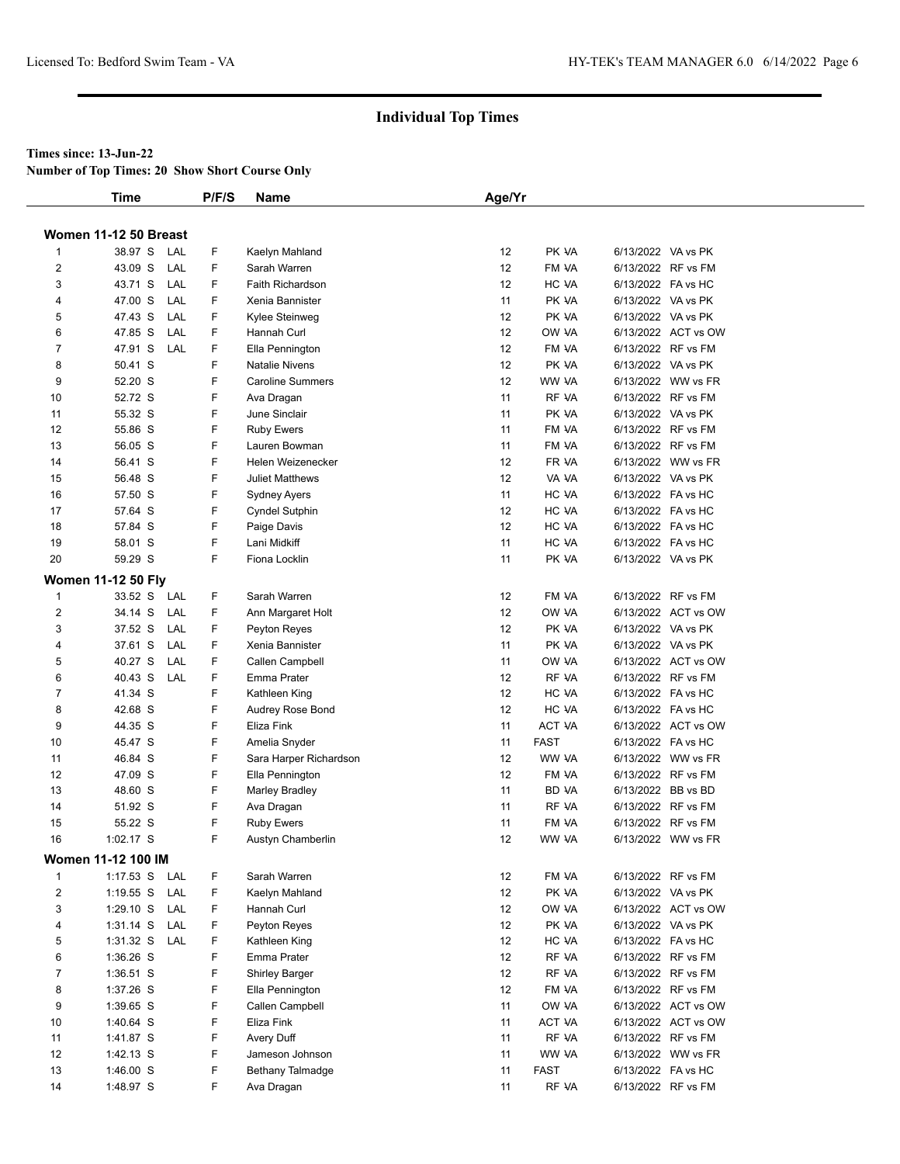**Number of Top Times: 20 Show Short Course Only**

|                         | Time                      | P/F/S    | Name                    | Age/Yr |             |                    |                     |
|-------------------------|---------------------------|----------|-------------------------|--------|-------------|--------------------|---------------------|
|                         |                           |          |                         |        |             |                    |                     |
|                         | Women 11-12 50 Breast     |          |                         |        |             |                    |                     |
| 1                       | 38.97 S                   | LAL<br>F | Kaelyn Mahland          | 12     | PK VA       | 6/13/2022 VA vs PK |                     |
| $\overline{\mathbf{c}}$ | 43.09 S                   | LAL<br>F | Sarah Warren            | 12     | FM VA       |                    | 6/13/2022 RF vs FM  |
| 3                       | 43.71 S                   | F<br>LAL | Faith Richardson        | 12     | HC VA       |                    | 6/13/2022 FA vs HC  |
| 4                       | 47.00 S                   | LAL<br>F | Xenia Bannister         | 11     | PK VA       | 6/13/2022 VA vs PK |                     |
| 5                       | 47.43 S                   | LAL<br>F | Kylee Steinweg          | 12     | PK VA       |                    | 6/13/2022 VA vs PK  |
| 6                       | 47.85 S                   | LAL<br>F | Hannah Curl             | 12     | OW VA       |                    | 6/13/2022 ACT vs OW |
| 7                       | 47.91 S                   | LAL<br>F | Ella Pennington         | 12     | FM VA       |                    | 6/13/2022 RF vs FM  |
| 8                       | 50.41 S                   | F        | <b>Natalie Nivens</b>   | 12     | PK VA       |                    | 6/13/2022 VA vs PK  |
| 9                       | 52.20 S                   | F        | <b>Caroline Summers</b> | 12     | WW VA       |                    | 6/13/2022 WW vs FR  |
| 10                      | 52.72 S                   | F        | Ava Dragan              | 11     | RF VA       |                    | 6/13/2022 RF vs FM  |
| 11                      | 55.32 S                   | F        | June Sinclair           | 11     | PK VA       |                    | 6/13/2022 VA vs PK  |
| 12                      | 55.86 S                   | F        | <b>Ruby Ewers</b>       | 11     | FM VA       |                    | 6/13/2022 RF vs FM  |
| 13                      | 56.05 S                   | F        | Lauren Bowman           | 11     | FM VA       |                    | 6/13/2022 RF vs FM  |
| 14                      | 56.41 S                   | F        | Helen Weizenecker       | 12     | FR VA       |                    | 6/13/2022 WW vs FR  |
| 15                      | 56.48 S                   | F        | <b>Juliet Matthews</b>  | 12     | VA VA       |                    | 6/13/2022 VA vs PK  |
| 16                      | 57.50 S                   | F        | Sydney Ayers            | 11     | HC VA       | 6/13/2022 FA vs HC |                     |
| 17                      | 57.64 S                   | F        | <b>Cyndel Sutphin</b>   | 12     | HC VA       | 6/13/2022 FA vs HC |                     |
| 18                      | 57.84 S                   | F        | Paige Davis             | 12     | HC VA       |                    | 6/13/2022 FA vs HC  |
| 19                      | 58.01 S                   | F        | Lani Midkiff            | 11     | HC VA       | 6/13/2022 FA vs HC |                     |
| 20                      | 59.29 S                   | F        | Fiona Locklin           | 11     | PK VA       |                    | 6/13/2022 VA vs PK  |
|                         | <b>Women 11-12 50 Flv</b> |          |                         |        |             |                    |                     |
| 1                       | 33.52 S                   | F<br>LAL | Sarah Warren            | 12     | FM VA       |                    | 6/13/2022 RF vs FM  |
| $\overline{2}$          | 34.14 S                   | LAL<br>F | Ann Margaret Holt       | 12     | OW VA       |                    | 6/13/2022 ACT vs OW |
| 3                       | 37.52 S                   | F<br>LAL | Peyton Reyes            | 12     | PK VA       | 6/13/2022 VA vs PK |                     |
| 4                       | 37.61 S                   | F<br>LAL | Xenia Bannister         | 11     | PK VA       | 6/13/2022 VA vs PK |                     |
| 5                       | 40.27 S                   | F<br>LAL | Callen Campbell         | 11     | OW VA       |                    | 6/13/2022 ACT vs OW |
| 6                       | 40.43 S                   | LAL<br>F | Emma Prater             | 12     | RF VA       |                    | 6/13/2022 RF vs FM  |
| 7                       | 41.34 S                   | F        | Kathleen King           | 12     | HC VA       |                    | 6/13/2022 FA vs HC  |
| 8                       | 42.68 S                   | F        | Audrey Rose Bond        | 12     | HC VA       | 6/13/2022 FA vs HC |                     |
| 9                       | 44.35 S                   | F        | Eliza Fink              | 11     | ACT VA      |                    | 6/13/2022 ACT vs OW |
| 10                      | 45.47 S                   | F        | Amelia Snyder           | 11     | <b>FAST</b> | 6/13/2022 FA vs HC |                     |
| 11                      | 46.84 S                   | F        | Sara Harper Richardson  | 12     | WW VA       |                    | 6/13/2022 WW vs FR  |
| 12                      | 47.09 S                   | F        | Ella Pennington         | 12     | FM VA       |                    | 6/13/2022 RF vs FM  |
| 13                      | 48.60 S                   | F        | <b>Marley Bradley</b>   | 11     | BD VA       |                    | 6/13/2022 BB vs BD  |
| 14                      | 51.92 S                   | F        | Ava Dragan              | 11     | RF VA       |                    | 6/13/2022 RF vs FM  |
| 15                      | 55.22 S                   | F        | <b>Ruby Ewers</b>       | 11     | FM VA       |                    | 6/13/2022 RF vs FM  |
| 16                      | $1:02.17$ S               | F        | Austyn Chamberlin       | 12     | WW VA       |                    | 6/13/2022 WW vs FR  |
|                         | Women 11-12 100 IM        |          |                         |        |             |                    |                     |
| 1                       | $1:17.53$ S               | F<br>LAL | Sarah Warren            | 12     | FM VA       |                    | 6/13/2022 RF vs FM  |
| $\overline{2}$          | $1:19.55$ S               | LAL<br>F | Kaelyn Mahland          | 12     | PK VA       | 6/13/2022 VA vs PK |                     |
| 3                       | $1:29.10$ S               | F<br>LAL | Hannah Curl             | 12     | OW VA       |                    | 6/13/2022 ACT vs OW |
| 4                       | $1:31.14$ S               | LAL<br>F | Peyton Reyes            | 12     | PK VA       | 6/13/2022 VA vs PK |                     |
| 5                       | $1:31.32$ S               | LAL<br>F | Kathleen King           | 12     | HC VA       |                    | 6/13/2022 FA vs HC  |
| 6                       | 1:36.26 S                 | F        | Emma Prater             | 12     | RF VA       |                    | 6/13/2022 RF vs FM  |
| $\overline{7}$          | $1:36.51$ S               | F        | <b>Shirley Barger</b>   | 12     | RF VA       |                    | 6/13/2022 RF vs FM  |
| 8                       | 1:37.26 S                 | F        | Ella Pennington         | 12     | FM VA       |                    | 6/13/2022 RF vs FM  |
| 9                       | 1:39.65 S                 | F        | Callen Campbell         | 11     | OW VA       |                    | 6/13/2022 ACT vs OW |
| 10                      | 1:40.64 S                 | F        | Eliza Fink              | 11     | ACT VA      |                    | 6/13/2022 ACT vs OW |
| 11                      | 1:41.87 S                 | F        | Avery Duff              | 11     | RF VA       |                    | 6/13/2022 RF vs FM  |
| 12                      | 1:42.13 S                 | F        | Jameson Johnson         | 11     | WW VA       |                    | 6/13/2022 WW vs FR  |
| 13                      | 1:46.00 S                 | F        | Bethany Talmadge        | 11     | <b>FAST</b> |                    | 6/13/2022 FA vs HC  |
| 14                      | 1:48.97 S                 | F        | Ava Dragan              | 11     | RF VA       |                    | 6/13/2022 RF vs FM  |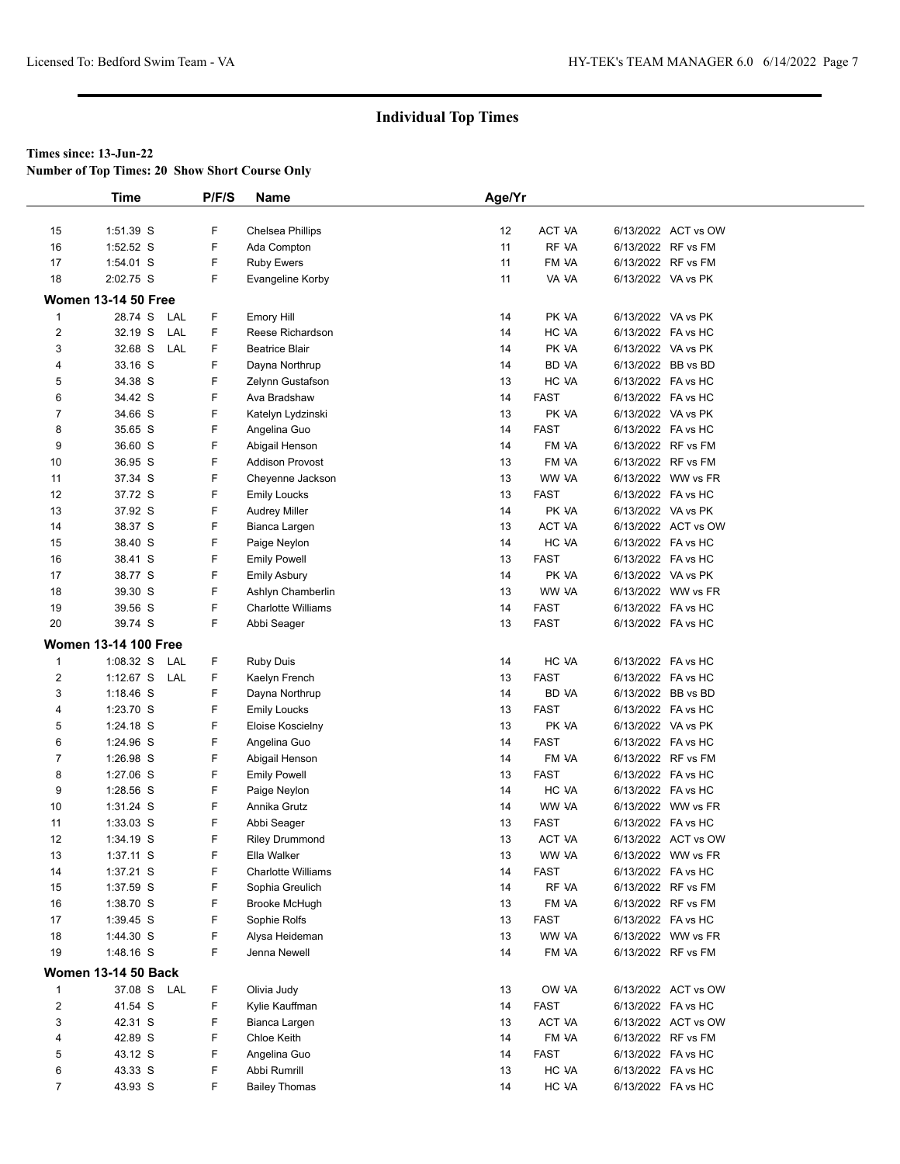**Number of Top Times: 20 Show Short Course Only**

|                         | <b>Time</b>                 | P/F/S  | Name                                           | Age/Yr   |                      |                    |                     |  |
|-------------------------|-----------------------------|--------|------------------------------------------------|----------|----------------------|--------------------|---------------------|--|
|                         |                             |        |                                                |          |                      |                    |                     |  |
| 15                      | 1:51.39 S                   | F      | Chelsea Phillips                               | 12       | ACT VA               |                    | 6/13/2022 ACT vs OW |  |
| 16                      | 1:52.52 S                   | F      | Ada Compton                                    | 11       | RF VA                |                    | 6/13/2022 RF vs FM  |  |
| 17                      | 1:54.01 S                   | F      | <b>Ruby Ewers</b>                              | 11       | FM VA                |                    | 6/13/2022 RF vs FM  |  |
| 18                      | 2:02.75 S                   | F      | Evangeline Korby                               | 11       | VA VA                |                    | 6/13/2022 VA vs PK  |  |
|                         | <b>Women 13-14 50 Free</b>  |        |                                                |          |                      |                    |                     |  |
| 1                       | 28.74 S<br>LAL              | F      | Emory Hill                                     | 14       | PK VA                |                    | 6/13/2022 VA vs PK  |  |
| 2                       | 32.19 S<br>LAL              | F      | Reese Richardson                               | 14       | HC VA                | 6/13/2022 FA vs HC |                     |  |
| 3                       | 32.68 S<br>LAL              | F      | <b>Beatrice Blair</b>                          | 14       | PK VA                |                    | 6/13/2022 VA vs PK  |  |
| 4                       | 33.16 S                     | F      | Dayna Northrup                                 | 14       | BD VA                |                    | 6/13/2022 BB vs BD  |  |
| 5                       | 34.38 S                     | F      | Zelynn Gustafson                               | 13       | HC VA                | 6/13/2022 FA vs HC |                     |  |
| 6                       | 34.42 S                     | F      | Ava Bradshaw                                   | 14       | <b>FAST</b>          |                    | 6/13/2022 FA vs HC  |  |
| 7                       | 34.66 S                     | F      | Katelyn Lydzinski                              | 13       | PK VA                |                    | 6/13/2022 VA vs PK  |  |
| 8                       | 35.65 S                     | F      | Angelina Guo                                   | 14       | <b>FAST</b>          | 6/13/2022 FA vs HC |                     |  |
| 9                       | 36.60 S                     | F      | Abigail Henson                                 | 14       | FM VA                |                    | 6/13/2022 RF vs FM  |  |
| 10                      | 36.95 S                     | F      | <b>Addison Provost</b>                         | 13       | FM VA                |                    | 6/13/2022 RF vs FM  |  |
| 11                      | 37.34 S                     | F      | Cheyenne Jackson                               | 13       | WW VA                |                    | 6/13/2022 WW vs FR  |  |
| 12                      | 37.72 S                     | F      | <b>Emily Loucks</b>                            | 13       | <b>FAST</b>          |                    | 6/13/2022 FA vs HC  |  |
| 13                      | 37.92 S                     | F      | <b>Audrey Miller</b>                           | 14       | PK VA                | 6/13/2022 VA vs PK |                     |  |
| 14                      | 38.37 S                     | F      | Bianca Largen                                  | 13       | <b>ACT VA</b>        |                    | 6/13/2022 ACT vs OW |  |
| 15                      | 38.40 S                     | F      | Paige Neylon                                   | 14       | HC VA                | 6/13/2022 FA vs HC |                     |  |
| 16                      | 38.41 S                     | F      | <b>Emily Powell</b>                            | 13       | <b>FAST</b>          | 6/13/2022 FA vs HC |                     |  |
| 17                      | 38.77 S                     | F<br>F | <b>Emily Asbury</b>                            | 14<br>13 | PK VA<br>WW VA       | 6/13/2022 VA vs PK |                     |  |
| 18                      | 39.30 S<br>39.56 S          | F      | Ashlyn Chamberlin<br><b>Charlotte Williams</b> | 14       | <b>FAST</b>          | 6/13/2022 FA vs HC | 6/13/2022 WW vs FR  |  |
| 19<br>20                | 39.74 S                     | F      |                                                | 13       | <b>FAST</b>          | 6/13/2022 FA vs HC |                     |  |
|                         |                             |        | Abbi Seager                                    |          |                      |                    |                     |  |
|                         | <b>Women 13-14 100 Free</b> |        |                                                |          |                      |                    |                     |  |
| $\mathbf{1}$            | 1:08.32 S<br>LAL            | F      | <b>Ruby Duis</b>                               | 14       | HC VA                | 6/13/2022 FA vs HC |                     |  |
| $\overline{c}$          | $1:12.67$ S<br>LAL          | F      | Kaelyn French                                  | 13       | <b>FAST</b>          |                    | 6/13/2022 FA vs HC  |  |
| 3                       | $1:18.46$ S                 | F      | Dayna Northrup                                 | 14       | BD VA                |                    | 6/13/2022 BB vs BD  |  |
| 4                       | 1:23.70 S                   | F      | <b>Emily Loucks</b>                            | 13       | <b>FAST</b>          |                    | 6/13/2022 FA vs HC  |  |
| 5                       | 1:24.18 S                   | F      | Eloise Koscielny                               | 13       | PK VA                | 6/13/2022 VA vs PK |                     |  |
| 6                       | 1:24.96 S                   | F<br>F | Angelina Guo                                   | 14       | <b>FAST</b>          | 6/13/2022 FA vs HC | 6/13/2022 RF vs FM  |  |
| 7<br>8                  | 1:26.98 S                   | F      | Abigail Henson                                 | 14<br>13 | FM VA<br><b>FAST</b> |                    |                     |  |
| 9                       | 1:27.06 S<br>1:28.56 S      | F      | <b>Emily Powell</b>                            | 14       | HC VA                | 6/13/2022 FA vs HC | 6/13/2022 FA vs HC  |  |
| 10                      | $1:31.24$ S                 | F      | Paige Neylon<br>Annika Grutz                   | 14       | WW VA                |                    | 6/13/2022 WW vs FR  |  |
| 11                      | $1:33.03$ S                 | F      | Abbi Seager                                    | 13       | FAST                 | 6/13/2022 FA vs HC |                     |  |
| 12                      | 1:34.19 S                   | F      | <b>Riley Drummond</b>                          | 13       | ACT VA               |                    | 6/13/2022 ACT vs OW |  |
| 13                      | 1:37.11 S                   | F      | Ella Walker                                    | 13       | WW VA                |                    | 6/13/2022 WW vs FR  |  |
| 14                      | 1:37.21 S                   | F      | <b>Charlotte Williams</b>                      | 14       | <b>FAST</b>          |                    | 6/13/2022 FA vs HC  |  |
| 15                      | 1:37.59 S                   | F      | Sophia Greulich                                | 14       | RF VA                |                    | 6/13/2022 RF vs FM  |  |
| 16                      | 1:38.70 S                   | F      | <b>Brooke McHugh</b>                           | 13       | FM VA                |                    | 6/13/2022 RF vs FM  |  |
| 17                      | $1:39.45$ S                 | F      | Sophie Rolfs                                   | 13       | FAST                 |                    | 6/13/2022 FA vs HC  |  |
| 18                      | 1:44.30 S                   | F      | Alysa Heideman                                 | 13       | WW VA                |                    | 6/13/2022 WW vs FR  |  |
| 19                      | 1:48.16 S                   | F      | Jenna Newell                                   | 14       | FM VA                |                    | 6/13/2022 RF vs FM  |  |
|                         | <b>Women 13-14 50 Back</b>  |        |                                                |          |                      |                    |                     |  |
| 1                       | 37.08 S LAL                 | F      | Olivia Judy                                    |          | OW VA                |                    | 6/13/2022 ACT vs OW |  |
| $\overline{\mathbf{c}}$ | 41.54 S                     | F      | Kylie Kauffman                                 | 13<br>14 | <b>FAST</b>          |                    | 6/13/2022 FA vs HC  |  |
| 3                       | 42.31 S                     | F      | Bianca Largen                                  | 13       | ACT VA               |                    | 6/13/2022 ACT vs OW |  |
| 4                       | 42.89 S                     | F      | Chloe Keith                                    | 14       | FM VA                |                    | 6/13/2022 RF vs FM  |  |
| 5                       | 43.12 S                     | F      | Angelina Guo                                   | 14       | <b>FAST</b>          |                    | 6/13/2022 FA vs HC  |  |
| 6                       | 43.33 S                     | F      | Abbi Rumrill                                   | 13       | HC VA                | 6/13/2022 FA vs HC |                     |  |
| $\overline{7}$          | 43.93 S                     | F      | <b>Bailey Thomas</b>                           | 14       | HC VA                | 6/13/2022 FA vs HC |                     |  |
|                         |                             |        |                                                |          |                      |                    |                     |  |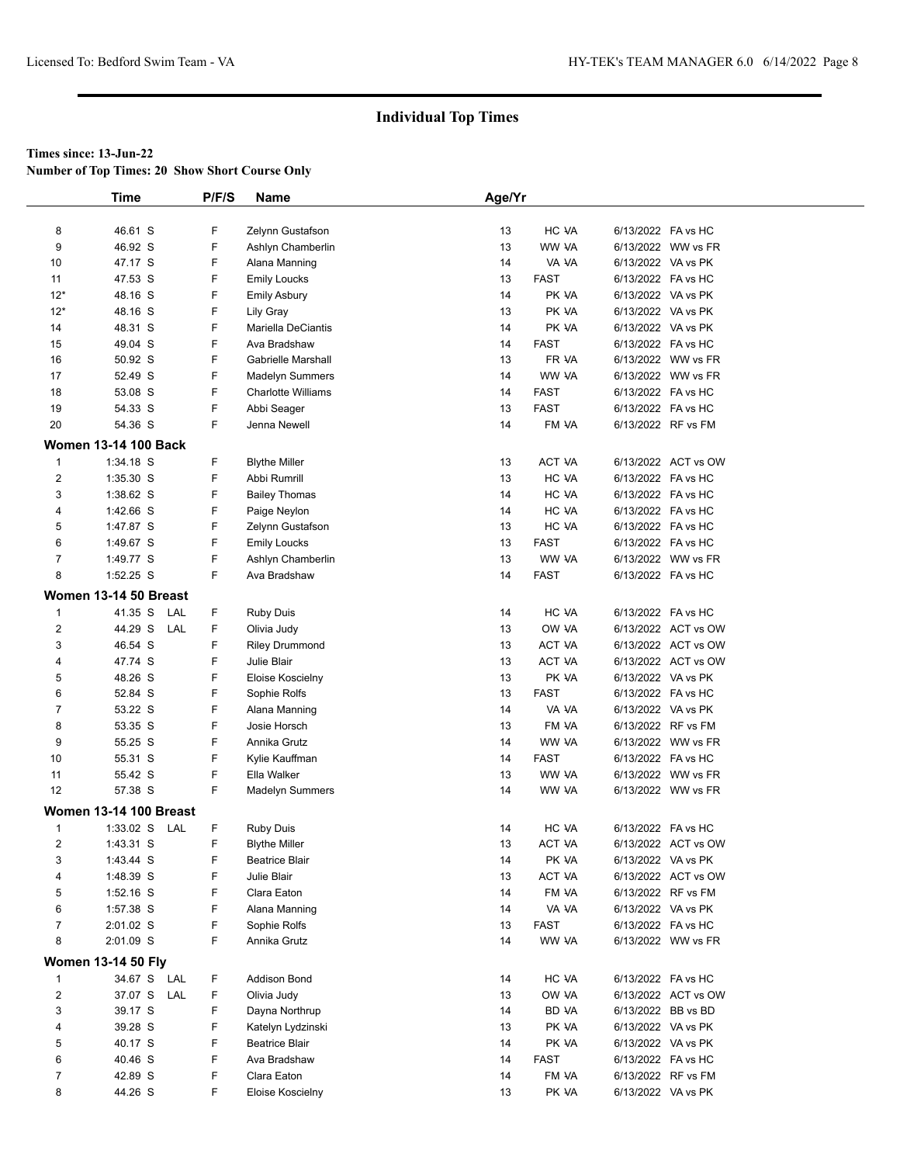**Number of Top Times: 20 Show Short Course Only**

|                         | <b>Time</b>                   | P/F/S | <b>Name</b>                           | Age/Yr |             |                    |                     |
|-------------------------|-------------------------------|-------|---------------------------------------|--------|-------------|--------------------|---------------------|
|                         | 46.61 S                       | F     |                                       | 13     | HC VA       | 6/13/2022 FA vs HC |                     |
| 8<br>9                  | 46.92 S                       | F     | Zelynn Gustafson<br>Ashlyn Chamberlin | 13     | WW VA       |                    | 6/13/2022 WW vs FR  |
| 10                      | 47.17 S                       | F     | Alana Manning                         | 14     | VA VA       | 6/13/2022 VA vs PK |                     |
| 11                      | 47.53 S                       | F     | <b>Emily Loucks</b>                   | 13     | <b>FAST</b> | 6/13/2022 FA vs HC |                     |
| $12*$                   | 48.16 S                       | F     |                                       | 14     | PK VA       | 6/13/2022 VA vs PK |                     |
| $12*$                   | 48.16 S                       | F     | <b>Emily Asbury</b>                   | 13     | PK VA       | 6/13/2022 VA vs PK |                     |
| 14                      |                               | F     | Lily Gray<br>Mariella DeCiantis       | 14     | PK VA       | 6/13/2022 VA vs PK |                     |
| 15                      | 48.31 S<br>49.04 S            | F     | Ava Bradshaw                          | 14     | <b>FAST</b> | 6/13/2022 FA vs HC |                     |
|                         | 50.92 S                       | F     | Gabrielle Marshall                    | 13     | FR VA       |                    | 6/13/2022 WW vs FR  |
| 16<br>17                | 52.49 S                       | F     | Madelyn Summers                       | 14     | WW VA       |                    |                     |
| 18                      | 53.08 S                       | F     | <b>Charlotte Williams</b>             | 14     | <b>FAST</b> |                    | 6/13/2022 WW vs FR  |
|                         |                               | F     |                                       |        | <b>FAST</b> | 6/13/2022 FA vs HC |                     |
| 19                      | 54.33 S                       | F     | Abbi Seager                           | 13     |             | 6/13/2022 FA vs HC |                     |
| 20                      | 54.36 S                       |       | Jenna Newell                          | 14     | FM VA       |                    | 6/13/2022 RF vs FM  |
|                         | <b>Women 13-14 100 Back</b>   |       |                                       |        |             |                    |                     |
| $\mathbf{1}$            | 1:34.18 S                     | F     | <b>Blythe Miller</b>                  | 13     | ACT VA      |                    | 6/13/2022 ACT vs OW |
| 2                       | 1:35.30 S                     | F     | Abbi Rumrill                          | 13     | HC VA       | 6/13/2022 FA vs HC |                     |
| 3                       | 1:38.62 S                     | F     | <b>Bailey Thomas</b>                  | 14     | HC VA       | 6/13/2022 FA vs HC |                     |
| 4                       | 1:42.66 S                     | F     | Paige Neylon                          | 14     | HC VA       | 6/13/2022 FA vs HC |                     |
| 5                       | 1:47.87 S                     | F     | Zelynn Gustafson                      | 13     | HC VA       | 6/13/2022 FA vs HC |                     |
| 6                       | 1:49.67 S                     | F     | <b>Emily Loucks</b>                   | 13     | <b>FAST</b> | 6/13/2022 FA vs HC |                     |
| 7                       | 1:49.77 S                     | F     | Ashlyn Chamberlin                     | 13     | WW VA       |                    | 6/13/2022 WW vs FR  |
| 8                       | 1:52.25 S                     | F     | Ava Bradshaw                          | 14     | <b>FAST</b> | 6/13/2022 FA vs HC |                     |
|                         | Women 13-14 50 Breast         |       |                                       |        |             |                    |                     |
| 1                       | 41.35 S LAL                   | F     | <b>Ruby Duis</b>                      | 14     | HC VA       | 6/13/2022 FA vs HC |                     |
| $\overline{\mathbf{c}}$ | 44.29 S LAL                   | F     | Olivia Judy                           | 13     | OW VA       |                    | 6/13/2022 ACT vs OW |
| 3                       | 46.54 S                       | F     | <b>Riley Drummond</b>                 | 13     | ACT VA      |                    | 6/13/2022 ACT vs OW |
| 4                       | 47.74 S                       | F     | Julie Blair                           | 13     | ACT VA      |                    | 6/13/2022 ACT vs OW |
| 5                       | 48.26 S                       | F     | Eloise Koscielny                      | 13     | PK VA       | 6/13/2022 VA vs PK |                     |
| 6                       | 52.84 S                       | F     | Sophie Rolfs                          | 13     | <b>FAST</b> | 6/13/2022 FA vs HC |                     |
| $\overline{7}$          | 53.22 S                       | F     | Alana Manning                         | 14     | VA VA       | 6/13/2022 VA vs PK |                     |
| 8                       | 53.35 S                       | F     | Josie Horsch                          | 13     | FM VA       |                    | 6/13/2022 RF vs FM  |
| 9                       | 55.25 S                       | F     | Annika Grutz                          | 14     | WW VA       |                    | 6/13/2022 WW vs FR  |
| 10                      | 55.31 S                       | F     | Kylie Kauffman                        | 14     | <b>FAST</b> | 6/13/2022 FA vs HC |                     |
| 11                      | 55.42 S                       | F     | Ella Walker                           | 13     | WW VA       |                    | 6/13/2022 WW vs FR  |
| 12                      | 57.38 S                       | F     | Madelyn Summers                       | 14     | WW VA       |                    | 6/13/2022 WW vs FR  |
|                         | <b>Women 13-14 100 Breast</b> |       |                                       |        |             |                    |                     |
| 1                       | 1:33.02 S LAL                 | F     | <b>Ruby Duis</b>                      | 14     | HC VA       | 6/13/2022 FA vs HC |                     |
| $\overline{2}$          | 1:43.31 S                     | F     | <b>Blythe Miller</b>                  | 13     | ACT VA      |                    | 6/13/2022 ACT vs OW |
| 3                       | 1:43.44 S                     | F     | <b>Beatrice Blair</b>                 | 14     | PK VA       | 6/13/2022 VA vs PK |                     |
| 4                       | 1:48.39 S                     | F     | Julie Blair                           | 13     | ACT VA      |                    | 6/13/2022 ACT vs OW |
| 5                       | $1:52.16$ S                   | F     | Clara Eaton                           | 14     | FM VA       | 6/13/2022 RF vs FM |                     |
| 6                       | 1:57.38 S                     | F     | Alana Manning                         | 14     | VA VA       | 6/13/2022 VA vs PK |                     |
| $\overline{7}$          | 2:01.02 S                     | F     | Sophie Rolfs                          | 13     | <b>FAST</b> | 6/13/2022 FA vs HC |                     |
| 8                       | 2:01.09 S                     | F     | Annika Grutz                          | 14     | WW VA       |                    | 6/13/2022 WW vs FR  |
|                         |                               |       |                                       |        |             |                    |                     |
|                         | <b>Women 13-14 50 Fly</b>     |       |                                       |        |             | 6/13/2022 FA vs HC |                     |
| 1                       | 34.67 S LAL                   | F     | Addison Bond                          | 14     | HC VA       |                    |                     |
| 2                       | 37.07 S LAL                   | F.    | Olivia Judy                           | 13     | OW VA       |                    | 6/13/2022 ACT vs OW |
| 3                       | 39.17 S                       | F     | Dayna Northrup                        | 14     | BD VA       | 6/13/2022 BB vs BD |                     |
| 4                       | 39.28 S                       | F     | Katelyn Lydzinski                     | 13     | PK VA       | 6/13/2022 VA vs PK |                     |
| 5                       | 40.17 S                       | F     | <b>Beatrice Blair</b>                 | 14     | PK VA       | 6/13/2022 VA vs PK |                     |
| 6                       | 40.46 S                       | F     | Ava Bradshaw                          | 14     | FAST        | 6/13/2022 FA vs HC |                     |
| 7                       | 42.89 S                       | F     | Clara Eaton                           | 14     | FM VA       |                    | 6/13/2022 RF vs FM  |
| 8                       | 44.26 S                       | F     | Eloise Koscielny                      | 13     | PK VA       | 6/13/2022 VA vs PK |                     |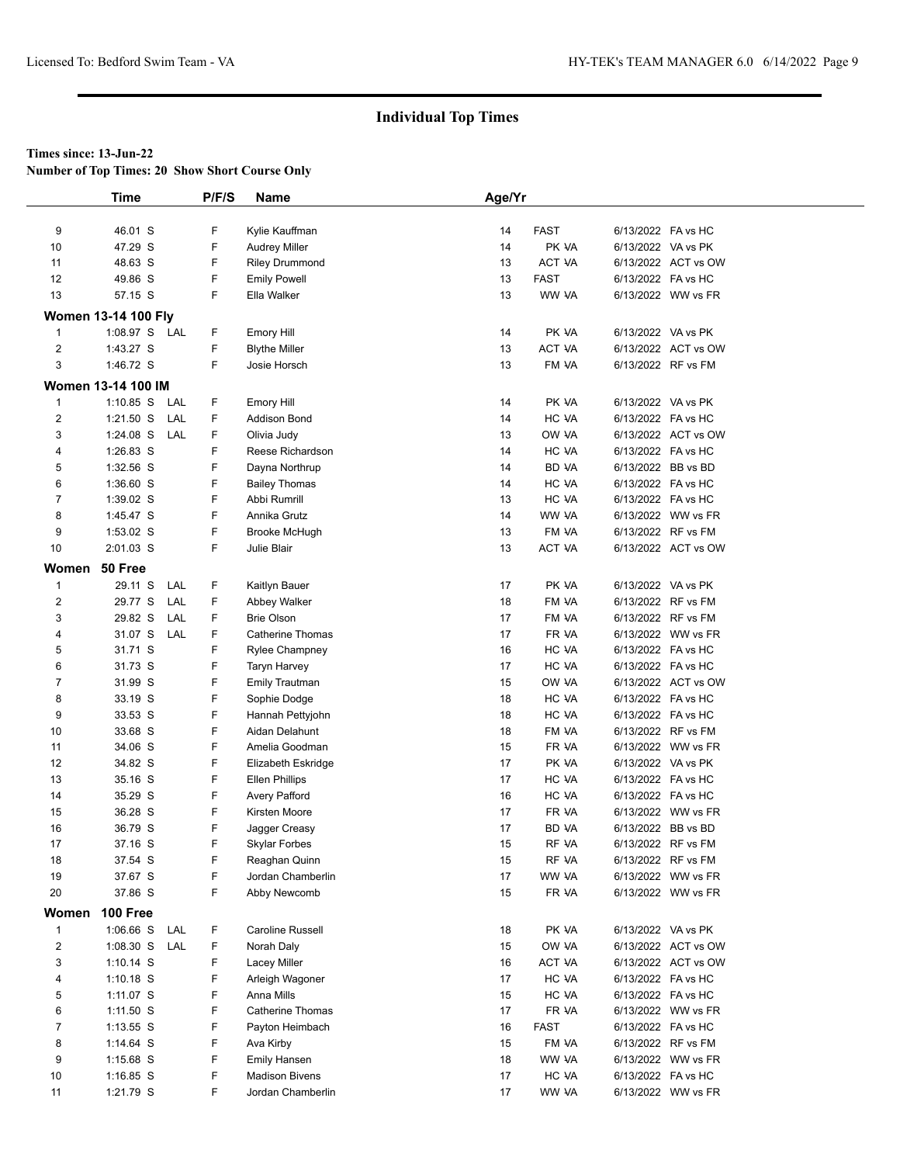**Number of Top Times: 20 Show Short Course Only**

|                | Time                       |     | P/F/S  | <b>Name</b>                                  | Age/Yr   |                |                    |                     |
|----------------|----------------------------|-----|--------|----------------------------------------------|----------|----------------|--------------------|---------------------|
|                |                            |     |        |                                              |          |                |                    |                     |
| 9              | 46.01 S                    |     | F      | Kylie Kauffman                               | 14       | <b>FAST</b>    | 6/13/2022 FA vs HC |                     |
| 10             | 47.29 S                    |     | F      | <b>Audrey Miller</b>                         | 14       | PK VA          | 6/13/2022 VA vs PK |                     |
| 11             | 48.63 S                    |     | F      | <b>Riley Drummond</b>                        | 13       | <b>ACT VA</b>  |                    | 6/13/2022 ACT vs OW |
| 12             | 49.86 S                    |     | F      | <b>Emily Powell</b>                          | 13       | <b>FAST</b>    | 6/13/2022 FA vs HC |                     |
| 13             | 57.15 S                    |     | F      | Ella Walker                                  | 13       | WW VA          |                    | 6/13/2022 WW vs FR  |
|                | <b>Women 13-14 100 Fly</b> |     |        |                                              |          |                |                    |                     |
| $\mathbf{1}$   | 1:08.97 S LAL              |     | F      | Emory Hill                                   | 14       | PK VA          | 6/13/2022 VA vs PK |                     |
| $\overline{2}$ | 1:43.27 S                  |     | F      | <b>Blythe Miller</b>                         | 13       | ACT VA         |                    | 6/13/2022 ACT vs OW |
| 3              | 1:46.72 S                  |     | F.     | Josie Horsch                                 | 13       | FM VA          |                    | 6/13/2022 RF vs FM  |
|                | <b>Women 13-14 100 IM</b>  |     |        |                                              |          |                |                    |                     |
| $\mathbf{1}$   | $1:10.85$ S                | LAL | F      | Emory Hill                                   | 14       | PK VA          | 6/13/2022 VA vs PK |                     |
| $\overline{c}$ | $1:21.50$ S                | LAL | F      | Addison Bond                                 | 14       | HC VA          | 6/13/2022 FA vs HC |                     |
| 3              | 1:24.08 S                  | LAL | F      | Olivia Judy                                  | 13       | OW VA          |                    | 6/13/2022 ACT vs OW |
| 4              | 1:26.83 S                  |     | F      | Reese Richardson                             | 14       | HC VA          | 6/13/2022 FA vs HC |                     |
| 5              | 1:32.56 S                  |     | F      | Dayna Northrup                               | 14       | <b>BD VA</b>   |                    | 6/13/2022 BB vs BD  |
| 6              | 1:36.60 S                  |     | F      | <b>Bailey Thomas</b>                         | 14       | HC VA          | 6/13/2022 FA vs HC |                     |
| $\overline{7}$ | 1:39.02 S                  |     | F      | Abbi Rumrill                                 | 13       | HC VA          | 6/13/2022 FA vs HC |                     |
| 8              | 1:45.47 S                  |     | F      | Annika Grutz                                 | 14       | WW VA          |                    | 6/13/2022 WW vs FR  |
| 9              | $1:53.02$ S                |     | F      | Brooke McHugh                                | 13       | FM VA          |                    | 6/13/2022 RF vs FM  |
| 10             | 2:01.03 S                  |     | F      | Julie Blair                                  | 13       | ACT VA         |                    | 6/13/2022 ACT vs OW |
| Women 50 Free  |                            |     |        |                                              |          |                |                    |                     |
| $\mathbf{1}$   | 29.11 S                    | LAL | F      | Kaitlyn Bauer                                | 17       | PK VA          | 6/13/2022 VA vs PK |                     |
| 2              | 29.77 S                    | LAL | F      | Abbey Walker                                 | 18       | FM VA          |                    | 6/13/2022 RF vs FM  |
| 3              | 29.82 S                    | LAL | F      | <b>Brie Olson</b>                            | 17       | FM VA          |                    | 6/13/2022 RF vs FM  |
| 4              | 31.07 S                    | LAL | F      | <b>Catherine Thomas</b>                      | 17       | FR VA          |                    | 6/13/2022 WW vs FR  |
| 5              | 31.71 S                    |     | F      | <b>Rylee Champney</b>                        | 16       | HC VA          | 6/13/2022 FA vs HC |                     |
| 6              | 31.73 S                    |     | F      | Taryn Harvey                                 | 17       | HC VA          | 6/13/2022 FA vs HC |                     |
| $\overline{7}$ | 31.99 S                    |     | F      | <b>Emily Trautman</b>                        | 15       | OW VA          |                    | 6/13/2022 ACT vs OW |
| 8              | 33.19 S                    |     | F      | Sophie Dodge                                 | 18       | HC VA          | 6/13/2022 FA vs HC |                     |
| 9              | 33.53 S                    |     | F      | Hannah Pettyjohn                             | 18       | HC VA          | 6/13/2022 FA vs HC |                     |
| 10             | 33.68 S                    |     | F      | Aidan Delahunt                               | 18       | FM VA          |                    | 6/13/2022 RF vs FM  |
| 11             | 34.06 S                    |     | F      | Amelia Goodman                               | 15       | FR VA          |                    | 6/13/2022 WW vs FR  |
| 12             | 34.82 S                    |     | F      | Elizabeth Eskridge                           | 17       | PK VA          | 6/13/2022 VA vs PK |                     |
| 13             | 35.16 S                    |     | F      | <b>Ellen Phillips</b>                        | 17       | HC VA          | 6/13/2022 FA vs HC |                     |
| 14             | 35.29 S                    |     | F      | <b>Avery Pafford</b>                         | 16       | HC VA          | 6/13/2022 FA vs HC |                     |
| 15             | 36.28 S                    |     | F      | Kirsten Moore                                | 17       | FR VA          |                    | 6/13/2022 WW vs FR  |
| 16             | 36.79 S                    |     | F      | Jagger Creasy                                | 17       | <b>BD VA</b>   | 6/13/2022 BB vs BD |                     |
| 17             | 37.16 S                    |     | F      | <b>Skylar Forbes</b>                         | 15       | RF VA          |                    | 6/13/2022 RF vs FM  |
| 18             | 37.54 S                    |     | F      | Reaghan Quinn                                | 15       | RF VA          |                    | 6/13/2022 RF vs FM  |
| 19             | 37.67 S                    |     | F      | Jordan Chamberlin                            | 17       | WW VA          |                    | 6/13/2022 WW vs FR  |
| 20             | 37.86 S                    |     | F      | Abby Newcomb                                 | 15       | FR VA          |                    | 6/13/2022 WW vs FR  |
| Women          | 100 Free                   |     |        |                                              |          |                |                    |                     |
| $\mathbf{1}$   | 1:06.66 S                  | LAL | F      | Caroline Russell                             | 18       | PK VA          | 6/13/2022 VA vs PK |                     |
| $\overline{c}$ | 1:08.30 S                  | LAL | F      | Norah Daly                                   | 15       | OW VA          |                    | 6/13/2022 ACT vs OW |
| 3              | $1:10.14$ S                |     | F      | Lacey Miller                                 | 16       | ACT VA         |                    | 6/13/2022 ACT vs OW |
| 4              | $1:10.18$ S                |     | F      | Arleigh Wagoner                              | 17       | HC VA          | 6/13/2022 FA vs HC |                     |
| 5              | 1:11.07 S                  |     | F      | Anna Mills                                   | 15       | HC VA          | 6/13/2022 FA vs HC |                     |
| 6              | $1:11.50$ S                |     | F      | <b>Catherine Thomas</b>                      | 17       | FR VA          |                    | 6/13/2022 WW vs FR  |
| 7              | $1:13.55$ S                |     | F      | Payton Heimbach                              | 16       | FAST           | 6/13/2022 FA vs HC |                     |
| 8              | 1:14.64 $S$                |     | F      | Ava Kirby                                    | 15       | FM VA          |                    | 6/13/2022 RF vs FM  |
| 9              | $1:15.68$ S                |     | F      | <b>Emily Hansen</b><br><b>Madison Bivens</b> | 18       | WW VA          |                    | 6/13/2022 WW vs FR  |
| 10<br>11       | $1:16.85$ S<br>1:21.79 S   |     | F<br>F | Jordan Chamberlin                            | 17<br>17 | HC VA<br>WW VA | 6/13/2022 FA vs HC | 6/13/2022 WW vs FR  |
|                |                            |     |        |                                              |          |                |                    |                     |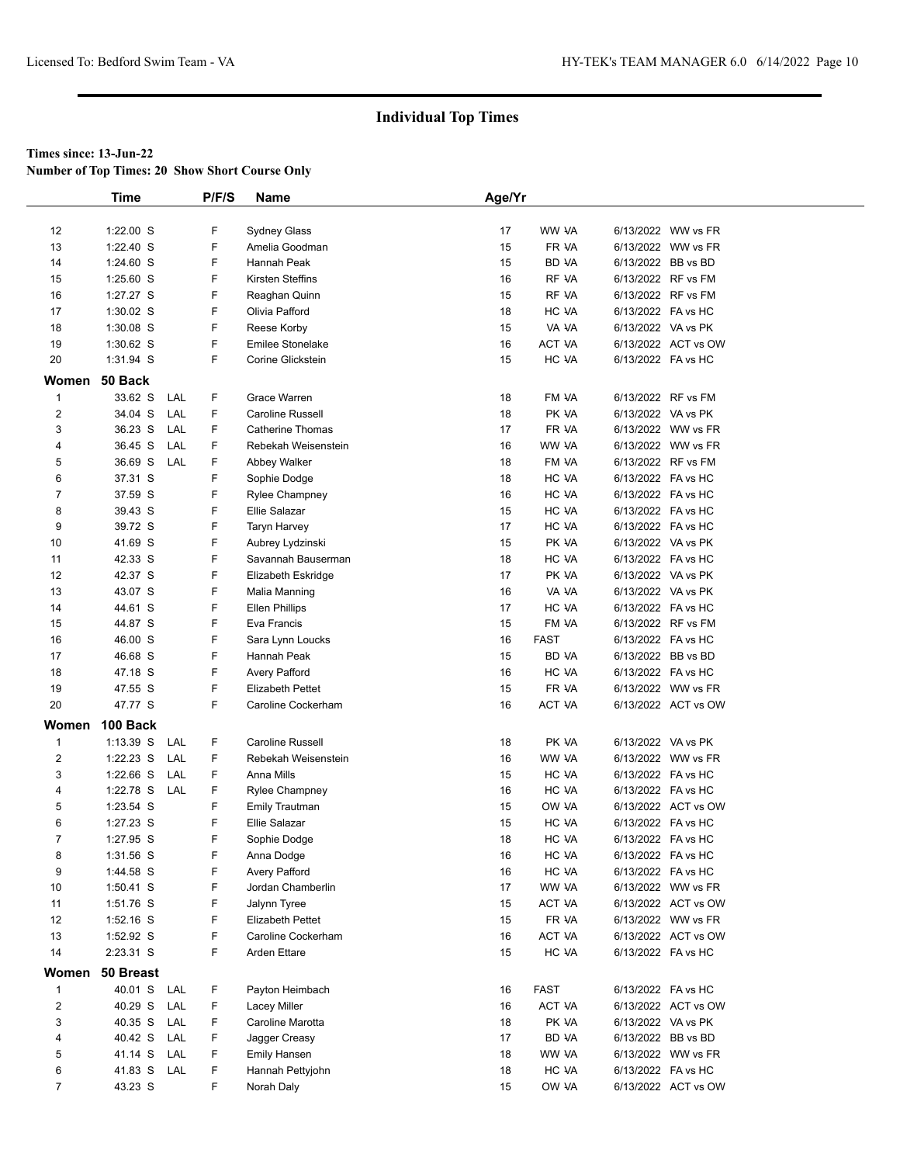**Number of Top Times: 20 Show Short Course Only**

|                | <b>Time</b> |     | P/F/S | Name                    | Age/Yr |               |                     |
|----------------|-------------|-----|-------|-------------------------|--------|---------------|---------------------|
|                |             |     |       |                         |        |               |                     |
| 12             | $1:22.00$ S |     | F     | Sydney Glass            | 17     | WW VA         | 6/13/2022 WW vs FR  |
| 13             | 1:22.40 S   |     | F     | Amelia Goodman          | 15     | FR VA         | 6/13/2022 WW vs FR  |
| 14             | $1:24.60$ S |     | F     | Hannah Peak             | 15     | <b>BD VA</b>  | 6/13/2022 BB vs BD  |
| 15             | $1:25.60$ S |     | F     | Kirsten Steffins        | 16     | RF VA         | 6/13/2022 RF vs FM  |
| 16             | 1:27.27 S   |     | F     | Reaghan Quinn           | 15     | RF VA         | 6/13/2022 RF vs FM  |
| 17             | 1:30.02 S   |     | F     | Olivia Pafford          | 18     | HC VA         | 6/13/2022 FA vs HC  |
| 18             | 1:30.08 S   |     | F     | Reese Korby             | 15     | VA VA         | 6/13/2022 VA vs PK  |
| 19             | 1:30.62 S   |     | F     | <b>Emilee Stonelake</b> | 16     | <b>ACT VA</b> | 6/13/2022 ACT vs OW |
| 20             | 1:31.94 S   |     | F     | Corine Glickstein       | 15     | HC VA         | 6/13/2022 FA vs HC  |
| Women          | 50 Back     |     |       |                         |        |               |                     |
| $\mathbf{1}$   | 33.62 S     | LAL | F     | Grace Warren            | 18     | FM VA         | 6/13/2022 RF vs FM  |
| $\overline{c}$ | 34.04 S     | LAL | F     | Caroline Russell        | 18     | PK VA         | 6/13/2022 VA vs PK  |
| 3              | 36.23 S     | LAL | F.    | <b>Catherine Thomas</b> | 17     | FR VA         | 6/13/2022 WW vs FR  |
| 4              | 36.45 S     | LAL | F.    | Rebekah Weisenstein     | 16     | WW VA         | 6/13/2022 WW vs FR  |
| 5              | 36.69 S     | LAL | F     | Abbey Walker            | 18     | FM VA         | 6/13/2022 RF vs FM  |
| 6              | 37.31 S     |     | F     | Sophie Dodge            | 18     | HC VA         | 6/13/2022 FA vs HC  |
| $\overline{7}$ | 37.59 S     |     | F     | <b>Rylee Champney</b>   | 16     | HC VA         | 6/13/2022 FA vs HC  |
| 8              | 39.43 S     |     | F     | Ellie Salazar           | 15     | HC VA         | 6/13/2022 FA vs HC  |
| 9              | 39.72 S     |     | F     | Taryn Harvey            | 17     | HC VA         | 6/13/2022 FA vs HC  |
| 10             | 41.69 S     |     | F     | Aubrey Lydzinski        | 15     | PK VA         | 6/13/2022 VA vs PK  |
| 11             | 42.33 S     |     | F     | Savannah Bauserman      | 18     | HC VA         | 6/13/2022 FA vs HC  |
| 12             | 42.37 S     |     | F     | Elizabeth Eskridge      | 17     | PK VA         | 6/13/2022 VA vs PK  |
| 13             | 43.07 S     |     | F     | Malia Manning           | 16     | VA VA         | 6/13/2022 VA vs PK  |
| 14             | 44.61 S     |     | F     | <b>Ellen Phillips</b>   | 17     | HC VA         | 6/13/2022 FA vs HC  |
| 15             | 44.87 S     |     | F     | Eva Francis             | 15     | FM VA         | 6/13/2022 RF vs FM  |
| 16             | 46.00 S     |     | F     | Sara Lynn Loucks        | 16     | <b>FAST</b>   | 6/13/2022 FA vs HC  |
| 17             | 46.68 S     |     | F     | Hannah Peak             | 15     | <b>BD VA</b>  | 6/13/2022 BB vs BD  |
| 18             | 47.18 S     |     | F     | Avery Pafford           | 16     | HC VA         | 6/13/2022 FA vs HC  |
| 19             | 47.55 S     |     | F     | <b>Elizabeth Pettet</b> | 15     | FR VA         | 6/13/2022 WW vs FR  |
| 20             | 47.77 S     |     | F     | Caroline Cockerham      | 16     | ACT VA        | 6/13/2022 ACT vs OW |
| Women          | 100 Back    |     |       |                         |        |               |                     |
| $\mathbf{1}$   | $1:13.39$ S | LAL | F     | <b>Caroline Russell</b> | 18     | PK VA         | 6/13/2022 VA vs PK  |
| $\overline{2}$ | $1:22.23$ S | LAL | F     | Rebekah Weisenstein     | 16     | WW VA         | 6/13/2022 WW vs FR  |
| 3              | 1:22.66 S   | LAL | F     | Anna Mills              | 15     | HC VA         | 6/13/2022 FA vs HC  |
| 4              | 1:22.78 S   | LAL | F     | <b>Rylee Champney</b>   | 16     | HC VA         | 6/13/2022 FA vs HC  |
| 5              | 1:23.54 S   |     | F     | <b>Emily Trautman</b>   | 15     | OW VA         | 6/13/2022 ACT vs OW |
| 6              | 1:27.23 S   |     | F     | <b>Ellie Salazar</b>    | 15     | HC VA         | 6/13/2022 FA vs HC  |
| $\overline{7}$ | 1:27.95 S   |     | F     | Sophie Dodge            | 18     | HC VA         | 6/13/2022 FA vs HC  |
| 8              | 1:31.56 S   |     | F     | Anna Dodge              | 16     | HC VA         | 6/13/2022 FA vs HC  |
| 9              | 1:44.58 S   |     | F     | Avery Pafford           | 16     | HC VA         | 6/13/2022 FA vs HC  |
| 10             | $1:50.41$ S |     | F     | Jordan Chamberlin       | 17     | WW VA         | 6/13/2022 WW vs FR  |
| 11             | 1:51.76 S   |     | F     | Jalynn Tyree            | 15     | ACT VA        | 6/13/2022 ACT vs OW |
| 12             | 1:52.16 S   |     | F     | <b>Elizabeth Pettet</b> | 15     | FR VA         | 6/13/2022 WW vs FR  |
| 13             | 1:52.92 S   |     | F     | Caroline Cockerham      | 16     | ACT VA        | 6/13/2022 ACT vs OW |
| 14             | 2:23.31 S   |     | F     | <b>Arden Ettare</b>     | 15     | HC VA         | 6/13/2022 FA vs HC  |
| Women          | 50 Breast   |     |       |                         |        |               |                     |
| $\mathbf{1}$   | 40.01 S     | LAL | F     | Payton Heimbach         | 16     | <b>FAST</b>   | 6/13/2022 FA vs HC  |
| $\overline{2}$ | 40.29 S     | LAL | F     | Lacey Miller            | 16     | ACT VA        | 6/13/2022 ACT vs OW |
| 3              | 40.35 S     | LAL | F     | Caroline Marotta        | 18     | PK VA         | 6/13/2022 VA vs PK  |
| 4              | 40.42 S     | LAL | F     | Jagger Creasy           | 17     | BD VA         | 6/13/2022 BB vs BD  |
| 5              | 41.14 S     | LAL | F     | <b>Emily Hansen</b>     | 18     | WW VA         | 6/13/2022 WW vs FR  |
| 6              | 41.83 S     | LAL | F     | Hannah Pettyjohn        | 18     | HC VA         | 6/13/2022 FA vs HC  |
| $\overline{7}$ | 43.23 S     |     | F     | Norah Daly              | 15     | OW VA         | 6/13/2022 ACT vs OW |
|                |             |     |       |                         |        |               |                     |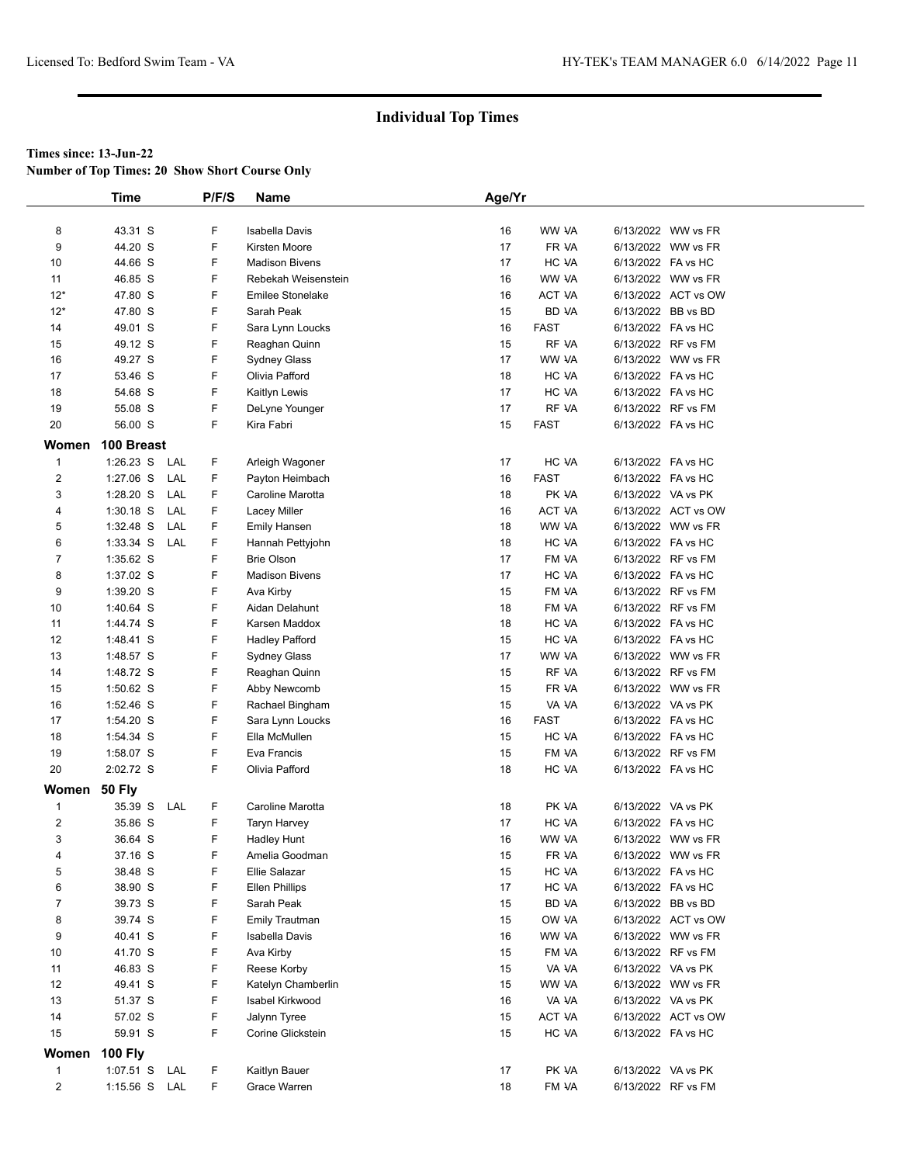**Number of Top Times: 20 Show Short Course Only**

|                  | <b>Time</b>    |     | P/F/S | Name                    | Age/Yr |               |                    |                     |  |
|------------------|----------------|-----|-------|-------------------------|--------|---------------|--------------------|---------------------|--|
|                  |                |     |       |                         |        |               |                    |                     |  |
| 8                | 43.31 S        |     | F     | <b>Isabella Davis</b>   | 16     | WW VA         |                    | 6/13/2022 WW vs FR  |  |
| 9                | 44.20 S        |     | F     | Kirsten Moore           | 17     | FR VA         |                    | 6/13/2022 WW vs FR  |  |
| 10               | 44.66 S        |     | F     | <b>Madison Bivens</b>   | 17     | HC VA         | 6/13/2022 FA vs HC |                     |  |
| 11               | 46.85 S        |     | F     | Rebekah Weisenstein     | 16     | WW VA         |                    | 6/13/2022 WW vs FR  |  |
| $12*$            | 47.80 S        |     | F     | <b>Emilee Stonelake</b> | 16     | ACT VA        |                    | 6/13/2022 ACT vs OW |  |
| $12*$            | 47.80 S        |     | F     | Sarah Peak              | 15     | BD VA         | 6/13/2022 BB vs BD |                     |  |
| 14               | 49.01 S        |     | F     | Sara Lynn Loucks        | 16     | <b>FAST</b>   | 6/13/2022 FA vs HC |                     |  |
| 15               | 49.12 S        |     | F     | Reaghan Quinn           | 15     | RF VA         |                    | 6/13/2022 RF vs FM  |  |
| 16               | 49.27 S        |     | F     | <b>Sydney Glass</b>     | 17     | WW VA         |                    | 6/13/2022 WW vs FR  |  |
| 17               | 53.46 S        |     | F     | Olivia Pafford          | 18     | HC VA         | 6/13/2022 FA vs HC |                     |  |
| 18               | 54.68 S        |     | F     | Kaitlyn Lewis           | 17     | HC VA         | 6/13/2022 FA vs HC |                     |  |
| 19               | 55.08 S        |     | F     | DeLyne Younger          | 17     | RF VA         |                    | 6/13/2022 RF vs FM  |  |
| 20               | 56.00 S        |     | F     | Kira Fabri              | 15     | <b>FAST</b>   | 6/13/2022 FA vs HC |                     |  |
| Women            | 100 Breast     |     |       |                         |        |               |                    |                     |  |
| $\mathbf{1}$     | $1:26.23$ S    | LAL | F     | Arleigh Wagoner         | 17     | HC VA         | 6/13/2022 FA vs HC |                     |  |
| $\boldsymbol{2}$ | 1:27.06 S      | LAL | F     | Payton Heimbach         | 16     | <b>FAST</b>   | 6/13/2022 FA vs HC |                     |  |
| 3                | 1:28.20 S      | LAL | F     | Caroline Marotta        | 18     | PK VA         | 6/13/2022 VA vs PK |                     |  |
| 4                | $1:30.18$ S    | LAL | F     | Lacey Miller            | 16     | <b>ACT VA</b> |                    | 6/13/2022 ACT vs OW |  |
| 5                | 1:32.48 S      | LAL | F     | <b>Emily Hansen</b>     | 18     | WW VA         |                    | 6/13/2022 WW vs FR  |  |
| 6                | 1:33.34 S      | LAL | F     | Hannah Pettyjohn        | 18     | HC VA         | 6/13/2022 FA vs HC |                     |  |
| $\overline{7}$   | 1:35.62 S      |     | F     | <b>Brie Olson</b>       | 17     | FM VA         |                    | 6/13/2022 RF vs FM  |  |
| 8                | 1:37.02 S      |     | F     | <b>Madison Bivens</b>   | 17     | HC VA         | 6/13/2022 FA vs HC |                     |  |
| 9                | 1:39.20 S      |     | F     | Ava Kirby               | 15     | FM VA         |                    | 6/13/2022 RF vs FM  |  |
| 10               | 1:40.64 S      |     | F     | Aidan Delahunt          | 18     | FM VA         | 6/13/2022 RF vs FM |                     |  |
| 11               | 1:44.74 S      |     | F     | Karsen Maddox           | 18     | HC VA         | 6/13/2022 FA vs HC |                     |  |
| 12               | 1:48.41 S      |     | F     | <b>Hadley Pafford</b>   | 15     | HC VA         | 6/13/2022 FA vs HC |                     |  |
| 13               | 1:48.57 S      |     | F     | Sydney Glass            | 17     | WW VA         |                    | 6/13/2022 WW vs FR  |  |
| 14               | 1:48.72 S      |     | F     | Reaghan Quinn           | 15     | RF VA         |                    | 6/13/2022 RF vs FM  |  |
| 15               | $1:50.62$ S    |     | F     | Abby Newcomb            | 15     | FR VA         |                    | 6/13/2022 WW vs FR  |  |
| 16               | 1:52.46 S      |     | F     | Rachael Bingham         | 15     | VA VA         | 6/13/2022 VA vs PK |                     |  |
| 17               | 1:54.20 S      |     | F     | Sara Lynn Loucks        | 16     | <b>FAST</b>   | 6/13/2022 FA vs HC |                     |  |
| 18               | 1:54.34 S      |     | F     | Ella McMullen           | 15     | HC VA         | 6/13/2022 FA vs HC |                     |  |
| 19               | 1:58.07 S      |     | F     | Eva Francis             | 15     | FM VA         | 6/13/2022 RF vs FM |                     |  |
| 20               | 2:02.72 S      |     | F     | Olivia Pafford          | 18     | HC VA         | 6/13/2022 FA vs HC |                     |  |
|                  |                |     |       |                         |        |               |                    |                     |  |
| Women 50 Fly     |                |     |       |                         |        |               |                    |                     |  |
| $\mathbf{1}$     | 35.39 S        | LAL | F     | Caroline Marotta        | 18     | PK VA         | 6/13/2022 VA vs PK |                     |  |
| $\overline{2}$   | 35.86 S        |     | F     | <b>Taryn Harvey</b>     | 17     | HC VA         | 6/13/2022 FA vs HC |                     |  |
| 3                | 36.64 S        |     | F     | <b>Hadley Hunt</b>      | 16     | WW VA         |                    | 6/13/2022 WW vs FR  |  |
| 4                | 37.16 S        |     | F     | Amelia Goodman          | 15     | FR VA         |                    | 6/13/2022 WW vs FR  |  |
| 5                | 38.48 S        |     | F     | <b>Ellie Salazar</b>    | 15     | HC VA         | 6/13/2022 FA vs HC |                     |  |
| 6                | 38.90 S        |     | F     | <b>Ellen Phillips</b>   | 17     | HC VA         | 6/13/2022 FA vs HC |                     |  |
| $\overline{7}$   | 39.73 S        |     | F     | Sarah Peak              | 15     | BD VA         | 6/13/2022 BB vs BD |                     |  |
| 8                | 39.74 S        |     | F     | <b>Emily Trautman</b>   | 15     | OW VA         |                    | 6/13/2022 ACT vs OW |  |
| 9                | 40.41 S        |     | F     | <b>Isabella Davis</b>   | 16     | WW VA         |                    | 6/13/2022 WW vs FR  |  |
| 10               | 41.70 S        |     | F     | Ava Kirby               | 15     | FM VA         |                    | 6/13/2022 RF vs FM  |  |
| 11               | 46.83 S        |     | F     | Reese Korby             | 15     | VA VA         | 6/13/2022 VA vs PK |                     |  |
| 12               | 49.41 S        |     | F     | Katelyn Chamberlin      | 15     | WW VA         |                    | 6/13/2022 WW vs FR  |  |
| 13               | 51.37 S        |     | F     | Isabel Kirkwood         | 16     | VA VA         | 6/13/2022 VA vs PK |                     |  |
| 14               | 57.02 S        |     | F     | Jalynn Tyree            | 15     | ACT VA        |                    | 6/13/2022 ACT vs OW |  |
| 15               | 59.91 S        |     | F     | Corine Glickstein       | 15     | HC VA         | 6/13/2022 FA vs HC |                     |  |
| Women            | <b>100 Fly</b> |     |       |                         |        |               |                    |                     |  |
| $\mathbf{1}$     | 1:07.51 S      | LAL | F.    | Kaitlyn Bauer           | 17     | PK VA         | 6/13/2022 VA vs PK |                     |  |
| $\overline{2}$   | 1:15.56 S LAL  |     | F     | Grace Warren            | 18     | FM VA         | 6/13/2022 RF vs FM |                     |  |
|                  |                |     |       |                         |        |               |                    |                     |  |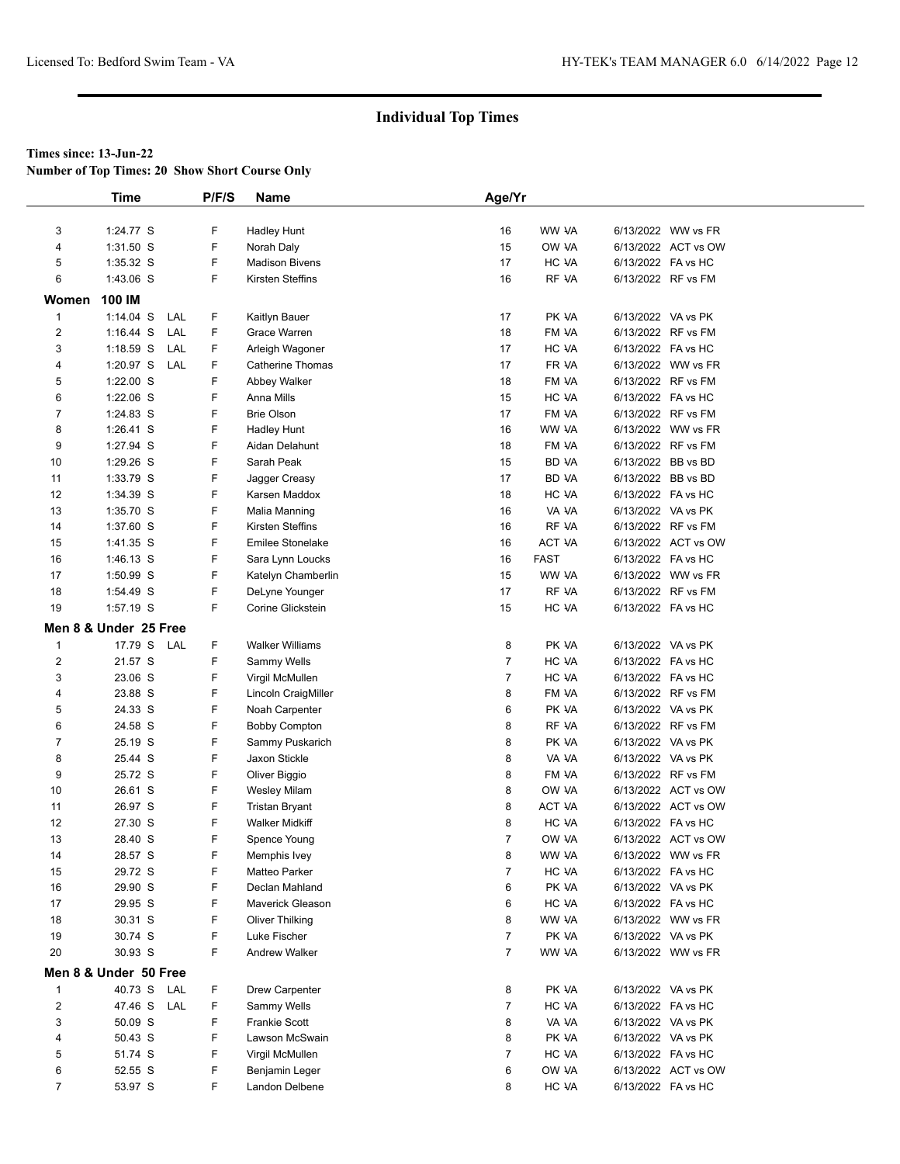**Number of Top Times: 20 Show Short Course Only**

|                         | <b>Time</b>            |     | P/F/S  | <b>Name</b>                            | Age/Yr                           |                |                    |                                          |
|-------------------------|------------------------|-----|--------|----------------------------------------|----------------------------------|----------------|--------------------|------------------------------------------|
| 3                       | 1:24.77 S              |     | F      |                                        | 16                               | WW VA          |                    | 6/13/2022 WW vs FR                       |
| 4                       | 1:31.50 S              |     | F      | <b>Hadley Hunt</b><br>Norah Daly       | 15                               | OW VA          |                    | 6/13/2022 ACT vs OW                      |
| 5                       | 1:35.32 S              |     | F      | <b>Madison Bivens</b>                  | 17                               | HC VA          | 6/13/2022 FA vs HC |                                          |
| 6                       | 1:43.06 S              |     | F      | Kirsten Steffins                       | 16                               | RF VA          |                    | 6/13/2022 RF vs FM                       |
|                         |                        |     |        |                                        |                                  |                |                    |                                          |
| Women                   | 100 IM                 |     |        |                                        |                                  |                |                    |                                          |
| $\mathbf{1}$            | $1:14.04$ S            | LAL | F      | Kaitlyn Bauer                          | 17                               | PK VA          |                    | 6/13/2022 VA vs PK                       |
| $\overline{c}$          | $1:16.44$ S            | LAL | F      | Grace Warren                           | 18                               | FM VA          |                    | 6/13/2022 RF vs FM                       |
| 3                       | $1:18.59$ S            | LAL | F.     | Arleigh Wagoner                        | 17                               | HC VA          |                    | 6/13/2022 FA vs HC                       |
| 4                       | 1:20.97 S LAL          |     | F.     | <b>Catherine Thomas</b>                | 17                               | FR VA          |                    | 6/13/2022 WW vs FR                       |
| 5<br>6                  | 1:22.00 S<br>1:22.06 S |     | F<br>F | Abbey Walker<br>Anna Mills             | 18<br>15                         | FM VA<br>HC VA |                    | 6/13/2022 RF vs FM<br>6/13/2022 FA vs HC |
| 7                       | 1:24.83 S              |     | F      | <b>Brie Olson</b>                      | 17                               | FM VA          |                    | 6/13/2022 RF vs FM                       |
| 8                       | 1:26.41 S              |     | F      |                                        | 16                               | WW VA          |                    | 6/13/2022 WW vs FR                       |
| 9                       | 1:27.94 S              |     | F      | <b>Hadley Hunt</b><br>Aidan Delahunt   | 18                               | FM VA          |                    | 6/13/2022 RF vs FM                       |
| 10                      | 1:29.26 S              |     | F      | Sarah Peak                             | 15                               | BD VA          |                    | 6/13/2022 BB vs BD                       |
| 11                      | 1:33.79 S              |     | F      | Jagger Creasy                          | 17                               | BD VA          |                    | 6/13/2022 BB vs BD                       |
| 12                      | 1:34.39 S              |     | F      | Karsen Maddox                          | 18                               | HC VA          |                    | 6/13/2022 FA vs HC                       |
| 13                      | 1:35.70 S              |     | F      | Malia Manning                          | 16                               | VA VA          |                    | 6/13/2022 VA vs PK                       |
| 14                      | 1:37.60 S              |     | F      | Kirsten Steffins                       | 16                               | RF VA          |                    | 6/13/2022 RF vs FM                       |
| 15                      | 1:41.35 S              |     | F      | <b>Emilee Stonelake</b>                | 16                               | ACT VA         |                    | 6/13/2022 ACT vs OW                      |
| 16                      | 1:46.13 S              |     | F      | Sara Lynn Loucks                       | 16                               | <b>FAST</b>    | 6/13/2022 FA vs HC |                                          |
| 17                      | 1:50.99 S              |     | F      | Katelyn Chamberlin                     | 15                               | WW VA          |                    | 6/13/2022 WW vs FR                       |
| 18                      | 1:54.49 S              |     | F      | DeLyne Younger                         | 17                               | RF VA          |                    | 6/13/2022 RF vs FM                       |
| 19                      | 1:57.19 S              |     | F      | Corine Glickstein                      | 15                               | HC VA          |                    | 6/13/2022 FA vs HC                       |
|                         |                        |     |        |                                        |                                  |                |                    |                                          |
|                         | Men 8 & Under 25 Free  |     |        |                                        |                                  |                |                    |                                          |
| 1                       | 17.79 S LAL            |     | F      | <b>Walker Williams</b>                 | 8                                | PK VA          |                    | 6/13/2022 VA vs PK                       |
| $\overline{\mathbf{c}}$ | 21.57 S                |     | F<br>F | Sammy Wells                            | $\overline{7}$<br>$\overline{7}$ | HC VA          |                    | 6/13/2022 FA vs HC                       |
| 3                       | 23.06 S<br>23.88 S     |     | F      | Virgil McMullen                        | 8                                | HC VA<br>FM VA |                    | 6/13/2022 FA vs HC<br>6/13/2022 RF vs FM |
| 4<br>5                  | 24.33 S                |     | F      | Lincoln CraigMiller                    | 6                                | PK VA          |                    | 6/13/2022 VA vs PK                       |
| 6                       | 24.58 S                |     | F      | Noah Carpenter<br><b>Bobby Compton</b> | 8                                | RF VA          |                    | 6/13/2022 RF vs FM                       |
| 7                       | 25.19 S                |     | F      | Sammy Puskarich                        | 8                                | PK VA          |                    | 6/13/2022 VA vs PK                       |
| 8                       | 25.44 S                |     | F      | Jaxon Stickle                          | 8                                | VA VA          |                    | 6/13/2022 VA vs PK                       |
| 9                       | 25.72 S                |     | F      | Oliver Biggio                          | 8                                | FM VA          |                    | 6/13/2022 RF vs FM                       |
| 10                      | 26.61 S                |     | F      | <b>Wesley Milam</b>                    | 8                                | OW VA          |                    | 6/13/2022 ACT vs OW                      |
| 11                      | 26.97 S                |     | F      | <b>Tristan Bryant</b>                  | 8                                | ACT VA         |                    | 6/13/2022 ACT vs OW                      |
| 12                      | 27.30 S                |     | F      | <b>Walker Midkiff</b>                  | 8                                | HC VA          | 6/13/2022 FA vs HC |                                          |
| 13                      | 28.40 S                |     | F      | Spence Young                           | $\overline{7}$                   | OW VA          |                    | 6/13/2022 ACT vs OW                      |
| 14                      | 28.57 S                |     | F      | Memphis Ivey                           | 8                                | WW VA          |                    | 6/13/2022 WW vs FR                       |
| 15                      | 29.72 S                |     | F      | Matteo Parker                          | $\overline{7}$                   | HC VA          |                    | 6/13/2022 FA vs HC                       |
| 16                      | 29.90 S                |     | F      | Declan Mahland                         | 6                                | PK VA          |                    | 6/13/2022 VA vs PK                       |
| 17                      | 29.95 S                |     | F      | Maverick Gleason                       | 6                                | HC VA          |                    | 6/13/2022 FA vs HC                       |
| 18                      | 30.31 S                |     | F      | <b>Oliver Thilking</b>                 | 8                                | WW VA          |                    | 6/13/2022 WW vs FR                       |
| 19                      | 30.74 S                |     | F      | Luke Fischer                           | 7                                | PK VA          |                    | 6/13/2022 VA vs PK                       |
| 20                      | 30.93 S                |     | F      | <b>Andrew Walker</b>                   | 7                                | WW VA          |                    | 6/13/2022 WW vs FR                       |
|                         | Men 8 & Under 50 Free  |     |        |                                        |                                  |                |                    |                                          |
| 1                       | 40.73 S                | LAL | F      | <b>Drew Carpenter</b>                  | 8                                | PK VA          |                    | 6/13/2022 VA vs PK                       |
| 2                       | 47.46 S LAL            |     | F.     | Sammy Wells                            | $\overline{7}$                   | HC VA          | 6/13/2022 FA vs HC |                                          |
| 3                       | 50.09 S                |     | F      | <b>Frankie Scott</b>                   | 8                                | VA VA          |                    | 6/13/2022 VA vs PK                       |
| 4                       | 50.43 S                |     | F      | Lawson McSwain                         | 8                                | PK VA          |                    | 6/13/2022 VA vs PK                       |
| 5                       | 51.74 S                |     | F      | Virgil McMullen                        | $\overline{7}$                   | HC VA          |                    | 6/13/2022 FA vs HC                       |
| 6                       | 52.55 S                |     | F      | Benjamin Leger                         | 6                                | OW VA          |                    | 6/13/2022 ACT vs OW                      |
| $\overline{7}$          | 53.97 S                |     | F.     | Landon Delbene                         | 8                                | HC VA          | 6/13/2022 FA vs HC |                                          |
|                         |                        |     |        |                                        |                                  |                |                    |                                          |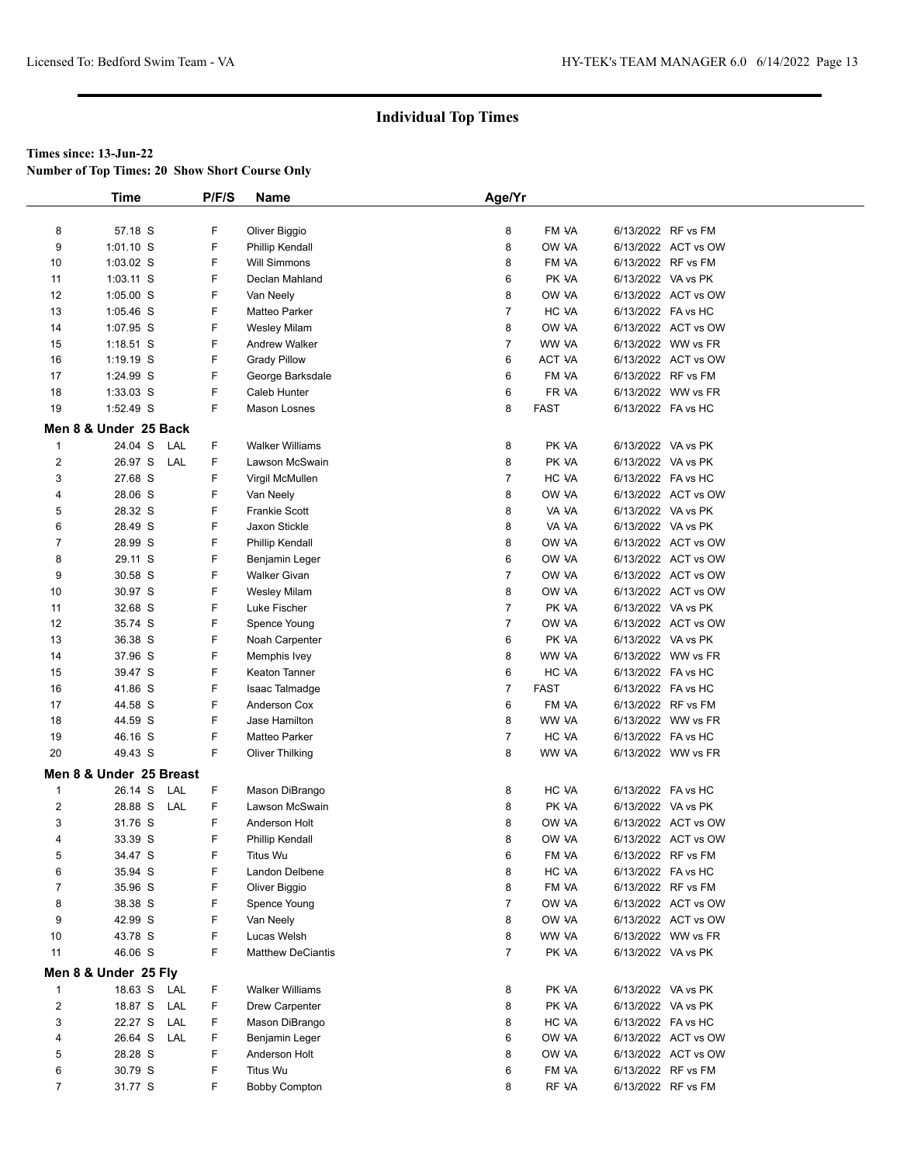**Number of Top Times: 20 Show Short Course Only**

|                         | <b>Time</b>             | P/F/S | <b>Name</b>              | Age/Yr         |             |                    |                     |
|-------------------------|-------------------------|-------|--------------------------|----------------|-------------|--------------------|---------------------|
| 8                       | 57.18 S                 | F     | Oliver Biggio            | 8              | FM VA       |                    | 6/13/2022 RF vs FM  |
| 9                       | $1:01.10$ S             | F     | <b>Phillip Kendall</b>   | 8              | OW VA       |                    | 6/13/2022 ACT vs OW |
| 10                      | 1:03.02 S               | F     | <b>Will Simmons</b>      | 8              | FM VA       |                    | 6/13/2022 RF vs FM  |
| 11                      | $1:03.11$ S             | F     | Declan Mahland           | 6              | PK VA       |                    | 6/13/2022 VA vs PK  |
| 12                      | $1:05.00$ S             | F     | Van Neely                | 8              | OW VA       |                    | 6/13/2022 ACT vs OW |
| 13                      | $1:05.46$ S             | F     | Matteo Parker            | $\overline{7}$ | HC VA       |                    | 6/13/2022 FA vs HC  |
| 14                      | 1:07.95 S               | F     | <b>Wesley Milam</b>      | 8              | OW VA       |                    | 6/13/2022 ACT vs OW |
| 15                      | $1:18.51$ S             | F     | <b>Andrew Walker</b>     | $\overline{7}$ | WW VA       |                    | 6/13/2022 WW vs FR  |
| 16                      | $1:19.19$ S             | F     | <b>Grady Pillow</b>      | 6              | ACT VA      |                    | 6/13/2022 ACT vs OW |
| 17                      | 1:24.99 S               | F     | George Barksdale         | 6              | FM VA       |                    | 6/13/2022 RF vs FM  |
| 18                      | $1:33.03$ S             | F     | Caleb Hunter             | 6              | FR VA       |                    | 6/13/2022 WW vs FR  |
| 19                      | 1:52.49 S               | F     | Mason Losnes             | 8              | <b>FAST</b> |                    | 6/13/2022 FA vs HC  |
|                         | Men 8 & Under 25 Back   |       |                          |                |             |                    |                     |
| 1                       | 24.04 S<br>LAL          | F     | <b>Walker Williams</b>   | 8              | PK VA       |                    | 6/13/2022 VA vs PK  |
| $\overline{2}$          | 26.97 S<br>LAL          | F     | Lawson McSwain           | 8              | PK VA       |                    | 6/13/2022 VA vs PK  |
| 3                       | 27.68 S                 | F     | Virgil McMullen          | $\overline{7}$ | HC VA       |                    | 6/13/2022 FA vs HC  |
| 4                       | 28.06 S                 | F     | Van Neely                | 8              | OW VA       |                    | 6/13/2022 ACT vs OW |
| 5                       | 28.32 S                 | F     | <b>Frankie Scott</b>     | 8              | VA VA       |                    | 6/13/2022 VA vs PK  |
| 6                       | 28.49 S                 | F     | Jaxon Stickle            | 8              | VA VA       |                    | 6/13/2022 VA vs PK  |
| 7                       | 28.99 S                 | F     | Phillip Kendall          | 8              | OW VA       |                    | 6/13/2022 ACT vs OW |
| 8                       | 29.11 S                 | F     | Benjamin Leger           | 6              | OW VA       |                    | 6/13/2022 ACT vs OW |
| 9                       | 30.58 S                 | F     | <b>Walker Givan</b>      | $\overline{7}$ | OW VA       |                    | 6/13/2022 ACT vs OW |
| 10                      | 30.97 S                 | F     | <b>Wesley Milam</b>      | 8              | OW VA       |                    | 6/13/2022 ACT vs OW |
| 11                      | 32.68 S                 | F     | Luke Fischer             | $\overline{7}$ | PK VA       |                    | 6/13/2022 VA vs PK  |
| 12                      | 35.74 S                 | F     | Spence Young             | $\overline{7}$ | OW VA       |                    | 6/13/2022 ACT vs OW |
| 13                      | 36.38 S                 | F     | Noah Carpenter           | 6              | PK VA       |                    | 6/13/2022 VA vs PK  |
| 14                      | 37.96 S                 | F     | Memphis Ivey             | 8              | WW VA       |                    | 6/13/2022 WW vs FR  |
| 15                      | 39.47 S                 | F     | Keaton Tanner            | 6              | HC VA       |                    | 6/13/2022 FA vs HC  |
| 16                      | 41.86 S                 | F     | Isaac Talmadge           | $\overline{7}$ | <b>FAST</b> |                    | 6/13/2022 FA vs HC  |
| 17                      | 44.58 S                 | F     | Anderson Cox             | 6              | FM VA       |                    | 6/13/2022 RF vs FM  |
| 18                      | 44.59 S                 | F     | Jase Hamilton            | 8              | WW VA       |                    | 6/13/2022 WW vs FR  |
| 19                      | 46.16 S                 | F     | Matteo Parker            | $\overline{7}$ | HC VA       |                    | 6/13/2022 FA vs HC  |
| 20                      | 49.43 S                 | F     | <b>Oliver Thilking</b>   | 8              | WW VA       |                    | 6/13/2022 WW vs FR  |
|                         | Men 8 & Under 25 Breast |       |                          |                |             |                    |                     |
| $\mathbf{1}$            | 26.14 S<br>LAL          | F     | Mason DiBrango           | 8              | HC VA       |                    | 6/13/2022 FA vs HC  |
| $\overline{2}$          | 28.88 S LAL             | F     | Lawson McSwain           | 8              | PK VA       |                    | 6/13/2022 VA vs PK  |
| 3                       | 31.76 S                 | F     | Anderson Holt            | 8              | OW VA       |                    | 6/13/2022 ACT vs OW |
| 4                       | 33.39 S                 | F     | Phillip Kendall          | 8              | OW VA       |                    | 6/13/2022 ACT vs OW |
| 5                       | 34.47 S                 | F     | Titus Wu                 | 6              | FM VA       |                    | 6/13/2022 RF vs FM  |
| 6                       | 35.94 S                 | F     | Landon Delbene           | 8              | HC VA       |                    | 6/13/2022 FA vs HC  |
| 7                       | 35.96 S                 | F     | Oliver Biggio            | 8              | FM VA       |                    | 6/13/2022 RF vs FM  |
| 8                       | 38.38 S                 | F     | Spence Young             | $\overline{7}$ | OW VA       |                    | 6/13/2022 ACT vs OW |
| 9                       | 42.99 S                 | F     | Van Neely                | 8              | OW VA       |                    | 6/13/2022 ACT vs OW |
| 10                      | 43.78 S                 | F     | Lucas Welsh              | 8              | WW VA       |                    | 6/13/2022 WW vs FR  |
| 11                      | 46.06 S                 | F     | <b>Matthew DeCiantis</b> | $\overline{7}$ | PK VA       |                    | 6/13/2022 VA vs PK  |
|                         | Men 8 & Under 25 Fly    |       |                          |                |             |                    |                     |
| 1                       | 18.63 S<br>LAL          | F     | <b>Walker Williams</b>   | 8              | PK VA       | 6/13/2022 VA vs PK |                     |
| $\overline{\mathbf{c}}$ | 18.87 S LAL             | F     | Drew Carpenter           | 8              | PK VA       |                    | 6/13/2022 VA vs PK  |
| 3                       | 22.27 S<br>LAL          | F     | Mason DiBrango           | 8              | HC VA       |                    | 6/13/2022 FA vs HC  |
| 4                       | 26.64 S<br>LAL          | F     | Benjamin Leger           | 6              | OW VA       |                    | 6/13/2022 ACT vs OW |
| 5                       | 28.28 S                 | F     | Anderson Holt            | 8              | OW VA       |                    | 6/13/2022 ACT vs OW |
| 6                       | 30.79 S                 | F     | Titus Wu                 | 6              | FM VA       |                    | 6/13/2022 RF vs FM  |
| $\overline{7}$          | 31.77 S                 | F.    | <b>Bobby Compton</b>     | 8              | RF VA       |                    | 6/13/2022 RF vs FM  |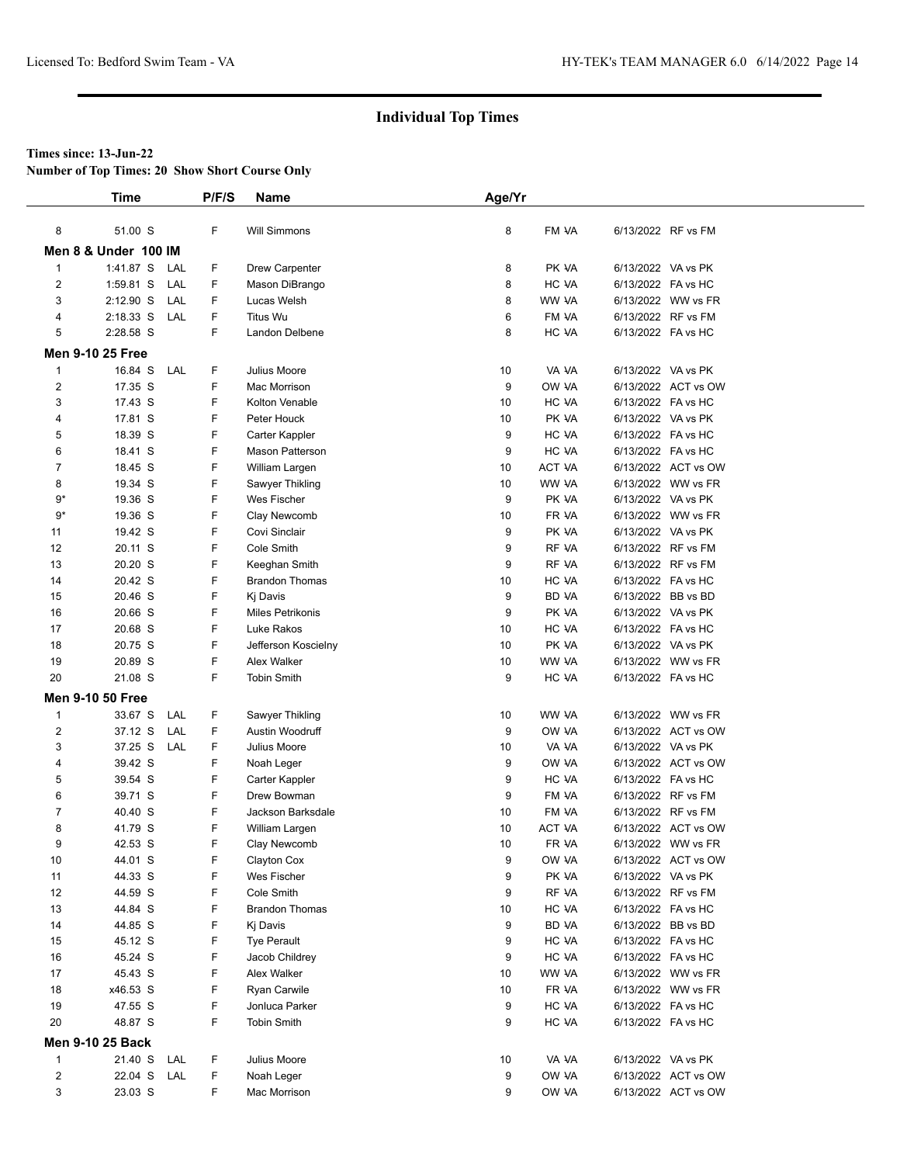**Number of Top Times: 20 Show Short Course Only**

|                         | Time                            | P/F/S  | Name                        | Age/Yr   |                        |                                          |                                           |
|-------------------------|---------------------------------|--------|-----------------------------|----------|------------------------|------------------------------------------|-------------------------------------------|
|                         |                                 |        |                             |          |                        |                                          |                                           |
| 8                       | 51.00 S                         | F      | <b>Will Simmons</b>         | 8        | FM VA                  | 6/13/2022 RF vs FM                       |                                           |
|                         | <b>Men 8 &amp; Under 100 IM</b> |        |                             |          |                        |                                          |                                           |
| $\mathbf{1}$            | 1:41.87 S<br>LAL                | F      | Drew Carpenter              | 8        | PK VA                  | 6/13/2022 VA vs PK                       |                                           |
| 2                       | 1:59.81 S<br>LAL                | F.     | Mason DiBrango              | 8        | HC VA                  | 6/13/2022 FA vs HC                       |                                           |
| 3                       | $2:12.90$ S<br>LAL              | F      | Lucas Welsh                 | 8        | WW VA                  |                                          | 6/13/2022 WW vs FR                        |
| 4                       | $2:18.33$ S<br>LAL              | F      | <b>Titus Wu</b>             | 6        | FM VA                  | 6/13/2022 RF vs FM                       |                                           |
| 5                       | 2:28.58 S                       | F      | Landon Delbene              | 8        | HC VA                  | 6/13/2022 FA vs HC                       |                                           |
|                         | <b>Men 9-10 25 Free</b>         |        |                             |          |                        |                                          |                                           |
| 1                       | 16.84 S<br>LAL                  | F      | Julius Moore                | 10       | VA VA                  | 6/13/2022 VA vs PK                       |                                           |
| $\overline{2}$          | 17.35 S                         | F      | Mac Morrison                | 9        | OW VA                  |                                          | 6/13/2022 ACT vs OW                       |
| 3                       | 17.43 S                         | F      | Kolton Venable              | 10       | HC VA                  | 6/13/2022 FA vs HC                       |                                           |
| 4                       | 17.81 S                         | F      | Peter Houck                 | 10       | PK VA                  | 6/13/2022 VA vs PK                       |                                           |
| 5                       | 18.39 S                         | F      | Carter Kappler              | 9        | HC VA                  | 6/13/2022 FA vs HC                       |                                           |
| 6                       | 18.41 S                         | F      | Mason Patterson             | 9        | HC VA                  | 6/13/2022 FA vs HC                       |                                           |
| $\overline{7}$          | 18.45 S                         | F      | William Largen              | 10       | <b>ACT VA</b>          |                                          | 6/13/2022 ACT vs OW                       |
| 8                       | 19.34 S                         | F      | Sawyer Thikling             | 10       | WW VA                  |                                          | 6/13/2022 WW vs FR                        |
| $9*$                    | 19.36 S                         | F      | Wes Fischer                 | 9        | PK VA                  | 6/13/2022 VA vs PK                       |                                           |
| 9*                      | 19.36 S                         | F      | Clay Newcomb                | 10       | FR VA                  |                                          | 6/13/2022 WW vs FR                        |
| 11                      | 19.42 S                         | F      | Covi Sinclair               | 9        | PK VA                  | 6/13/2022 VA vs PK                       |                                           |
| 12                      | 20.11 S                         | F      | Cole Smith                  | 9        | RF VA                  | 6/13/2022 RF vs FM                       |                                           |
| 13                      | 20.20 S                         | F      | Keeghan Smith               | 9        | RF VA                  | 6/13/2022 RF vs FM                       |                                           |
| 14                      | 20.42 S                         | F      | <b>Brandon Thomas</b>       | 10       | HC VA                  | 6/13/2022 FA vs HC                       |                                           |
| 15                      | 20.46 S                         | F      | Kj Davis                    | 9        | BD VA                  | 6/13/2022 BB vs BD                       |                                           |
| 16                      | 20.66 S                         | F      | <b>Miles Petrikonis</b>     | 9        | PK VA                  | 6/13/2022 VA vs PK                       |                                           |
| 17                      | 20.68 S                         | F      | Luke Rakos                  | 10       | HC VA                  | 6/13/2022 FA vs HC                       |                                           |
| 18                      | 20.75 S                         | F      | Jefferson Koscielny         | 10       | PK VA                  | 6/13/2022 VA vs PK                       |                                           |
| 19                      | 20.89 S                         | F      | Alex Walker                 | 10       | WW VA                  |                                          | 6/13/2022 WW vs FR                        |
| 20                      | 21.08 S                         | F      | <b>Tobin Smith</b>          | 9        | HC VA                  | 6/13/2022 FA vs HC                       |                                           |
|                         | <b>Men 9-10 50 Free</b>         |        |                             |          |                        |                                          |                                           |
| $\mathbf{1}$            | 33.67 S<br>LAL                  | F      | Sawyer Thikling             | 10       | WW VA                  |                                          | 6/13/2022 WW vs FR                        |
| $\overline{\mathbf{c}}$ | 37.12 S<br>LAL                  | F      | Austin Woodruff             | 9        | OW VA                  |                                          | 6/13/2022 ACT vs OW                       |
| 3                       | 37.25 S<br>LAL                  | F      | Julius Moore                | 10       | VA VA                  | 6/13/2022 VA vs PK                       |                                           |
| 4                       | 39.42 S                         | F      | Noah Leger                  | 9        | OW VA                  |                                          | 6/13/2022 ACT vs OW                       |
| 5                       | 39.54 S                         | F      | Carter Kappler              | 9        | HC VA                  | 6/13/2022 FA vs HC                       |                                           |
| 6                       | 39.71 S                         | F      | Drew Bowman                 | 9        | FM VA                  | 6/13/2022 RF vs FM<br>6/13/2022 RF vs FM |                                           |
| 7                       | 40.40 S                         | F      | Jackson Barksdale           | 10       | FM VA<br><b>ACT VA</b> |                                          |                                           |
| 8<br>9                  | 41.79 S<br>42.53 S              | F<br>F | William Largen              | 10<br>10 | FR VA                  |                                          | 6/13/2022 ACT vs OW<br>6/13/2022 WW vs FR |
| 10                      | 44.01 S                         | F      | Clay Newcomb<br>Clayton Cox | 9        | OW VA                  |                                          | 6/13/2022 ACT vs OW                       |
| 11                      | 44.33 S                         | F      | Wes Fischer                 | 9        | PK VA                  | 6/13/2022 VA vs PK                       |                                           |
| 12                      | 44.59 S                         | F      | Cole Smith                  | 9        | RF VA                  | 6/13/2022 RF vs FM                       |                                           |
| 13                      | 44.84 S                         | F      | <b>Brandon Thomas</b>       | 10       | HC VA                  | 6/13/2022 FA vs HC                       |                                           |
| 14                      | 44.85 S                         | F      | Ki Davis                    | 9        | BD VA                  | 6/13/2022 BB vs BD                       |                                           |
| 15                      | 45.12 S                         | F      | <b>Tye Perault</b>          | 9        | HC VA                  | 6/13/2022 FA vs HC                       |                                           |
| 16                      | 45.24 S                         | F      | Jacob Childrey              | 9        | HC VA                  | 6/13/2022 FA vs HC                       |                                           |
| 17                      | 45.43 S                         | F      | Alex Walker                 | 10       | WW VA                  |                                          | 6/13/2022 WW vs FR                        |
| 18                      | x46.53 S                        | F      | Ryan Carwile                | 10       | FR VA                  |                                          | 6/13/2022 WW vs FR                        |
| 19                      | 47.55 S                         | F      | Jonluca Parker              | 9        | HC VA                  | 6/13/2022 FA vs HC                       |                                           |
| 20                      | 48.87 S                         | F.     | <b>Tobin Smith</b>          | 9        | HC VA                  | 6/13/2022 FA vs HC                       |                                           |
|                         | <b>Men 9-10 25 Back</b>         |        |                             |          |                        |                                          |                                           |
| $\mathbf{1}$            | 21.40 S<br>LAL                  | F      | Julius Moore                | 10       | VA VA                  | 6/13/2022 VA vs PK                       |                                           |
| $\overline{2}$          | 22.04 S<br>LAL                  | F      | Noah Leger                  | 9        | OW VA                  |                                          | 6/13/2022 ACT vs OW                       |
| 3                       | 23.03 S                         | F      | Mac Morrison                | 9        | OW VA                  |                                          | 6/13/2022 ACT vs OW                       |
|                         |                                 |        |                             |          |                        |                                          |                                           |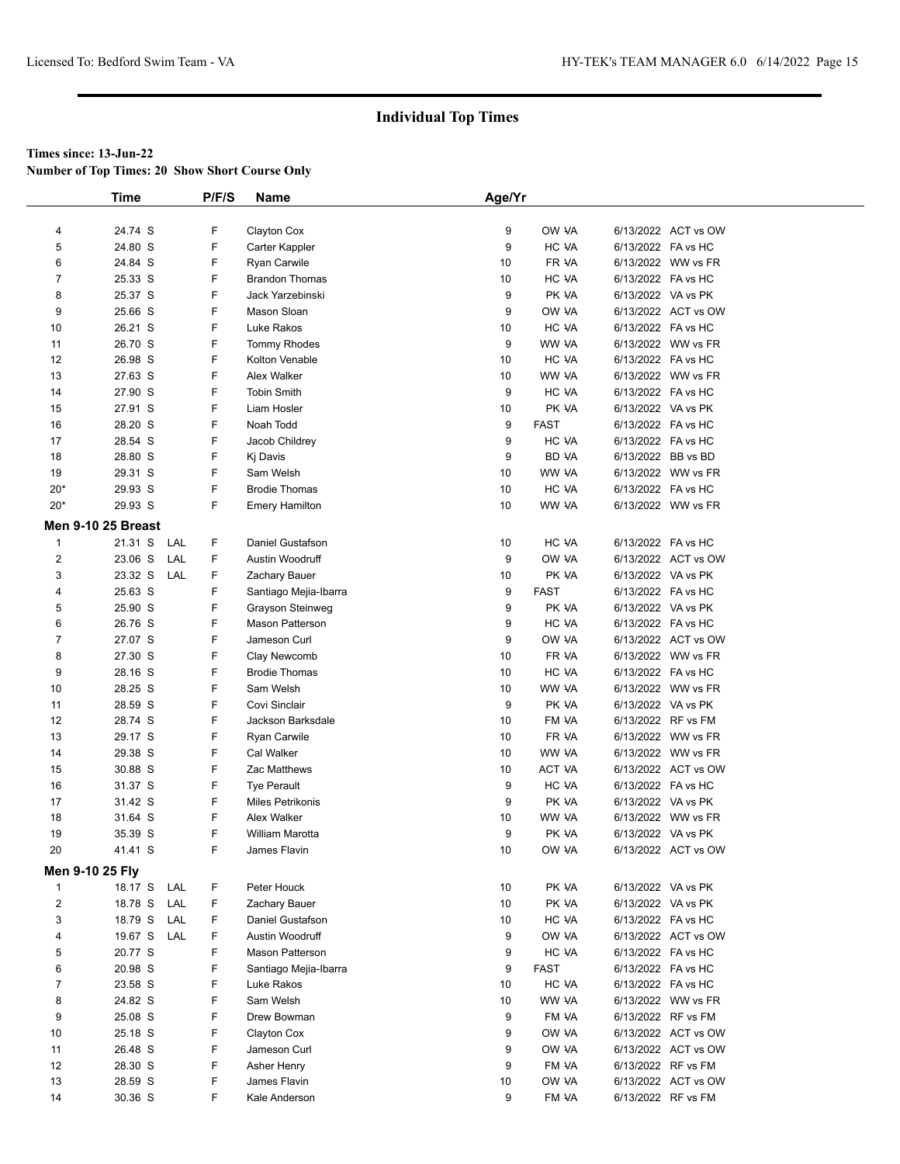**Number of Top Times: 20 Show Short Course Only**

|                         | <b>Time</b>               |     | P/F/S | Name                    | Age/Yr   |              |                    |                     |  |
|-------------------------|---------------------------|-----|-------|-------------------------|----------|--------------|--------------------|---------------------|--|
|                         |                           |     |       |                         |          |              |                    |                     |  |
| 4                       | 24.74 S                   |     | F     | Clayton Cox             | 9        | OW VA        |                    | 6/13/2022 ACT vs OW |  |
| 5                       | 24.80 S                   |     | F     | Carter Kappler          | 9        | HC VA        | 6/13/2022 FA vs HC |                     |  |
| 6                       | 24.84 S                   |     | F     | Ryan Carwile            | 10       | FR VA        |                    | 6/13/2022 WW vs FR  |  |
| 7                       | 25.33 S                   |     | F     | <b>Brandon Thomas</b>   | 10       | HC VA        | 6/13/2022 FA vs HC |                     |  |
| 8                       | 25.37 S                   |     | F     | Jack Yarzebinski        | 9        | PK VA        | 6/13/2022 VA vs PK |                     |  |
| 9                       | 25.66 S                   |     | F     | Mason Sloan             | 9        | OW VA        |                    | 6/13/2022 ACT vs OW |  |
| 10                      | 26.21 S                   |     | F     | Luke Rakos              | 10       | HC VA        | 6/13/2022 FA vs HC |                     |  |
| 11                      | 26.70 S                   |     | F     | <b>Tommy Rhodes</b>     | 9        | WW VA        |                    | 6/13/2022 WW vs FR  |  |
| 12                      | 26.98 S                   |     | F     | Kolton Venable          | 10       | HC VA        | 6/13/2022 FA vs HC |                     |  |
| 13                      | 27.63 S                   |     | F     | <b>Alex Walker</b>      | 10       | WW VA        |                    | 6/13/2022 WW vs FR  |  |
| 14                      | 27.90 S                   |     | F     | <b>Tobin Smith</b>      | 9        | HC VA        | 6/13/2022 FA vs HC |                     |  |
| 15                      | 27.91 S                   |     | F     | Liam Hosler             | 10       | PK VA        | 6/13/2022 VA vs PK |                     |  |
| 16                      | 28.20 S                   |     | F     | Noah Todd               | 9        | <b>FAST</b>  | 6/13/2022 FA vs HC |                     |  |
| 17                      | 28.54 S                   |     | F     | Jacob Childrey          | 9        | HC VA        | 6/13/2022 FA vs HC |                     |  |
| 18                      | 28.80 S                   |     | F     | Kj Davis                | 9        | <b>BD VA</b> | 6/13/2022 BB vs BD |                     |  |
| 19                      | 29.31 S                   |     | F     | Sam Welsh               | 10       | WW VA        |                    | 6/13/2022 WW vs FR  |  |
| $20*$                   | 29.93 S                   |     | F     | <b>Brodie Thomas</b>    | 10       | HC VA        | 6/13/2022 FA vs HC |                     |  |
| $20*$                   | 29.93 S                   |     | F     | <b>Emery Hamilton</b>   | 10       | WW VA        |                    | 6/13/2022 WW vs FR  |  |
|                         | <b>Men 9-10 25 Breast</b> |     |       |                         |          |              |                    |                     |  |
| $\mathbf{1}$            | 21.31 S                   | LAL | F     | Daniel Gustafson        | 10       | HC VA        | 6/13/2022 FA vs HC |                     |  |
| 2                       | 23.06 S                   | LAL | F     | Austin Woodruff         | 9        | OW VA        |                    | 6/13/2022 ACT vs OW |  |
| 3                       | 23.32 S                   | LAL | F     | Zachary Bauer           | 10       | PK VA        | 6/13/2022 VA vs PK |                     |  |
| 4                       | 25.63 S                   |     | F     | Santiago Mejia-Ibarra   | 9        | <b>FAST</b>  | 6/13/2022 FA vs HC |                     |  |
| 5                       | 25.90 S                   |     | F     | Grayson Steinweg        | 9        | PK VA        | 6/13/2022 VA vs PK |                     |  |
| 6                       | 26.76 S                   |     | F     | <b>Mason Patterson</b>  | 9        | HC VA        | 6/13/2022 FA vs HC |                     |  |
| $\overline{7}$          | 27.07 S                   |     | F     | Jameson Curl            | 9        | OW VA        |                    | 6/13/2022 ACT vs OW |  |
| 8                       | 27.30 S                   |     | F     | Clay Newcomb            | 10       | FR VA        |                    | 6/13/2022 WW vs FR  |  |
| 9                       | 28.16 S                   |     | F     | <b>Brodie Thomas</b>    | 10       | HC VA        | 6/13/2022 FA vs HC |                     |  |
| 10                      | 28.25 S                   |     | F     | Sam Welsh               | 10       | WW VA        |                    | 6/13/2022 WW vs FR  |  |
| 11                      | 28.59 S                   |     | F     | Covi Sinclair           | 9        | PK VA        | 6/13/2022 VA vs PK |                     |  |
| 12                      | 28.74 S                   |     | F     | Jackson Barksdale       | 10       | FM VA        | 6/13/2022 RF vs FM |                     |  |
| 13                      | 29.17 S                   |     | F     | Ryan Carwile            | 10       | FR VA        |                    | 6/13/2022 WW vs FR  |  |
| 14                      | 29.38 S                   |     | F     | Cal Walker              | 10       | WW VA        |                    | 6/13/2022 WW vs FR  |  |
| 15                      | 30.88 S                   |     | F     | Zac Matthews            | 10       | ACT VA       |                    | 6/13/2022 ACT vs OW |  |
| 16                      | 31.37 S                   |     | F     | <b>Tye Perault</b>      | 9        | HC VA        | 6/13/2022 FA vs HC |                     |  |
| 17                      | 31.42 S                   |     | F     | Miles Petrikonis        | 9        | PK VA        | 6/13/2022 VA vs PK |                     |  |
| 18                      | 31.64 S                   |     | F     | Alex Walker             | 10       | WW VA        |                    | 6/13/2022 WW vs FR  |  |
| 19                      | 35.39 S                   |     | F     | William Marotta         | 9        | PK VA        | 6/13/2022 VA vs PK |                     |  |
| 20                      | 41.41 S                   |     | F     | James Flavin            | 10       | OW VA        |                    | 6/13/2022 ACT vs OW |  |
| <b>Men 9-10 25 Flv</b>  |                           |     |       |                         |          |              |                    |                     |  |
| $\mathbf{1}$            | 18.17 S LAL               |     | F     | Peter Houck             | 10       | PK VA        | 6/13/2022 VA vs PK |                     |  |
| $\overline{\mathbf{c}}$ | 18.78 S                   | LAL | F     | Zachary Bauer           | 10       | PK VA        | 6/13/2022 VA vs PK |                     |  |
| 3                       | 18.79 S                   | LAL | F     | Daniel Gustafson        | 10       | HC VA        | 6/13/2022 FA vs HC |                     |  |
| 4                       | 19.67 S LAL               |     | F     | Austin Woodruff         | 9        | OW VA        |                    | 6/13/2022 ACT vs OW |  |
| 5                       | 20.77 S                   |     | F     | <b>Mason Patterson</b>  | 9        | HC VA        | 6/13/2022 FA vs HC |                     |  |
| 6                       | 20.98 S                   |     | F     |                         | 9        | <b>FAST</b>  | 6/13/2022 FA vs HC |                     |  |
| 7                       |                           |     | F     | Santiago Mejia-Ibarra   |          | HC VA        |                    |                     |  |
| 8                       | 23.58 S                   |     | F     | Luke Rakos<br>Sam Welsh | 10<br>10 |              | 6/13/2022 FA vs HC | 6/13/2022 WW vs FR  |  |
| 9                       | 24.82 S                   |     | F     | Drew Bowman             | 9        | WW VA        | 6/13/2022 RF vs FM |                     |  |
|                         | 25.08 S                   |     | F     | Clayton Cox             |          | FM VA        |                    |                     |  |
| 10                      | 25.18 S                   |     | F     |                         | 9        | OW VA        |                    | 6/13/2022 ACT vs OW |  |
| 11                      | 26.48 S                   |     |       | Jameson Curl            | 9        | OW VA        |                    | 6/13/2022 ACT vs OW |  |
| 12                      | 28.30 S                   |     | F     | Asher Henry             | 9        | FM VA        | 6/13/2022 RF vs FM |                     |  |
| 13                      | 28.59 S                   |     | F     | James Flavin            | 10       | OW VA        |                    | 6/13/2022 ACT vs OW |  |
| 14                      | 30.36 S                   |     | F     | Kale Anderson           | 9        | FM VA        | 6/13/2022 RF vs FM |                     |  |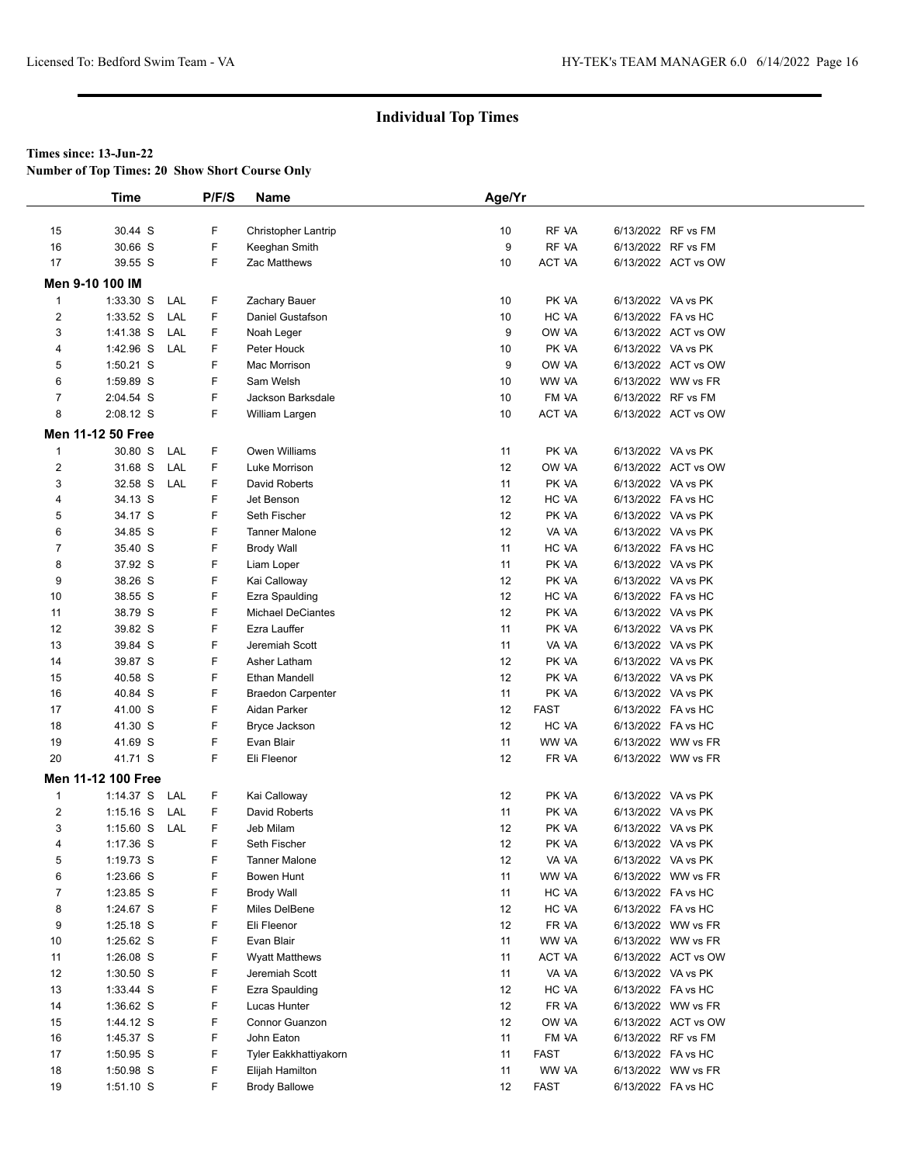**Number of Top Times: 20 Show Short Course Only**

|                         | <b>Time</b>        |     | P/F/S | <b>Name</b>              | Age/Yr |             |                    |                     |
|-------------------------|--------------------|-----|-------|--------------------------|--------|-------------|--------------------|---------------------|
|                         |                    |     |       |                          |        |             |                    |                     |
| 15                      | 30.44 S            |     | F     | Christopher Lantrip      | 10     | RF VA       |                    | 6/13/2022 RF vs FM  |
| 16                      | 30.66 S            |     | F     | Keeghan Smith            | 9      | RF VA       |                    | 6/13/2022 RF vs FM  |
| 17                      | 39.55 S            |     | F.    | Zac Matthews             | 10     | ACT VA      |                    | 6/13/2022 ACT vs OW |
|                         | Men 9-10 100 IM    |     |       |                          |        |             |                    |                     |
| $\mathbf{1}$            | $1:33.30$ S        | LAL | F     | Zachary Bauer            | 10     | PK VA       | 6/13/2022 VA vs PK |                     |
| $\overline{2}$          | $1:33.52$ S        | LAL | F     | Daniel Gustafson         | 10     | HC VA       | 6/13/2022 FA vs HC |                     |
| 3                       | 1:41.38 S          | LAL | F.    | Noah Leger               | 9      | OW VA       |                    | 6/13/2022 ACT vs OW |
| 4                       | 1:42.96 S          | LAL | F     | Peter Houck              | 10     | PK VA       | 6/13/2022 VA vs PK |                     |
| 5                       | 1:50.21 S          |     | F     | Mac Morrison             | 9      | OW VA       |                    | 6/13/2022 ACT vs OW |
| 6                       | 1:59.89 S          |     | F     | Sam Welsh                | 10     | WW VA       |                    | 6/13/2022 WW vs FR  |
| $\overline{7}$          | 2:04.54 S          |     | F     | Jackson Barksdale        | 10     | FM VA       |                    | 6/13/2022 RF vs FM  |
| 8                       | 2:08.12 S          |     | F     | William Largen           | 10     | ACT VA      |                    | 6/13/2022 ACT vs OW |
|                         | Men 11-12 50 Free  |     |       |                          |        |             |                    |                     |
| $\mathbf{1}$            | 30.80 S            | LAL | F     | Owen Williams            | 11     | PK VA       | 6/13/2022 VA vs PK |                     |
| $\overline{\mathbf{c}}$ | 31.68 S            | LAL | F     | Luke Morrison            | 12     | OW VA       |                    | 6/13/2022 ACT vs OW |
| 3                       | 32.58 S            | LAL | F.    | David Roberts            | 11     | PK VA       | 6/13/2022 VA vs PK |                     |
| 4                       | 34.13 S            |     | F     | Jet Benson               | 12     | HC VA       | 6/13/2022 FA vs HC |                     |
| 5                       | 34.17 S            |     | F     | Seth Fischer             | 12     | PK VA       | 6/13/2022 VA vs PK |                     |
| 6                       | 34.85 S            |     | F     | <b>Tanner Malone</b>     | 12     | VA VA       | 6/13/2022 VA vs PK |                     |
| 7                       | 35.40 S            |     | F     | <b>Brody Wall</b>        | 11     | HC VA       | 6/13/2022 FA vs HC |                     |
| 8                       | 37.92 S            |     | F     | Liam Loper               | 11     | PK VA       | 6/13/2022 VA vs PK |                     |
| 9                       | 38.26 S            |     | F     | Kai Calloway             | 12     | PK VA       | 6/13/2022 VA vs PK |                     |
| 10                      | 38.55 S            |     | F     | Ezra Spaulding           | 12     | HC VA       | 6/13/2022 FA vs HC |                     |
| 11                      | 38.79 S            |     | F     | <b>Michael DeCiantes</b> | 12     | PK VA       | 6/13/2022 VA vs PK |                     |
| 12                      | 39.82 S            |     | F     | Ezra Lauffer             | 11     | PK VA       | 6/13/2022 VA vs PK |                     |
| 13                      | 39.84 S            |     | F     | Jeremiah Scott           | 11     | VA VA       | 6/13/2022 VA vs PK |                     |
| 14                      | 39.87 S            |     | F     | Asher Latham             | 12     | PK VA       | 6/13/2022 VA vs PK |                     |
| 15                      | 40.58 S            |     | F     | Ethan Mandell            | 12     | PK VA       | 6/13/2022 VA vs PK |                     |
| 16                      | 40.84 S            |     | F     | <b>Braedon Carpenter</b> | 11     | PK VA       | 6/13/2022 VA vs PK |                     |
| 17                      | 41.00 S            |     | F     | Aidan Parker             | 12     | <b>FAST</b> | 6/13/2022 FA vs HC |                     |
| 18                      | 41.30 S            |     | F     | Bryce Jackson            | 12     | HC VA       | 6/13/2022 FA vs HC |                     |
| 19                      | 41.69 S            |     | F     | Evan Blair               | 11     | WW VA       |                    | 6/13/2022 WW vs FR  |
| 20                      | 41.71 S            |     | F.    | Eli Fleenor              | 12     | FR VA       |                    | 6/13/2022 WW vs FR  |
|                         | Men 11-12 100 Free |     |       |                          |        |             |                    |                     |
| $\mathbf{1}$            | 1:14.37 S LAL      |     | F     | Kai Calloway             | 12     | PK VA       | 6/13/2022 VA vs PK |                     |
| $\overline{\mathbf{c}}$ | $1:15.16$ S        | LAL | F.    | David Roberts            | 11     | PK VA       | 6/13/2022 VA vs PK |                     |
| 3                       | $1:15.60$ S        | LAL | F     | Jeb Milam                | 12     | PK VA       | 6/13/2022 VA vs PK |                     |
| 4                       | 1:17.36 S          |     | F     | Seth Fischer             | 12     | PK VA       | 6/13/2022 VA vs PK |                     |
| 5                       | $1:19.73$ S        |     | F     | <b>Tanner Malone</b>     | 12     | VA VA       | 6/13/2022 VA vs PK |                     |
| 6                       | 1:23.66 S          |     | F     | Bowen Hunt               | 11     | WW VA       |                    | 6/13/2022 WW vs FR  |
| 7                       | 1:23.85 S          |     | F.    | <b>Brody Wall</b>        | 11     | HC VA       | 6/13/2022 FA vs HC |                     |
| 8                       | 1:24.67 S          |     | F     | Miles DelBene            | 12     | HC VA       | 6/13/2022 FA vs HC |                     |
| 9                       | 1:25.18 S          |     | F     | Eli Fleenor              | 12     | FR VA       |                    | 6/13/2022 WW vs FR  |
| 10                      | 1:25.62 S          |     | F     | Evan Blair               | 11     | WW VA       |                    | 6/13/2022 WW vs FR  |
| 11                      | 1:26.08 S          |     | F     | <b>Wyatt Matthews</b>    | 11     | ACT VA      |                    | 6/13/2022 ACT vs OW |
| 12                      | 1:30.50 S          |     | F     | Jeremiah Scott           | 11     | VA VA       | 6/13/2022 VA vs PK |                     |
| 13                      | 1:33.44 S          |     | F     | Ezra Spaulding           | 12     | HC VA       | 6/13/2022 FA vs HC |                     |
| 14                      | 1:36.62 S          |     | F     | Lucas Hunter             | 12     | FR VA       |                    | 6/13/2022 WW vs FR  |
| 15                      | 1:44.12 S          |     | F     | Connor Guanzon           | 12     | OW VA       |                    | 6/13/2022 ACT vs OW |
| 16                      | 1:45.37 S          |     | F     | John Eaton               | 11     | FM VA       |                    | 6/13/2022 RF vs FM  |
| 17                      | 1:50.95 S          |     | F     | Tyler Eakkhattiyakorn    | 11     | FAST        | 6/13/2022 FA vs HC |                     |
| 18                      | 1:50.98 S          |     | F     | Elijah Hamilton          | 11     | WW VA       |                    | 6/13/2022 WW vs FR  |
| 19                      | $1:51.10$ S        |     | F.    | <b>Brody Ballowe</b>     | 12     | <b>FAST</b> | 6/13/2022 FA vs HC |                     |
|                         |                    |     |       |                          |        |             |                    |                     |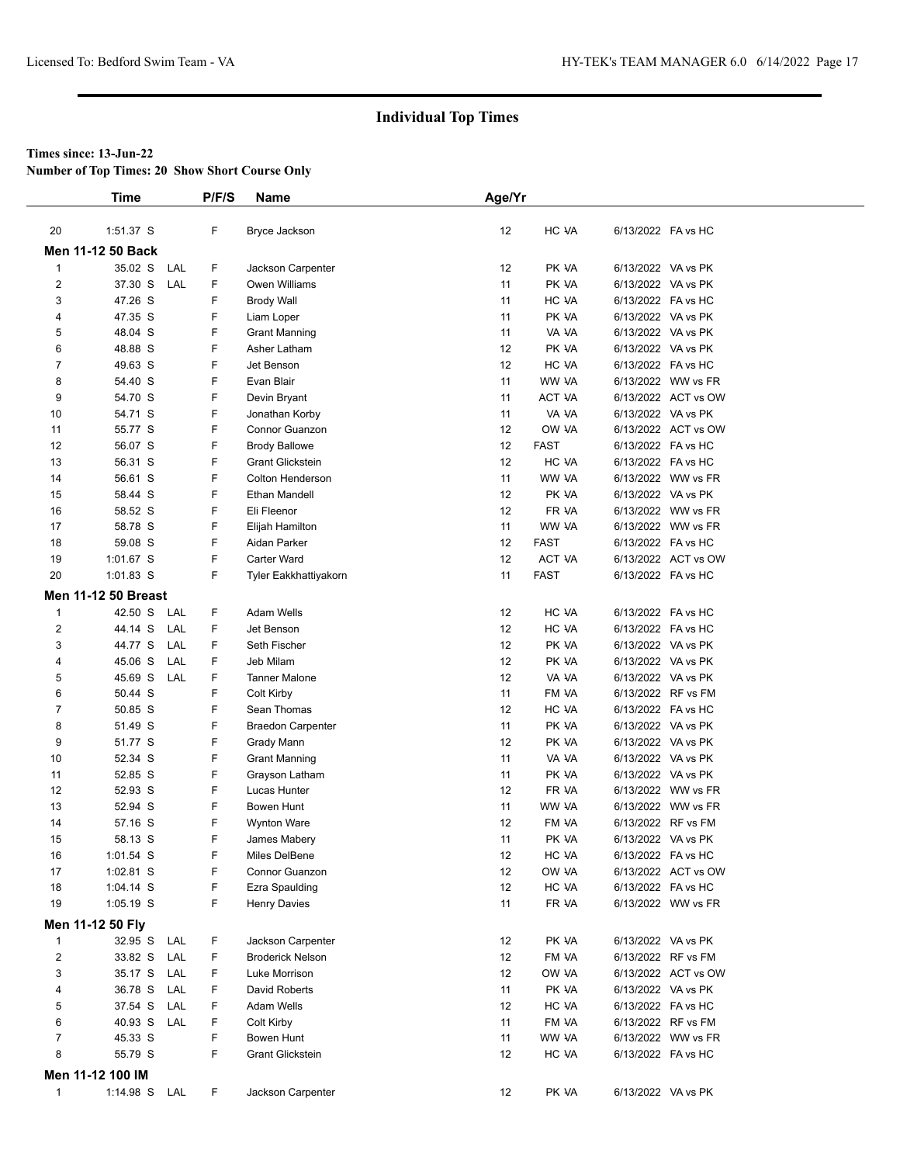**Number of Top Times: 20 Show Short Course Only**

|                         | <b>Time</b>                |     | P/F/S | Name                     | Age/Yr |             |                    |                     |
|-------------------------|----------------------------|-----|-------|--------------------------|--------|-------------|--------------------|---------------------|
|                         |                            |     |       |                          |        |             |                    |                     |
| 20                      | 1:51.37 S                  |     | F     | Bryce Jackson            | 12     | HC VA       | 6/13/2022 FA vs HC |                     |
|                         | <b>Men 11-12 50 Back</b>   |     |       |                          |        |             |                    |                     |
| $\mathbf{1}$            | 35.02 S                    | LAL | F     | Jackson Carpenter        | 12     | PK VA       | 6/13/2022 VA vs PK |                     |
| $\overline{\mathbf{c}}$ | 37.30 S                    | LAL | F     | Owen Williams            | 11     | PK VA       | 6/13/2022 VA vs PK |                     |
| 3                       | 47.26 S                    |     | F     | Brody Wall               | 11     | HC VA       | 6/13/2022 FA vs HC |                     |
| 4                       | 47.35 S                    |     | F     | Liam Loper               | 11     | PK VA       | 6/13/2022 VA vs PK |                     |
| 5                       | 48.04 S                    |     | F     | <b>Grant Manning</b>     | 11     | VA VA       | 6/13/2022 VA vs PK |                     |
| 6                       | 48.88 S                    |     | F     | Asher Latham             | 12     | PK VA       | 6/13/2022 VA vs PK |                     |
| $\overline{7}$          | 49.63 S                    |     | F     | Jet Benson               | 12     | HC VA       | 6/13/2022 FA vs HC |                     |
| 8                       | 54.40 S                    |     | F     | Evan Blair               | 11     | WW VA       |                    | 6/13/2022 WW vs FR  |
| 9                       | 54.70 S                    |     | F     | Devin Bryant             | 11     | ACT VA      |                    | 6/13/2022 ACT vs OW |
| 10                      | 54.71 S                    |     | F     | Jonathan Korby           | 11     | VA VA       | 6/13/2022 VA vs PK |                     |
| 11                      | 55.77 S                    |     | F     | Connor Guanzon           | 12     | OW VA       |                    | 6/13/2022 ACT vs OW |
| 12                      | 56.07 S                    |     | F     | <b>Brody Ballowe</b>     | 12     | <b>FAST</b> | 6/13/2022 FA vs HC |                     |
| 13                      | 56.31 S                    |     | F     | <b>Grant Glickstein</b>  | 12     | HC VA       | 6/13/2022 FA vs HC |                     |
| 14                      | 56.61 S                    |     | F     | Colton Henderson         | 11     | WW VA       |                    | 6/13/2022 WW vs FR  |
| 15                      | 58.44 S                    |     | F     | Ethan Mandell            | 12     | PK VA       | 6/13/2022 VA vs PK |                     |
| 16                      | 58.52 S                    |     | F     | Eli Fleenor              | 12     | FR VA       |                    | 6/13/2022 WW vs FR  |
| 17                      | 58.78 S                    |     | F     | Elijah Hamilton          | 11     | WW VA       |                    | 6/13/2022 WW vs FR  |
| 18                      | 59.08 S                    |     | F     | Aidan Parker             | 12     | <b>FAST</b> | 6/13/2022 FA vs HC |                     |
| 19                      | 1:01.67 S                  |     | F     | <b>Carter Ward</b>       | 12     | ACT VA      |                    | 6/13/2022 ACT vs OW |
| 20                      | $1:01.83$ S                |     | F     | Tyler Eakkhattiyakorn    | 11     | <b>FAST</b> | 6/13/2022 FA vs HC |                     |
|                         | <b>Men 11-12 50 Breast</b> |     |       |                          |        |             |                    |                     |
| $\mathbf{1}$            | 42.50 S                    | LAL | F     | <b>Adam Wells</b>        | 12     | HC VA       | 6/13/2022 FA vs HC |                     |
| $\overline{\mathbf{c}}$ | 44.14 S                    | LAL | F     | Jet Benson               | 12     | HC VA       | 6/13/2022 FA vs HC |                     |
| 3                       | 44.77 S                    | LAL | F     | Seth Fischer             | 12     | PK VA       | 6/13/2022 VA vs PK |                     |
| 4                       | 45.06 S                    | LAL | F     | Jeb Milam                | 12     | PK VA       | 6/13/2022 VA vs PK |                     |
| 5                       | 45.69 S                    | LAL | F     | <b>Tanner Malone</b>     | 12     | VA VA       | 6/13/2022 VA vs PK |                     |
| 6                       | 50.44 S                    |     | F     | Colt Kirby               | 11     | FM VA       | 6/13/2022 RF vs FM |                     |
| 7                       | 50.85 S                    |     | F     | Sean Thomas              | 12     | HC VA       | 6/13/2022 FA vs HC |                     |
| 8                       | 51.49 S                    |     | F     | <b>Braedon Carpenter</b> | 11     | PK VA       | 6/13/2022 VA vs PK |                     |
| 9                       | 51.77 S                    |     | F     | Grady Mann               | 12     | PK VA       | 6/13/2022 VA vs PK |                     |
| 10                      | 52.34 S                    |     | F     | <b>Grant Manning</b>     | 11     | VA VA       | 6/13/2022 VA vs PK |                     |
| 11                      | 52.85 S                    |     | F     | Grayson Latham           | 11     | PK VA       | 6/13/2022 VA vs PK |                     |
| 12                      | 52.93 S                    |     | F     | Lucas Hunter             | 12     | FR VA       |                    | 6/13/2022 WW vs FR  |
| 13                      | 52.94 S                    |     | F     | Bowen Hunt               | 11     | WW VA       |                    | 6/13/2022 WW vs FR  |
| 14                      | 57.16 S                    |     | F     | <b>Wynton Ware</b>       | 12     | FM VA       | 6/13/2022 RF vs FM |                     |
| 15                      | 58.13 S                    |     | F     | James Mabery             | 11     | PK VA       | 6/13/2022 VA vs PK |                     |
| 16                      | 1:01.54 S                  |     | F     | Miles DelBene            | 12     | HC VA       | 6/13/2022 FA vs HC |                     |
| 17                      | 1:02.81 S                  |     | F     | Connor Guanzon           | 12     | OW VA       |                    | 6/13/2022 ACT vs OW |
| 18                      | $1:04.14$ S                |     | F     | Ezra Spaulding           | 12     | HC VA       | 6/13/2022 FA vs HC |                     |
| 19                      | $1:05.19$ S                |     | F     | <b>Henry Davies</b>      | 11     | FR VA       |                    | 6/13/2022 WW vs FR  |
|                         | Men 11-12 50 Fly           |     |       |                          |        |             |                    |                     |
| $\mathbf{1}$            | 32.95 S LAL                |     | F     | Jackson Carpenter        | 12     | PK VA       | 6/13/2022 VA vs PK |                     |
| $\overline{c}$          | 33.82 S                    | LAL | F     | <b>Broderick Nelson</b>  | 12     | FM VA       | 6/13/2022 RF vs FM |                     |
| 3                       | 35.17 S                    | LAL | F     | Luke Morrison            | 12     | OW VA       |                    | 6/13/2022 ACT vs OW |
| 4                       | 36.78 S                    | LAL | F     | David Roberts            | 11     | PK VA       | 6/13/2022 VA vs PK |                     |
| 5                       | 37.54 S LAL                |     | F     | Adam Wells               | 12     | HC VA       | 6/13/2022 FA vs HC |                     |
| 6                       | 40.93 S                    | LAL | F     | Colt Kirby               | 11     | FM VA       | 6/13/2022 RF vs FM |                     |
| 7                       | 45.33 S                    |     | F     | Bowen Hunt               | 11     | WW VA       |                    | 6/13/2022 WW vs FR  |
| 8                       | 55.79 S                    |     | F     | <b>Grant Glickstein</b>  | 12     | HC VA       | 6/13/2022 FA vs HC |                     |
|                         | Men 11-12 100 IM           |     |       |                          |        |             |                    |                     |
|                         |                            |     | F     |                          |        |             |                    |                     |
| $\mathbf{1}$            | 1:14.98 S LAL              |     |       | Jackson Carpenter        | 12     | PK VA       | 6/13/2022 VA vs PK |                     |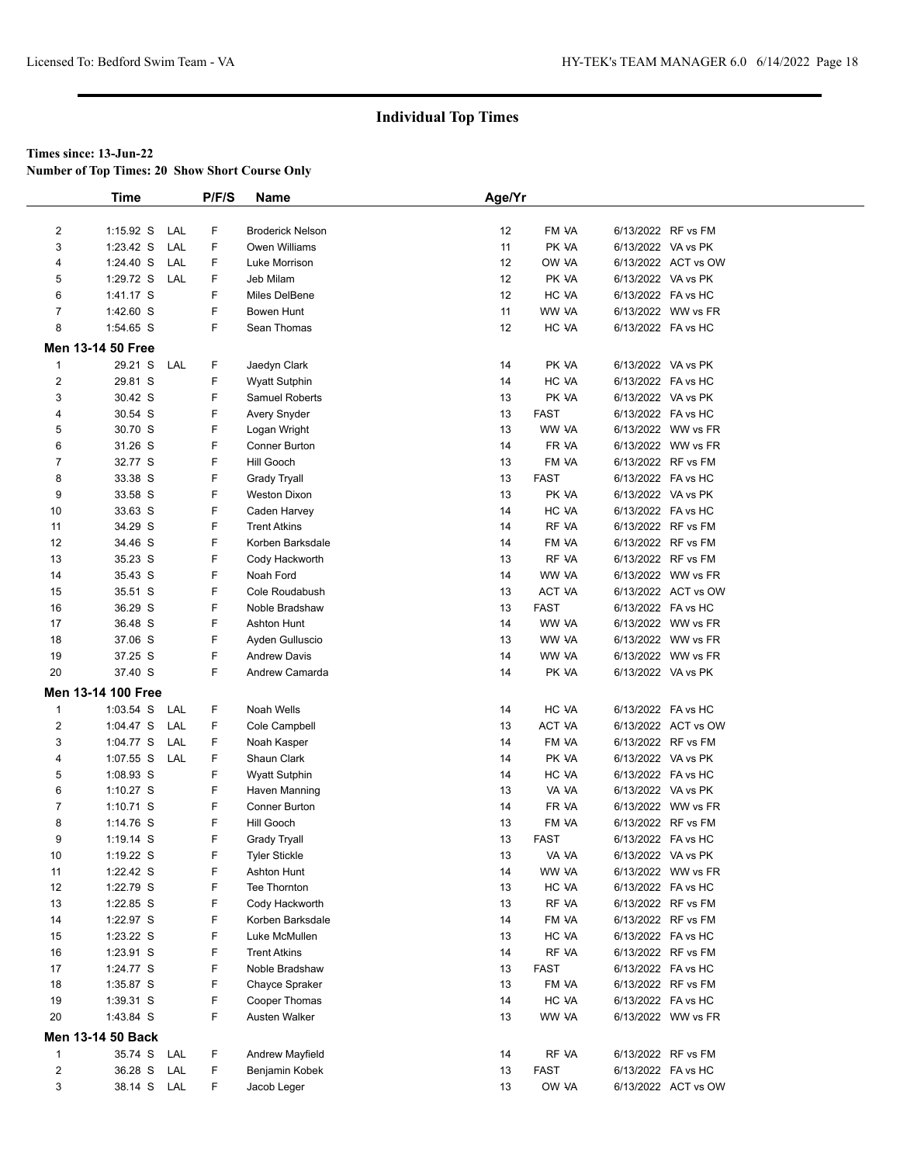**Number of Top Times: 20 Show Short Course Only**

|                         | <b>Time</b>              |     | P/F/S | <b>Name</b>             | Age/Yr |             |                    |                     |  |
|-------------------------|--------------------------|-----|-------|-------------------------|--------|-------------|--------------------|---------------------|--|
|                         |                          |     |       |                         |        |             |                    |                     |  |
| $\overline{2}$          | $1:15.92$ S              | LAL | F     | <b>Broderick Nelson</b> | 12     | FM VA       | 6/13/2022 RF vs FM |                     |  |
| 3                       | 1:23.42 S                | LAL | F     | Owen Williams           | 11     | PK VA       | 6/13/2022 VA vs PK |                     |  |
| 4                       | 1:24.40 S                | LAL | F     | Luke Morrison           | 12     | OW VA       |                    | 6/13/2022 ACT vs OW |  |
| 5                       | 1:29.72 S                | LAL | F     | Jeb Milam               | 12     | PK VA       | 6/13/2022 VA vs PK |                     |  |
| 6                       | 1:41.17 S                |     | F     | Miles DelBene           | 12     | HC VA       | 6/13/2022 FA vs HC |                     |  |
| $\overline{7}$          | 1:42.60 S                |     | F     | Bowen Hunt              | 11     | WW VA       |                    | 6/13/2022 WW vs FR  |  |
| 8                       | 1:54.65 S                |     | F     | Sean Thomas             | 12     | HC VA       | 6/13/2022 FA vs HC |                     |  |
|                         | <b>Men 13-14 50 Free</b> |     |       |                         |        |             |                    |                     |  |
| $\overline{1}$          | 29.21 S LAL              |     | F     | Jaedyn Clark            | 14     | PK VA       | 6/13/2022 VA vs PK |                     |  |
| $\overline{\mathbf{c}}$ | 29.81 S                  |     | F     | <b>Wyatt Sutphin</b>    | 14     | HC VA       | 6/13/2022 FA vs HC |                     |  |
| 3                       | 30.42 S                  |     | F     | <b>Samuel Roberts</b>   | 13     | PK VA       | 6/13/2022 VA vs PK |                     |  |
| 4                       | 30.54 S                  |     | F     | Avery Snyder            | 13     | <b>FAST</b> | 6/13/2022 FA vs HC |                     |  |
| 5                       | 30.70 S                  |     | F     | Logan Wright            | 13     | WW VA       |                    | 6/13/2022 WW vs FR  |  |
| 6                       | 31.26 S                  |     | F     | <b>Conner Burton</b>    | 14     | FR VA       |                    | 6/13/2022 WW vs FR  |  |
| 7                       | 32.77 S                  |     | F     | Hill Gooch              | 13     | FM VA       | 6/13/2022 RF vs FM |                     |  |
| 8                       | 33.38 S                  |     | F     | <b>Grady Tryall</b>     | 13     | <b>FAST</b> | 6/13/2022 FA vs HC |                     |  |
| 9                       | 33.58 S                  |     | F     | Weston Dixon            | 13     | PK VA       | 6/13/2022 VA vs PK |                     |  |
| 10                      | 33.63 S                  |     | F     | Caden Harvey            | 14     | HC VA       | 6/13/2022 FA vs HC |                     |  |
| 11                      | 34.29 S                  |     | F     | <b>Trent Atkins</b>     | 14     | RF VA       | 6/13/2022 RF vs FM |                     |  |
| 12                      | 34.46 S                  |     | F     | Korben Barksdale        | 14     | FM VA       | 6/13/2022 RF vs FM |                     |  |
| 13                      | 35.23 S                  |     | F     | Cody Hackworth          | 13     | RF VA       | 6/13/2022 RF vs FM |                     |  |
| 14                      | 35.43 S                  |     | F     | Noah Ford               | 14     | WW VA       |                    | 6/13/2022 WW vs FR  |  |
| 15                      | 35.51 S                  |     | F     | Cole Roudabush          | 13     | ACT VA      |                    | 6/13/2022 ACT vs OW |  |
| 16                      | 36.29 S                  |     | F     | Noble Bradshaw          | 13     | <b>FAST</b> | 6/13/2022 FA vs HC |                     |  |
| 17                      | 36.48 S                  |     | F     | <b>Ashton Hunt</b>      | 14     | WW VA       |                    | 6/13/2022 WW vs FR  |  |
| 18                      | 37.06 S                  |     | F     | Ayden Gulluscio         | 13     | WW VA       |                    | 6/13/2022 WW vs FR  |  |
| 19                      | 37.25 S                  |     | F     | <b>Andrew Davis</b>     | 14     | WW VA       |                    | 6/13/2022 WW vs FR  |  |
| 20                      | 37.40 S                  |     | F     | Andrew Camarda          | 14     | PK VA       | 6/13/2022 VA vs PK |                     |  |
|                         |                          |     |       |                         |        |             |                    |                     |  |
|                         | Men 13-14 100 Free       |     |       |                         |        |             |                    |                     |  |
| $\mathbf{1}$            | $1:03.54$ S              | LAL | F     | Noah Wells              | 14     | HC VA       | 6/13/2022 FA vs HC |                     |  |
| $\overline{\mathbf{c}}$ | $1:04.47$ S              | LAL | F     | Cole Campbell           | 13     | ACT VA      |                    | 6/13/2022 ACT vs OW |  |
| 3                       | 1:04.77 S                | LAL | F     | Noah Kasper             | 14     | FM VA       | 6/13/2022 RF vs FM |                     |  |
| 4                       | $1:07.55$ S              | LAL | F     | Shaun Clark             | 14     | PK VA       | 6/13/2022 VA vs PK |                     |  |
| 5                       | 1:08.93 S                |     | F     | <b>Wyatt Sutphin</b>    | 14     | HC VA       | 6/13/2022 FA vs HC |                     |  |
| 6                       | 1:10.27 S                |     | F     | Haven Manning           | 13     | VA VA       | 6/13/2022 VA vs PK |                     |  |
| 7                       | $1:10.71$ S              |     | F     | Conner Burton           | 14     | FR VA       |                    | 6/13/2022 WW vs FR  |  |
| 8                       | 1:14.76 S                |     | F     | Hill Gooch              | 13     | FM VA       | 6/13/2022 RF vs FM |                     |  |
| 9                       | $1:19.14$ S              |     | F     | <b>Grady Tryall</b>     | 13     | <b>FAST</b> | 6/13/2022 FA vs HC |                     |  |
| 10                      | 1:19.22 S                |     | F     | <b>Tyler Stickle</b>    | 13     | VA VA       | 6/13/2022 VA vs PK |                     |  |
| 11                      | 1:22.42 S                |     | F     | Ashton Hunt             | 14     | WW VA       |                    | 6/13/2022 WW vs FR  |  |
| 12                      | 1:22.79 S                |     | F     | Tee Thornton            | 13     | HC VA       | 6/13/2022 FA vs HC |                     |  |
| 13                      | $1:22.85$ S              |     | F     | Cody Hackworth          | 13     | RF VA       | 6/13/2022 RF vs FM |                     |  |
| 14                      | 1:22.97 S                |     | F     | Korben Barksdale        | 14     | FM VA       | 6/13/2022 RF vs FM |                     |  |
| 15                      | 1:23.22 S                |     | F     | Luke McMullen           | 13     | HC VA       | 6/13/2022 FA vs HC |                     |  |
| 16                      | 1:23.91 S                |     | F     | <b>Trent Atkins</b>     | 14     | RF VA       | 6/13/2022 RF vs FM |                     |  |
| 17                      | 1:24.77 S                |     | F     | Noble Bradshaw          | 13     | <b>FAST</b> | 6/13/2022 FA vs HC |                     |  |
| 18                      | 1:35.87 S                |     | F     | Chayce Spraker          | 13     | FM VA       |                    | 6/13/2022 RF vs FM  |  |
| 19                      | 1:39.31 S                |     | F     | Cooper Thomas           | 14     | HC VA       | 6/13/2022 FA vs HC |                     |  |
| 20                      | 1:43.84 S                |     | F     | Austen Walker           | 13     | WW VA       |                    | 6/13/2022 WW vs FR  |  |
|                         | <b>Men 13-14 50 Back</b> |     |       |                         |        |             |                    |                     |  |
| $\mathbf{1}$            | 35.74 S                  | LAL | F     | Andrew Mayfield         | 14     | RF VA       | 6/13/2022 RF vs FM |                     |  |
| $\overline{c}$          | 36.28 S                  | LAL | F     | Benjamin Kobek          | 13     | <b>FAST</b> | 6/13/2022 FA vs HC |                     |  |
| 3                       | 38.14 S LAL              |     | F     | Jacob Leger             | 13     | OW VA       |                    | 6/13/2022 ACT vs OW |  |
|                         |                          |     |       |                         |        |             |                    |                     |  |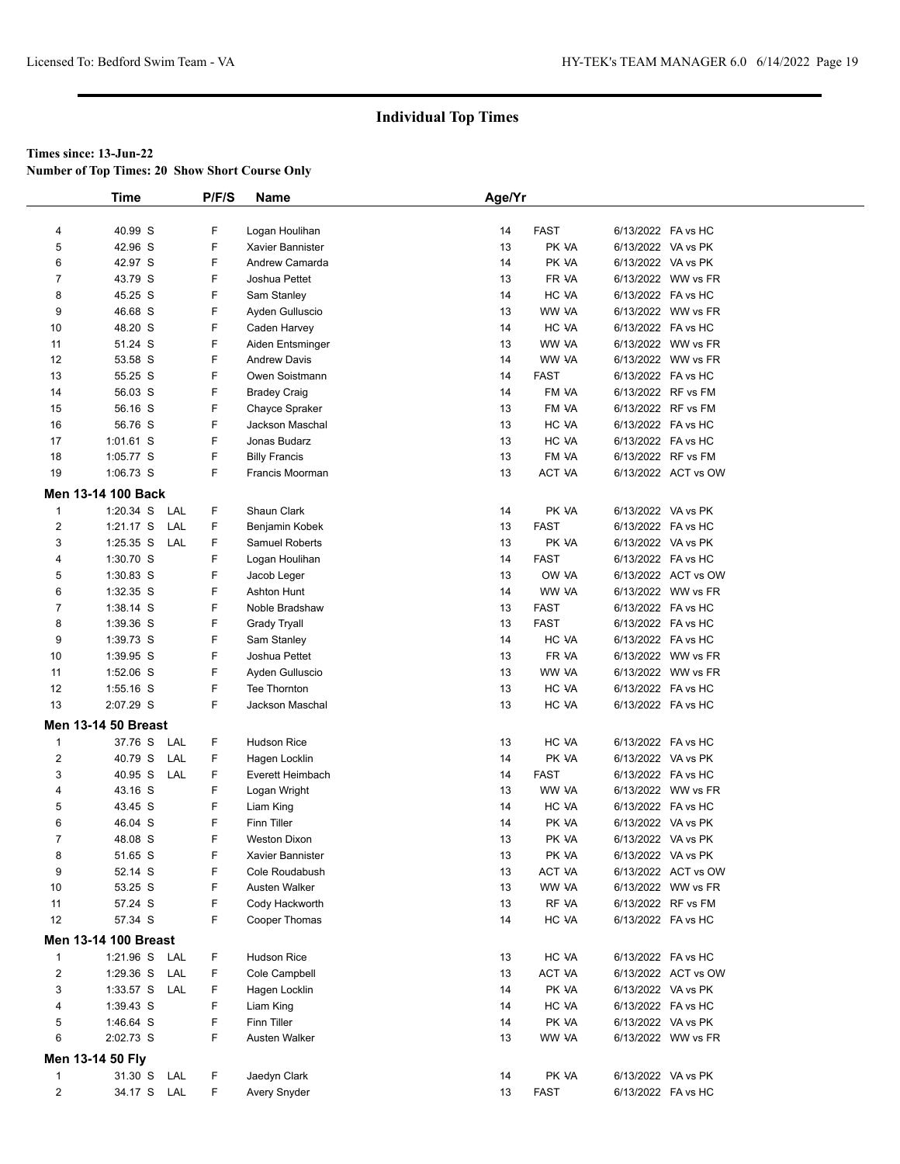**Number of Top Times: 20 Show Short Course Only**

|                                | <b>Time</b>                  |     | P/F/S  | <b>Name</b>                       | Age/Yr   |                      |                                          |                     |  |
|--------------------------------|------------------------------|-----|--------|-----------------------------------|----------|----------------------|------------------------------------------|---------------------|--|
|                                |                              |     |        |                                   |          |                      |                                          |                     |  |
| 4                              | 40.99 S                      |     | F      | Logan Houlihan                    | 14       | <b>FAST</b>          | 6/13/2022 FA vs HC                       |                     |  |
| 5                              | 42.96 S                      |     | F      | Xavier Bannister                  | 13       | PK VA                | 6/13/2022 VA vs PK                       |                     |  |
| 6                              | 42.97 S                      |     | F      | Andrew Camarda                    | 14       | PK VA                | 6/13/2022 VA vs PK                       |                     |  |
| 7                              | 43.79 S                      |     | F      | Joshua Pettet                     | 13       | FR VA                |                                          | 6/13/2022 WW vs FR  |  |
| 8                              | 45.25 S                      |     | F      | Sam Stanley                       | 14       | HC VA                | 6/13/2022 FA vs HC                       |                     |  |
| 9                              | 46.68 S                      |     | F      | Ayden Gulluscio                   | 13       | WW VA                |                                          | 6/13/2022 WW vs FR  |  |
| 10                             | 48.20 S                      |     | F      | Caden Harvey                      | 14       | HC VA                | 6/13/2022 FA vs HC                       |                     |  |
| 11                             | 51.24 S                      |     | F      | Aiden Entsminger                  | 13       | WW VA                |                                          | 6/13/2022 WW vs FR  |  |
| 12                             | 53.58 S                      |     | F      | <b>Andrew Davis</b>               | 14       | WW VA                |                                          | 6/13/2022 WW vs FR  |  |
| 13                             | 55.25 S                      |     | F<br>F | Owen Soistmann                    | 14       | <b>FAST</b>          | 6/13/2022 FA vs HC<br>6/13/2022 RF vs FM |                     |  |
| 14<br>15                       | 56.03 S<br>56.16 S           |     | F      | <b>Bradey Craig</b>               | 14<br>13 | FM VA<br>FM VA       | 6/13/2022 RF vs FM                       |                     |  |
| 16                             | 56.76 S                      |     | F      | Chayce Spraker<br>Jackson Maschal | 13       | HC VA                | 6/13/2022 FA vs HC                       |                     |  |
| 17                             | 1:01.61 S                    |     | F      | Jonas Budarz                      | 13       | HC VA                | 6/13/2022 FA vs HC                       |                     |  |
| 18                             | $1:05.77$ S                  |     | F      | <b>Billy Francis</b>              | 13       | FM VA                |                                          | 6/13/2022 RF vs FM  |  |
| 19                             | 1:06.73 S                    |     | F      | Francis Moorman                   | 13       | ACT VA               |                                          | 6/13/2022 ACT vs OW |  |
|                                | <b>Men 13-14 100 Back</b>    |     |        |                                   |          |                      |                                          |                     |  |
|                                |                              |     |        |                                   |          |                      |                                          |                     |  |
| $\mathbf{1}$<br>$\overline{2}$ | $1:20.34$ S                  | LAL | F      | Shaun Clark                       | 14       | PK VA                | 6/13/2022 VA vs PK<br>6/13/2022 FA vs HC |                     |  |
| 3                              | $1:21.17$ S<br>1:25.35 S LAL | LAL | F<br>F | Benjamin Kobek                    | 13       | <b>FAST</b>          | 6/13/2022 VA vs PK                       |                     |  |
| 4                              | 1:30.70 S                    |     | F      | Samuel Roberts<br>Logan Houlihan  | 13<br>14 | PK VA<br><b>FAST</b> | 6/13/2022 FA vs HC                       |                     |  |
| 5                              | 1:30.83 S                    |     | F      |                                   | 13       | OW VA                |                                          | 6/13/2022 ACT vs OW |  |
| 6                              | 1:32.35 S                    |     | F      | Jacob Leger<br><b>Ashton Hunt</b> | 14       | WW VA                |                                          | 6/13/2022 WW vs FR  |  |
| $\overline{7}$                 | 1:38.14 S                    |     | F      | Noble Bradshaw                    | 13       | <b>FAST</b>          | 6/13/2022 FA vs HC                       |                     |  |
| 8                              | 1:39.36 S                    |     | F      | Grady Tryall                      | 13       | <b>FAST</b>          | 6/13/2022 FA vs HC                       |                     |  |
| 9                              | 1:39.73 S                    |     | F      | Sam Stanley                       | 14       | HC VA                | 6/13/2022 FA vs HC                       |                     |  |
| 10                             | 1:39.95 S                    |     | F      | Joshua Pettet                     | 13       | FR VA                |                                          | 6/13/2022 WW vs FR  |  |
| 11                             | 1:52.06 S                    |     | F      | Ayden Gulluscio                   | 13       | WW VA                |                                          | 6/13/2022 WW vs FR  |  |
| 12                             | $1:55.16$ S                  |     | F      | Tee Thornton                      | 13       | HC VA                | 6/13/2022 FA vs HC                       |                     |  |
| 13                             | 2:07.29 S                    |     | F      | Jackson Maschal                   | 13       | HC VA                | 6/13/2022 FA vs HC                       |                     |  |
|                                | <b>Men 13-14 50 Breast</b>   |     |        |                                   |          |                      |                                          |                     |  |
| $\mathbf{1}$                   | 37.76 S                      | LAL | F      | <b>Hudson Rice</b>                | 13       | HC VA                | 6/13/2022 FA vs HC                       |                     |  |
| $\sqrt{2}$                     | 40.79 S                      | LAL | F      | Hagen Locklin                     | 14       | PK VA                | 6/13/2022 VA vs PK                       |                     |  |
| 3                              | 40.95 S                      | LAL | F      | Everett Heimbach                  | 14       | <b>FAST</b>          | 6/13/2022 FA vs HC                       |                     |  |
| 4                              | 43.16 S                      |     | F      | Logan Wright                      | 13       | WW VA                |                                          | 6/13/2022 WW vs FR  |  |
| 5                              | 43.45 S                      |     | F      | Liam King                         | 14       | HC VA                | 6/13/2022 FA vs HC                       |                     |  |
| 6                              | 46.04 S                      |     | F      | <b>Finn Tiller</b>                | 14       | PK VA                | 6/13/2022 VA vs PK                       |                     |  |
| $\overline{7}$                 | 48.08 S                      |     | F      | <b>Weston Dixon</b>               | 13       | PK VA                | 6/13/2022 VA vs PK                       |                     |  |
| 8                              | 51.65 S                      |     | F      | Xavier Bannister                  | 13       | PK VA                | 6/13/2022 VA vs PK                       |                     |  |
| 9                              | 52.14 S                      |     | F      | Cole Roudabush                    | 13       | ACT VA               |                                          | 6/13/2022 ACT vs OW |  |
| 10                             | 53.25 S                      |     | F      | Austen Walker                     | 13       | WW VA                |                                          | 6/13/2022 WW vs FR  |  |
| 11                             | 57.24 S                      |     | F      | Cody Hackworth                    | 13       | RF VA                |                                          | 6/13/2022 RF vs FM  |  |
| 12                             | 57.34 S                      |     | F      | Cooper Thomas                     | 14       | HC VA                | 6/13/2022 FA vs HC                       |                     |  |
|                                | <b>Men 13-14 100 Breast</b>  |     |        |                                   |          |                      |                                          |                     |  |
| $\mathbf{1}$                   | 1:21.96 S LAL                |     | F      | <b>Hudson Rice</b>                | 13       | HC VA                | 6/13/2022 FA vs HC                       |                     |  |
| 2                              | 1:29.36 S LAL                |     | F      | Cole Campbell                     | 13       | ACT VA               |                                          | 6/13/2022 ACT vs OW |  |
| 3                              | 1:33.57 S LAL                |     | F      | Hagen Locklin                     | 14       | PK VA                | 6/13/2022 VA vs PK                       |                     |  |
| 4                              | 1:39.43 S                    |     | F      | Liam King                         | 14       | HC VA                | 6/13/2022 FA vs HC                       |                     |  |
| 5                              | 1:46.64 S                    |     | F      | <b>Finn Tiller</b>                | 14       | PK VA                | 6/13/2022 VA vs PK                       |                     |  |
| 6                              | 2:02.73 S                    |     | F      | Austen Walker                     | 13       | WW VA                |                                          | 6/13/2022 WW vs FR  |  |
|                                | Men 13-14 50 Fly             |     |        |                                   |          |                      |                                          |                     |  |
|                                |                              |     |        |                                   |          |                      |                                          |                     |  |
| $\mathbf{1}$<br>2              | 31.30 S LAL<br>34.17 S LAL   |     | F<br>F | Jaedyn Clark                      | 14<br>13 | PK VA<br>FAST        | 6/13/2022 VA vs PK<br>6/13/2022 FA vs HC |                     |  |
|                                |                              |     |        | Avery Snyder                      |          |                      |                                          |                     |  |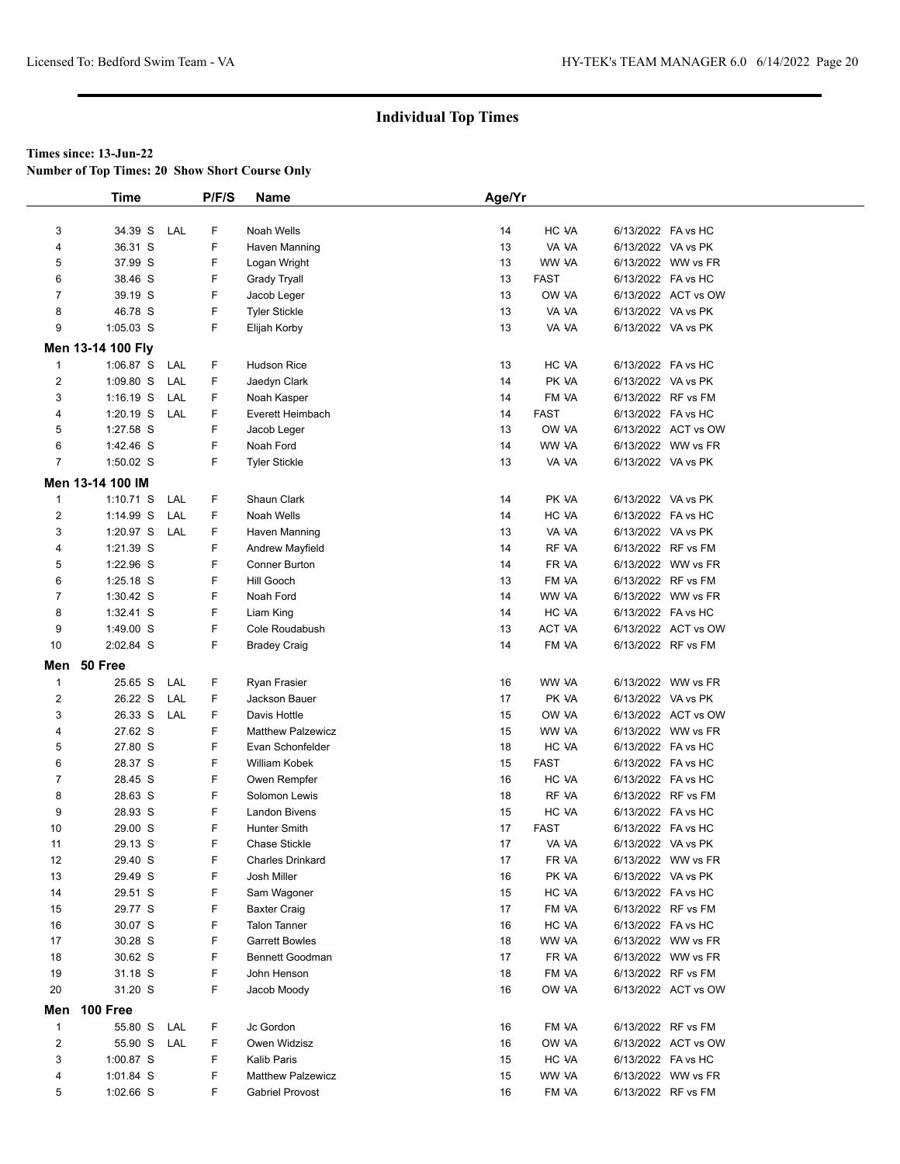**Number of Top Times: 20 Show Short Course Only**

|                         | <b>Time</b>            |     | P/F/S  | <b>Name</b>                 | Age/Yr |             |                    |                                          |  |
|-------------------------|------------------------|-----|--------|-----------------------------|--------|-------------|--------------------|------------------------------------------|--|
|                         |                        |     |        |                             |        |             |                    |                                          |  |
| 3                       | 34.39 S LAL            |     | F      | Noah Wells                  | 14     | HC VA       | 6/13/2022 FA vs HC |                                          |  |
| 4                       | 36.31 S                |     | F      | Haven Manning               | 13     | VA VA       | 6/13/2022 VA vs PK |                                          |  |
| 5                       | 37.99 S                |     | F      | Logan Wright                | 13     | WW VA       |                    | 6/13/2022 WW vs FR                       |  |
| 6                       | 38.46 S                |     | F      | Grady Tryall                | 13     | FAST        | 6/13/2022 FA vs HC |                                          |  |
| $\overline{7}$          | 39.19 S                |     | F      | Jacob Leger                 | 13     | OW VA       |                    | 6/13/2022 ACT vs OW                      |  |
| 8                       | 46.78 S                |     | F      | <b>Tyler Stickle</b>        | 13     | VA VA       | 6/13/2022 VA vs PK |                                          |  |
| 9                       | $1:05.03$ S            |     | F      | Elijah Korby                | 13     | VA VA       | 6/13/2022 VA vs PK |                                          |  |
|                         | Men 13-14 100 Fly      |     |        |                             |        |             |                    |                                          |  |
| $\mathbf{1}$            | $1:06.87$ S            | LAL | F      | <b>Hudson Rice</b>          | 13     | HC VA       | 6/13/2022 FA vs HC |                                          |  |
| $\overline{\mathbf{c}}$ | $1:09.80$ S            | LAL | F      | Jaedyn Clark                | 14     | PK VA       | 6/13/2022 VA vs PK |                                          |  |
| 3                       | $1:16.19$ S            | LAL | F      | Noah Kasper                 | 14     | FM VA       | 6/13/2022 RF vs FM |                                          |  |
| 4                       | $1:20.19$ S            | LAL | F      | Everett Heimbach            | 14     | <b>FAST</b> | 6/13/2022 FA vs HC |                                          |  |
| 5                       | 1:27.58 S              |     | F      | Jacob Leger                 | 13     | OW VA       |                    | 6/13/2022 ACT vs OW                      |  |
| 6                       | 1:42.46 S              |     | F      | Noah Ford                   | 14     | WW VA       |                    | 6/13/2022 WW vs FR                       |  |
| $\overline{7}$          | 1:50.02 S              |     | F      | <b>Tyler Stickle</b>        | 13     | VA VA       | 6/13/2022 VA vs PK |                                          |  |
|                         | Men 13-14 100 IM       |     |        |                             |        |             |                    |                                          |  |
|                         |                        |     |        |                             |        |             |                    |                                          |  |
| 1                       | $1:10.71$ S            | LAL | F      | Shaun Clark                 | 14     | PK VA       | 6/13/2022 VA vs PK |                                          |  |
| $\overline{c}$          | 1:14.99 S              | LAL | F<br>F | Noah Wells<br>Haven Manning | 14     | HC VA       | 6/13/2022 FA vs HC |                                          |  |
| 3                       | 1:20.97 S              | LAL |        |                             | 13     | VA VA       | 6/13/2022 VA vs PK |                                          |  |
| 4                       | 1:21.39 S              |     | F      | Andrew Mayfield             | 14     | RF VA       |                    | 6/13/2022 RF vs FM<br>6/13/2022 WW vs FR |  |
| 5                       | 1:22.96 S              |     | F<br>F | Conner Burton<br>Hill Gooch | 14     | FR VA       |                    | 6/13/2022 RF vs FM                       |  |
| 6                       | 1:25.18 S              |     |        |                             | 13     | FM VA       |                    |                                          |  |
| 7                       | 1:30.42 S              |     | F      | Noah Ford                   | 14     | WW VA       |                    | 6/13/2022 WW vs FR                       |  |
| 8                       | 1:32.41 S              |     | F<br>F | Liam King                   | 14     | HC VA       | 6/13/2022 FA vs HC |                                          |  |
| 9                       | 1:49.00 S<br>2:02.84 S |     | F      | Cole Roudabush              | 13     | ACT VA      |                    | 6/13/2022 ACT vs OW                      |  |
| 10                      |                        |     |        | <b>Bradey Craig</b>         | 14     | FM VA       |                    | 6/13/2022 RF vs FM                       |  |
| Men                     | 50 Free                |     |        |                             |        |             |                    |                                          |  |
| $\mathbf{1}$            | 25.65 S                | LAL | F      | Ryan Frasier                | 16     | WW VA       |                    | 6/13/2022 WW vs FR                       |  |
| $\overline{\mathbf{c}}$ | 26.22 S                | LAL | F      | Jackson Bauer               | 17     | PK VA       | 6/13/2022 VA vs PK |                                          |  |
| 3                       | 26.33 S LAL            |     | F      | Davis Hottle                | 15     | OW VA       |                    | 6/13/2022 ACT vs OW                      |  |
| 4                       | 27.62 S                |     | F      | <b>Matthew Palzewicz</b>    | 15     | WW VA       |                    | 6/13/2022 WW vs FR                       |  |
| 5                       | 27.80 S                |     | F      | Evan Schonfelder            | 18     | HC VA       | 6/13/2022 FA vs HC |                                          |  |
| 6                       | 28.37 S                |     | F      | William Kobek               | 15     | <b>FAST</b> | 6/13/2022 FA vs HC |                                          |  |
| $\overline{7}$          | 28.45 S                |     | F      | Owen Rempfer                | 16     | HC VA       | 6/13/2022 FA vs HC |                                          |  |
| 8                       | 28.63 S                |     | F      | Solomon Lewis               | 18     | RF VA       | 6/13/2022 RF vs FM |                                          |  |
| 9                       | 28.93 S                |     | F      | <b>Landon Bivens</b>        | 15     | HC VA       | 6/13/2022 FA vs HC |                                          |  |
| 10                      | 29.00 S                |     | F      | <b>Hunter Smith</b>         | 17     | <b>FAST</b> | 6/13/2022 FA vs HC |                                          |  |
| 11                      | 29.13 S                |     | F      | <b>Chase Stickle</b>        | 17     | VA VA       | 6/13/2022 VA vs PK |                                          |  |
| 12                      | 29.40 S                |     | F      | <b>Charles Drinkard</b>     | 17     | FR VA       |                    | 6/13/2022 WW vs FR                       |  |
| 13                      | 29.49 S                |     | F      | Josh Miller                 | 16     | PK VA       | 6/13/2022 VA vs PK |                                          |  |
| 14                      | 29.51 S                |     | F      | Sam Wagoner                 | 15     | HC VA       | 6/13/2022 FA vs HC |                                          |  |
| 15                      | 29.77 S                |     | F      | <b>Baxter Craig</b>         | 17     | FM VA       |                    | 6/13/2022 RF vs FM                       |  |
| 16                      | 30.07 S                |     | F      | <b>Talon Tanner</b>         | 16     | HC VA       | 6/13/2022 FA vs HC |                                          |  |
| 17                      | 30.28 S                |     | F      | <b>Garrett Bowles</b>       | 18     | WW VA       |                    | 6/13/2022 WW vs FR                       |  |
| 18                      | 30.62 S                |     | F      | Bennett Goodman             | 17     | FR VA       |                    | 6/13/2022 WW vs FR                       |  |
| 19                      | 31.18 S                |     | F      | John Henson                 | 18     | FM VA       |                    | 6/13/2022 RF vs FM                       |  |
| 20                      | 31.20 S                |     | F      | Jacob Moody                 | 16     | OW VA       |                    | 6/13/2022 ACT vs OW                      |  |
| Men                     | 100 Free               |     |        |                             |        |             |                    |                                          |  |
| $\mathbf{1}$            | 55.80 S                | LAL | F      | Jc Gordon                   | 16     | FM VA       |                    | 6/13/2022 RF vs FM                       |  |
| $\overline{\mathbf{c}}$ | 55.90 S LAL            |     | F      | Owen Widzisz                | 16     | OW VA       |                    | 6/13/2022 ACT vs OW                      |  |
| 3                       | 1:00.87 S              |     | F      | Kalib Paris                 | 15     | HC VA       | 6/13/2022 FA vs HC |                                          |  |
| 4                       | 1:01.84 S              |     | F      | <b>Matthew Palzewicz</b>    | 15     | WW VA       |                    | 6/13/2022 WW vs FR                       |  |
| 5                       | 1:02.66 S              |     | F      | <b>Gabriel Provost</b>      | 16     | FM VA       |                    | 6/13/2022 RF vs FM                       |  |
|                         |                        |     |        |                             |        |             |                    |                                          |  |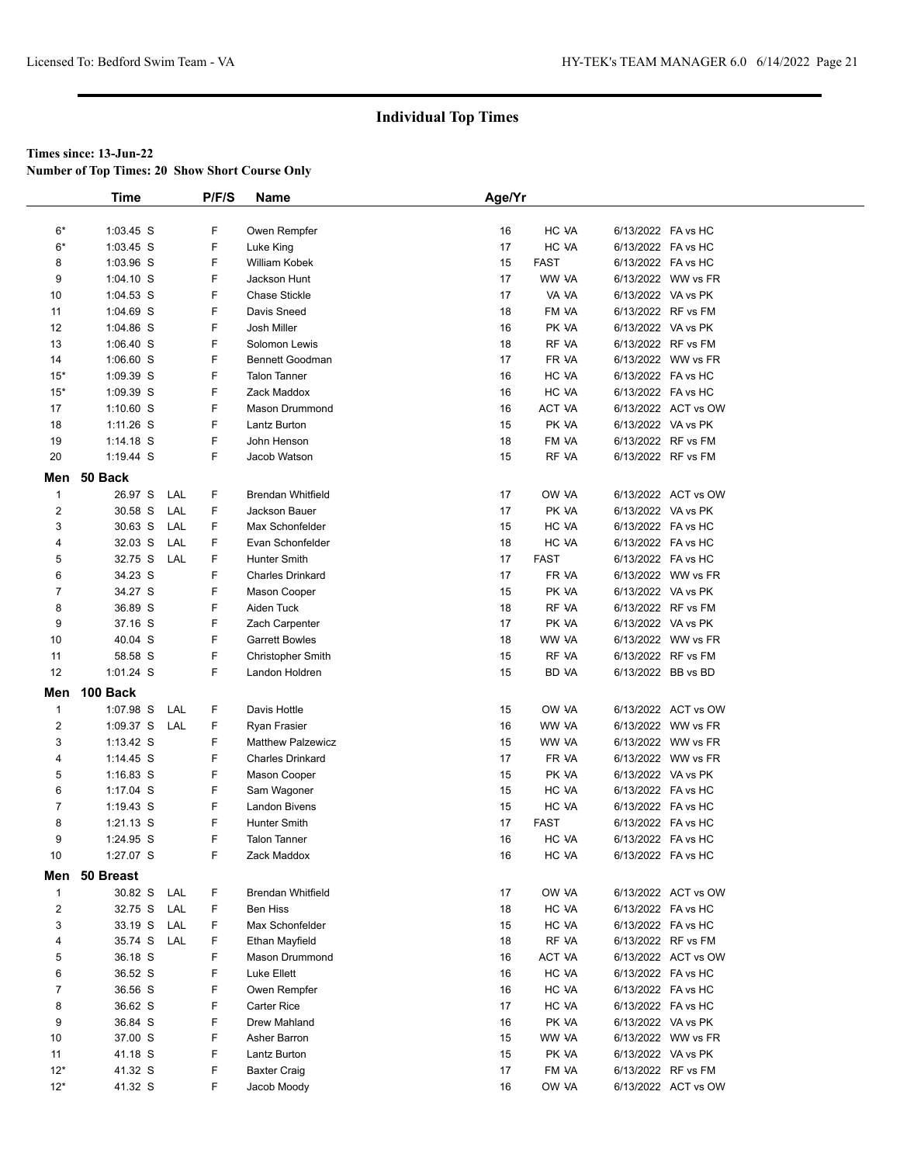**Number of Top Times: 20 Show Short Course Only**

|                | <b>Time</b>   |     | P/F/S | <b>Name</b>              | Age/Yr |             |                    |                     |  |
|----------------|---------------|-----|-------|--------------------------|--------|-------------|--------------------|---------------------|--|
|                |               |     |       |                          |        |             |                    |                     |  |
| $6*$           | $1:03.45$ S   |     | F     | Owen Rempfer             | 16     | HC VA       | 6/13/2022 FA vs HC |                     |  |
| $6*$           | $1:03.45$ S   |     | F     | Luke King                | 17     | HC VA       | 6/13/2022 FA vs HC |                     |  |
| 8              | $1:03.96$ S   |     | F     | William Kobek            | 15     | <b>FAST</b> | 6/13/2022 FA vs HC |                     |  |
| 9              | $1:04.10$ S   |     | F     | Jackson Hunt             | 17     | WW VA       |                    | 6/13/2022 WW vs FR  |  |
| 10             | $1:04.53$ S   |     | F     | <b>Chase Stickle</b>     | 17     | VA VA       | 6/13/2022 VA vs PK |                     |  |
| 11             | $1:04.69$ S   |     | F     | Davis Sneed              | 18     | FM VA       |                    | 6/13/2022 RF vs FM  |  |
| 12             | 1:04.86 S     |     | F     | Josh Miller              | 16     | PK VA       | 6/13/2022 VA vs PK |                     |  |
| 13             | $1:06.40$ S   |     | F     | Solomon Lewis            | 18     | RF VA       |                    | 6/13/2022 RF vs FM  |  |
| 14             | $1:06.60$ S   |     | F     | Bennett Goodman          | 17     | FR VA       |                    | 6/13/2022 WW vs FR  |  |
| $15*$          | 1:09.39 S     |     | F     | <b>Talon Tanner</b>      | 16     | HC VA       | 6/13/2022 FA vs HC |                     |  |
| $15*$          | 1:09.39 S     |     | F     | Zack Maddox              | 16     | HC VA       | 6/13/2022 FA vs HC |                     |  |
| 17             | $1:10.60$ S   |     | F     | Mason Drummond           | 16     | ACT VA      |                    | 6/13/2022 ACT vs OW |  |
| 18             | $1:11.26$ S   |     | F     | Lantz Burton             | 15     | PK VA       | 6/13/2022 VA vs PK |                     |  |
| 19             | $1:14.18$ S   |     | F     | John Henson              | 18     | FM VA       | 6/13/2022 RF vs FM |                     |  |
| 20             | $1:19.44$ S   |     | F     | Jacob Watson             | 15     | RF VA       |                    | 6/13/2022 RF vs FM  |  |
| Men            | 50 Back       |     |       |                          |        |             |                    |                     |  |
| $\overline{1}$ | 26.97 S       | LAL | F     | <b>Brendan Whitfield</b> | 17     | OW VA       |                    | 6/13/2022 ACT vs OW |  |
| 2              | 30.58 S       | LAL | F     | Jackson Bauer            | 17     | PK VA       | 6/13/2022 VA vs PK |                     |  |
| 3              | 30.63 S       | LAL | F     | Max Schonfelder          | 15     | HC VA       | 6/13/2022 FA vs HC |                     |  |
| 4              | 32.03 S       | LAL | F     | Evan Schonfelder         | 18     | HC VA       | 6/13/2022 FA vs HC |                     |  |
| 5              | 32.75 S       | LAL | F     | Hunter Smith             | 17     | <b>FAST</b> | 6/13/2022 FA vs HC |                     |  |
| 6              | 34.23 S       |     | F     | <b>Charles Drinkard</b>  | 17     | FR VA       |                    | 6/13/2022 WW vs FR  |  |
| 7              | 34.27 S       |     | F     | Mason Cooper             | 15     | PK VA       | 6/13/2022 VA vs PK |                     |  |
| 8              | 36.89 S       |     | F     | Aiden Tuck               | 18     | RF VA       |                    | 6/13/2022 RF vs FM  |  |
| 9              | 37.16 S       |     | F     | Zach Carpenter           | 17     | PK VA       | 6/13/2022 VA vs PK |                     |  |
| 10             | 40.04 S       |     | F     | <b>Garrett Bowles</b>    | 18     | WW VA       |                    | 6/13/2022 WW vs FR  |  |
| 11             | 58.58 S       |     | F     | <b>Christopher Smith</b> | 15     | RF VA       |                    | 6/13/2022 RF vs FM  |  |
| 12             | $1:01.24$ S   |     | F     | Landon Holdren           | 15     | BD VA       | 6/13/2022 BB vs BD |                     |  |
| Men            | 100 Back      |     |       |                          |        |             |                    |                     |  |
| 1              | 1:07.98 S     | LAL | F     | Davis Hottle             | 15     | OW VA       |                    | 6/13/2022 ACT vs OW |  |
| 2              | 1:09.37 S LAL |     | F     | Ryan Frasier             | 16     | WW VA       |                    | 6/13/2022 WW vs FR  |  |
| 3              | 1:13.42 S     |     | F     | <b>Matthew Palzewicz</b> | 15     | WW VA       |                    | 6/13/2022 WW vs FR  |  |
| 4              | $1:14.45$ S   |     | F     | <b>Charles Drinkard</b>  | 17     | FR VA       |                    | 6/13/2022 WW vs FR  |  |
| 5              | $1:16.83$ S   |     | F     | Mason Cooper             | 15     | PK VA       | 6/13/2022 VA vs PK |                     |  |
| 6              | $1:17.04$ S   |     | F     | Sam Wagoner              | 15     | HC VA       | 6/13/2022 FA vs HC |                     |  |
| 7              | 1:19.43 S     |     | F     | Landon Bivens            | 15     | HC VA       | 6/13/2022 FA vs HC |                     |  |
| 8              | $1:21.13$ S   |     | F     | <b>Hunter Smith</b>      | 17     | <b>FAST</b> | 6/13/2022 FA vs HC |                     |  |
| 9              | 1:24.95 S     |     | F     | <b>Talon Tanner</b>      | 16     | HC VA       | 6/13/2022 FA vs HC |                     |  |
| 10             | 1:27.07 S     |     | F     | Zack Maddox              | 16     | HC VA       | 6/13/2022 FA vs HC |                     |  |
|                | Men 50 Breast |     |       |                          |        |             |                    |                     |  |
| $\mathbf{1}$   | 30.82 S       | LAL | F     | Brendan Whitfield        | 17     | OW VA       |                    | 6/13/2022 ACT vs OW |  |
| 2              | 32.75 S       | LAL | F     | Ben Hiss                 | 18     | HC VA       | 6/13/2022 FA vs HC |                     |  |
| 3              | 33.19 S       | LAL | F     | Max Schonfelder          | 15     | HC VA       | 6/13/2022 FA vs HC |                     |  |
| 4              | 35.74 S       | LAL | F     | Ethan Mayfield           | 18     | RF VA       |                    | 6/13/2022 RF vs FM  |  |
| 5              | 36.18 S       |     | F     | Mason Drummond           | 16     | ACT VA      |                    | 6/13/2022 ACT vs OW |  |
| 6              | 36.52 S       |     | F     | Luke Ellett              | 16     | HC VA       | 6/13/2022 FA vs HC |                     |  |
| 7              | 36.56 S       |     | F     | Owen Rempfer             | 16     | HC VA       | 6/13/2022 FA vs HC |                     |  |
| 8              | 36.62 S       |     | F     | Carter Rice              | 17     | HC VA       | 6/13/2022 FA vs HC |                     |  |
| 9              | 36.84 S       |     | F     | Drew Mahland             | 16     | PK VA       | 6/13/2022 VA vs PK |                     |  |
| 10             | 37.00 S       |     | F     | Asher Barron             | 15     | WW VA       |                    | 6/13/2022 WW vs FR  |  |
| 11             | 41.18 S       |     | F     | Lantz Burton             | 15     | PK VA       | 6/13/2022 VA vs PK |                     |  |
| $12*$          | 41.32 S       |     | F     | Baxter Craig             | 17     | FM VA       |                    | 6/13/2022 RF vs FM  |  |
| $12*$          | 41.32 S       |     | F     | Jacob Moody              | 16     | OW VA       |                    | 6/13/2022 ACT vs OW |  |
|                |               |     |       |                          |        |             |                    |                     |  |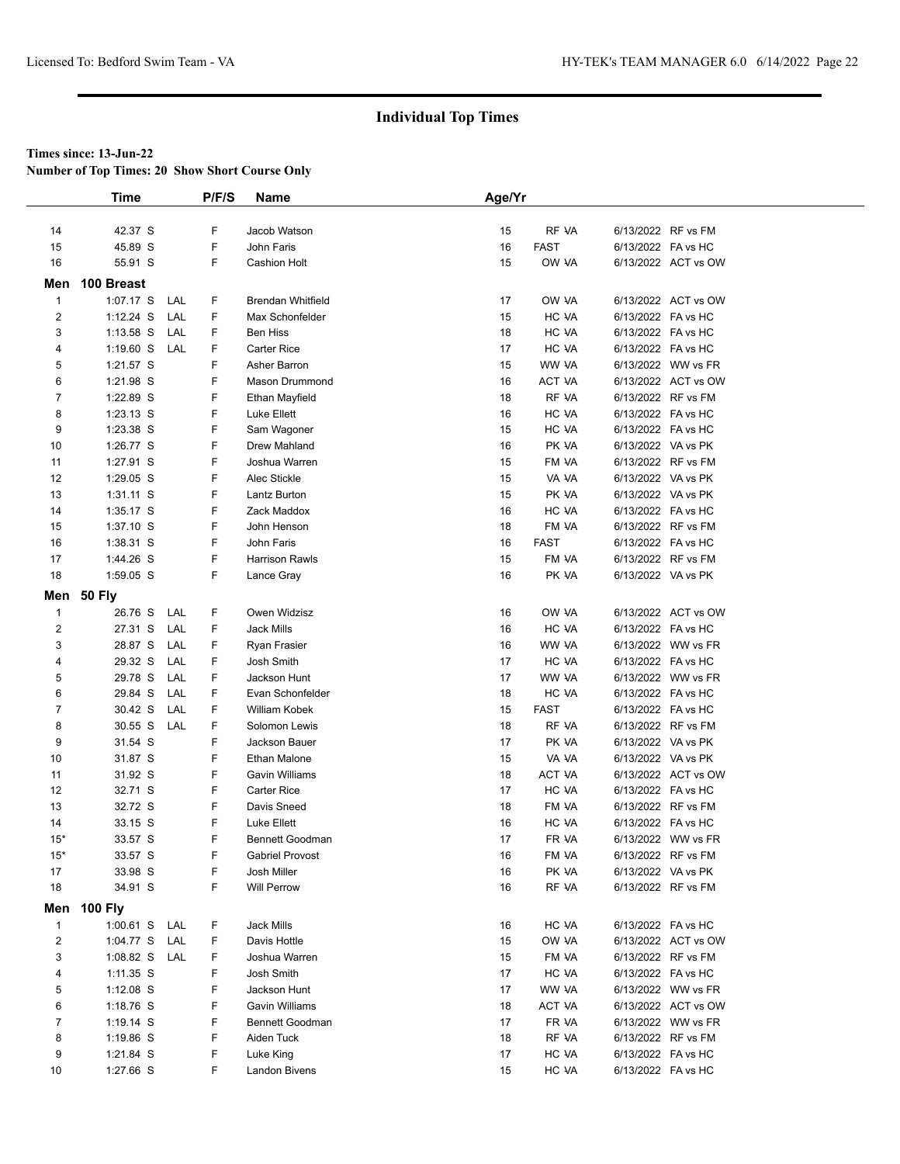**Number of Top Times: 20 Show Short Course Only**

|                | Time        |     | P/F/S | <b>Name</b>              | Age/Yr |             |                    |                     |
|----------------|-------------|-----|-------|--------------------------|--------|-------------|--------------------|---------------------|
|                |             |     |       |                          |        |             |                    |                     |
| 14             | 42.37 S     |     | F     | Jacob Watson             | 15     | RF VA       |                    | 6/13/2022 RF vs FM  |
| 15             | 45.89 S     |     | F     | John Faris               | 16     | <b>FAST</b> |                    | 6/13/2022 FA vs HC  |
| 16             | 55.91 S     |     | F     | <b>Cashion Holt</b>      | 15     | OW VA       |                    | 6/13/2022 ACT vs OW |
| Men            | 100 Breast  |     |       |                          |        |             |                    |                     |
| $\mathbf{1}$   | 1:07.17 S   | LAL | F     | <b>Brendan Whitfield</b> | 17     | OW VA       |                    | 6/13/2022 ACT vs OW |
| $\overline{2}$ | $1:12.24$ S | LAL | F     | Max Schonfelder          | 15     | HC VA       | 6/13/2022 FA vs HC |                     |
| 3              | $1:13.58$ S | LAL | F     | <b>Ben Hiss</b>          | 18     | HC VA       |                    | 6/13/2022 FA vs HC  |
| 4              | $1:19.60$ S | LAL | F     | <b>Carter Rice</b>       | 17     | HC VA       |                    | 6/13/2022 FA vs HC  |
| 5              | 1:21.57 S   |     | F     | Asher Barron             | 15     | WW VA       |                    | 6/13/2022 WW vs FR  |
| 6              | 1:21.98 S   |     | F     | Mason Drummond           | 16     | ACT VA      |                    | 6/13/2022 ACT vs OW |
| $\overline{7}$ | 1:22.89 S   |     | F     | Ethan Mayfield           | 18     | RF VA       |                    | 6/13/2022 RF vs FM  |
| 8              | 1:23.13 S   |     | F     | Luke Ellett              | 16     | HC VA       | 6/13/2022 FA vs HC |                     |
| 9              | 1:23.38 S   |     | F     | Sam Wagoner              | 15     | HC VA       |                    | 6/13/2022 FA vs HC  |
| 10             | 1:26.77 S   |     | F     | Drew Mahland             | 16     | PK VA       |                    | 6/13/2022 VA vs PK  |
| 11             | 1:27.91 S   |     | F     | Joshua Warren            | 15     | FM VA       |                    | 6/13/2022 RF vs FM  |
| 12             | 1:29.05 S   |     | F     | Alec Stickle             | 15     | VA VA       | 6/13/2022 VA vs PK |                     |
| 13             | $1:31.11$ S |     | F     | Lantz Burton             | 15     | PK VA       | 6/13/2022 VA vs PK |                     |
| 14             | $1:35.17$ S |     | F     | Zack Maddox              | 16     | HC VA       | 6/13/2022 FA vs HC |                     |
| 15             | $1:37.10$ S |     | F     | John Henson              | 18     | FM VA       |                    | 6/13/2022 RF vs FM  |
| 16             | $1:38.31$ S |     | F     | John Faris               | 16     | <b>FAST</b> |                    | 6/13/2022 FA vs HC  |
| 17             | 1:44.26 S   |     | F     | <b>Harrison Rawls</b>    | 15     | FM VA       |                    | 6/13/2022 RF vs FM  |
| 18             | 1:59.05 S   |     | F     | Lance Gray               | 16     | PK VA       | 6/13/2022 VA vs PK |                     |
|                | Men 50 Fly  |     |       |                          |        |             |                    |                     |
| $\mathbf{1}$   | 26.76 S     | LAL | F     | Owen Widzisz             | 16     | OW VA       |                    | 6/13/2022 ACT vs OW |
| $\overline{c}$ | 27.31 S     | LAL | F     | Jack Mills               | 16     | HC VA       | 6/13/2022 FA vs HC |                     |
| 3              | 28.87 S     | LAL | F     | Ryan Frasier             | 16     | WW VA       |                    | 6/13/2022 WW vs FR  |
| 4              | 29.32 S     | LAL | F     | Josh Smith               | 17     | HC VA       | 6/13/2022 FA vs HC |                     |
| 5              | 29.78 S     | LAL | F     | Jackson Hunt             | 17     | WW VA       |                    | 6/13/2022 WW vs FR  |
| 6              | 29.84 S     | LAL | F     | Evan Schonfelder         | 18     | HC VA       | 6/13/2022 FA vs HC |                     |
| 7              | 30.42 S     | LAL | F     | William Kobek            | 15     | <b>FAST</b> |                    | 6/13/2022 FA vs HC  |
| 8              | 30.55 S     | LAL | F     | Solomon Lewis            | 18     | RF VA       |                    | 6/13/2022 RF vs FM  |
| 9              | 31.54 S     |     | F     | Jackson Bauer            | 17     | PK VA       |                    | 6/13/2022 VA vs PK  |
| 10             | 31.87 S     |     | F     | Ethan Malone             | 15     | VA VA       | 6/13/2022 VA vs PK |                     |
| 11             | 31.92 S     |     | F     | <b>Gavin Williams</b>    | 18     | ACT VA      |                    | 6/13/2022 ACT vs OW |
| 12             | 32.71 S     |     | F     | <b>Carter Rice</b>       | 17     | HC VA       | 6/13/2022 FA vs HC |                     |
| 13             | 32.72 S     |     | F     | Davis Sneed              | 18     | FM VA       |                    | 6/13/2022 RF vs FM  |
| 14             | 33.15 S     |     | F     | Luke Ellett              | 16     | HC VA       | 6/13/2022 FA vs HC |                     |
| $15*$          | 33.57 S     |     | F     | <b>Bennett Goodman</b>   | 17     | FR VA       |                    | 6/13/2022 WW vs FR  |
| $15*$          | 33.57 S     |     | F     | <b>Gabriel Provost</b>   | 16     | FM VA       |                    | 6/13/2022 RF vs FM  |
| 17             | 33.98 S     |     | F     | Josh Miller              | 16     | PK VA       |                    | 6/13/2022 VA vs PK  |
| 18             | 34.91 S     |     | F     | <b>Will Perrow</b>       | 16     | RF VA       |                    | 6/13/2022 RF vs FM  |
|                | Men 100 Fly |     |       |                          |        |             |                    |                     |
| $\mathbf{1}$   | 1:00.61 S   | LAL | F.    | Jack Mills               | 16     | HC VA       |                    | 6/13/2022 FA vs HC  |
| $\overline{c}$ | 1:04.77 S   | LAL | F     | Davis Hottle             | 15     | OW VA       |                    | 6/13/2022 ACT vs OW |
| 3              | 1:08.82 S   | LAL | F     | Joshua Warren            | 15     | FM VA       |                    | 6/13/2022 RF vs FM  |
| 4              | $1:11.35$ S |     | F     | Josh Smith               | 17     | HC VA       |                    | 6/13/2022 FA vs HC  |
| 5              | $1:12.08$ S |     | F     | Jackson Hunt             | 17     | WW VA       |                    | 6/13/2022 WW vs FR  |
| 6              | 1:18.76 S   |     | F     | Gavin Williams           | 18     | ACT VA      |                    | 6/13/2022 ACT vs OW |
| $\overline{7}$ | $1:19.14$ S |     | F     | <b>Bennett Goodman</b>   | 17     | FR VA       |                    | 6/13/2022 WW vs FR  |
| 8              | 1:19.86 S   |     | F     | Aiden Tuck               | 18     | RF VA       |                    | 6/13/2022 RF vs FM  |
| 9              | 1:21.84 S   |     | F     | Luke King                | 17     | HC VA       | 6/13/2022 FA vs HC |                     |
| 10             | 1:27.66 S   |     | F     | Landon Bivens            | 15     | HC VA       | 6/13/2022 FA vs HC |                     |
|                |             |     |       |                          |        |             |                    |                     |